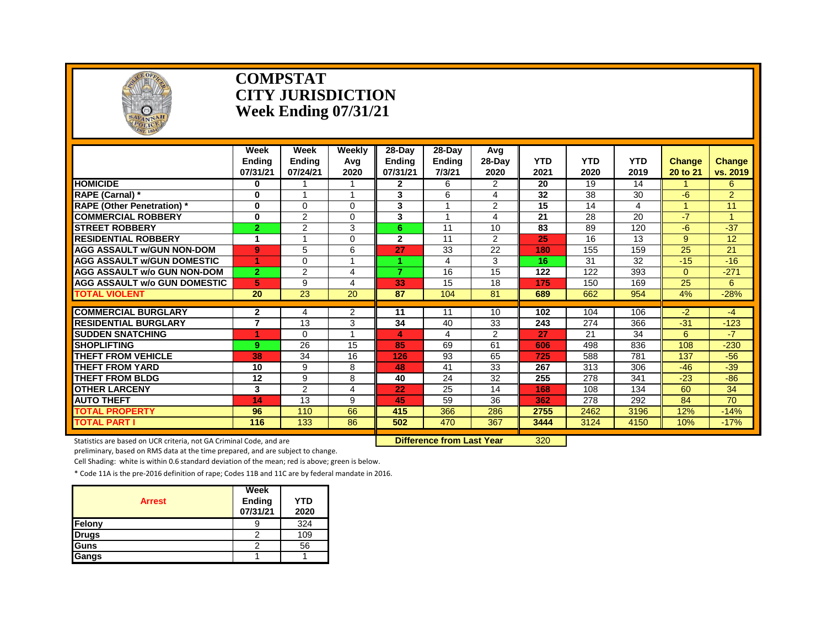

#### **COMPSTAT CITY JURISDICTION Week Ending 07/31/21**

|                                     | Week<br>Ending<br>07/31/21 | Week<br><b>Ending</b><br>07/24/21 | <b>Weekly</b><br>Avg<br>2020 | 28-Day<br>Endina<br>07/31/21 | 28-Day<br><b>Ending</b><br>7/3/21 | Avg<br>28-Day<br>2020 | <b>YTD</b><br>2021 | <b>YTD</b><br>2020 | <b>YTD</b><br>2019 | <b>Change</b><br>20 to 21 | <b>Change</b><br>vs. 2019 |
|-------------------------------------|----------------------------|-----------------------------------|------------------------------|------------------------------|-----------------------------------|-----------------------|--------------------|--------------------|--------------------|---------------------------|---------------------------|
| <b>HOMICIDE</b>                     | $\bf{0}$                   |                                   |                              | $\mathbf{2}$                 | 6                                 | 2                     | 20                 | 19                 | 14                 |                           | 6                         |
| RAPE (Carnal) *                     | 0                          |                                   | -1                           | 3                            | 6                                 | 4                     | 32                 | 38                 | 30                 | -6                        | $\overline{2}$            |
| <b>RAPE (Other Penetration)</b> *   | $\bf{0}$                   | $\Omega$                          | $\Omega$                     | 3                            |                                   | 2                     | 15                 | 14                 | 4                  |                           | 11                        |
| <b>COMMERCIAL ROBBERY</b>           | $\bf{0}$                   | $\overline{2}$                    | 0                            | 3                            |                                   | 4                     | 21                 | 28                 | 20                 | $-7$                      |                           |
| <b>STREET ROBBERY</b>               | $\overline{2}$             | $\overline{2}$                    | 3                            | 6.                           | 11                                | 10                    | 83                 | 89                 | 120                | -6                        | $-37$                     |
| <b>RESIDENTIAL ROBBERY</b>          | 1                          |                                   | 0                            | $\overline{2}$               | 11                                | 2                     | 25                 | 16                 | 13                 | 9                         | 12                        |
| AGG ASSAULT W/GUN NON-DOM           | 9                          | 5                                 | 6                            | 27                           | 33                                | 22                    | 180                | 155                | 159                | 25                        | 21                        |
| <b>AGG ASSAULT W/GUN DOMESTIC</b>   | 1                          | $\Omega$                          | $\overline{\mathbf{A}}$      |                              | 4                                 | 3                     | 16                 | 31                 | 32                 | $-15$                     | $-16$                     |
| <b>AGG ASSAULT w/o GUN NON-DOM</b>  | $\overline{2}$             | $\overline{2}$                    | 4                            | $\overline{z}$               | 16                                | 15                    | 122                | 122                | 393                | $\Omega$                  | $-271$                    |
| <b>AGG ASSAULT W/o GUN DOMESTIC</b> | 5                          | 9                                 | 4                            | 33                           | 15                                | 18                    | 175                | 150                | 169                | 25                        | 6                         |
| TOTAL VIOLENT                       | 20                         | 23                                | 20                           | 87                           | 104                               | 81                    | 689                | 662                | 954                | 4%                        | $-28%$                    |
|                                     |                            |                                   |                              |                              |                                   |                       |                    |                    |                    |                           |                           |
| <b>COMMERCIAL BURGLARY</b>          | $\mathbf{2}$               | 4                                 | $\overline{2}$               | 11                           | 11                                | 10                    | 102                | 104                | 106                | $-2$                      | $-4$                      |
| <b>RESIDENTIAL BURGLARY</b>         | $\overline{7}$             | 13                                | 3                            | 34                           | 40                                | 33                    | 243                | 274                | 366                | $-31$                     | $-123$                    |
| <b>SUDDEN SNATCHING</b>             |                            | $\Omega$                          |                              | 4                            | 4                                 | 2                     | 27                 | 21                 | 34                 | 6                         | $-7$                      |
| <b>SHOPLIFTING</b>                  | 9                          | 26                                | 15                           | 85                           | 69                                | 61                    | 606                | 498                | 836                | 108                       | $-230$                    |
| <b>THEFT FROM VEHICLE</b>           | 38                         | 34                                | 16                           | 126                          | 93                                | 65                    | 725                | 588                | 781                | 137                       | $-56$                     |
| THEFT FROM YARD                     | 10                         | 9                                 | 8                            | 48                           | 41                                | 33                    | 267                | 313                | 306                | $-46$                     | $-39$                     |
| <b>THEFT FROM BLDG</b>              | 12                         | 9                                 | 8                            | 40                           | 24                                | 32                    | 255                | 278                | 341                | $-23$                     | $-86$                     |
| <b>OTHER LARCENY</b>                | 3                          | $\overline{2}$                    | 4                            | 22                           | 25                                | 14                    | 168                | 108                | 134                | 60                        | 34                        |
| <b>AUTO THEFT</b>                   | 14                         | 13                                | 9                            | 45                           | 59                                | 36                    | 362                | 278                | 292                | 84                        | 70                        |
| <b>TOTAL PROPERTY</b>               | 96                         | 110                               | 66                           | 415                          | 366                               | 286                   | 2755               | 2462               | 3196               | 12%                       | $-14%$                    |
| <b>TOTAL PART I</b>                 | 116                        | 133                               | 86                           | 502                          | 470                               | 367                   | 3444               | 3124               | 4150               | 10%                       | $-17%$                    |

Statistics are based on UCR criteria, not GA Criminal Code, and are **Difference from Last Year** 320

preliminary, based on RMS data at the time prepared, and are subject to change.

Cell Shading: white is within 0.6 standard deviation of the mean; red is above; green is below.

| <b>Arrest</b> | Week<br>Ending<br>07/31/21 | YTD<br>2020 |
|---------------|----------------------------|-------------|
| Felony        | Ч                          | 324         |
| <b>Drugs</b>  |                            | 109         |
| Guns          | Ω                          | 56          |
| Gangs         |                            |             |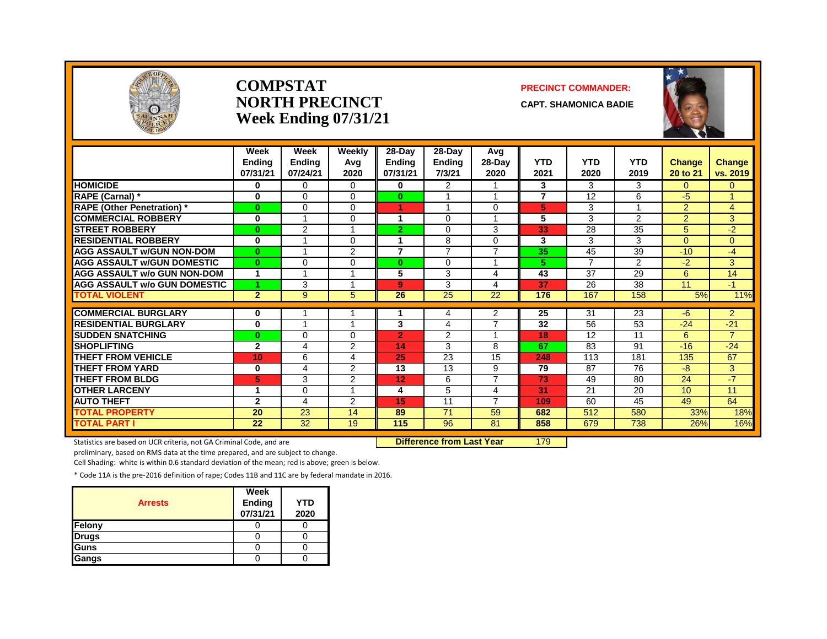

#### **COMPSTAT PRECINCT COMMANDER: NORTH PRECINCT CAPT. SHAMONICA BADIE Week Ending 07/31/21**

|                                                        | Week<br><b>Ending</b><br>07/31/21 | Week<br><b>Ending</b><br>07/24/21 | Weekly<br>Avg<br>2020 | 28-Day<br><b>Ending</b><br>07/31/21 | 28-Day<br><b>Ending</b><br>7/3/21 | Avg<br>$28-Day$<br>2020 | <b>YTD</b><br>2021 | <b>YTD</b><br>2020 | <b>YTD</b><br>2019 | <b>Change</b><br>20 to 21 | <b>Change</b><br>vs. 2019 |
|--------------------------------------------------------|-----------------------------------|-----------------------------------|-----------------------|-------------------------------------|-----------------------------------|-------------------------|--------------------|--------------------|--------------------|---------------------------|---------------------------|
| <b>HOMICIDE</b>                                        | 0                                 | $\Omega$                          | 0                     | 0                                   | $\overline{2}$                    |                         | 3                  | 3                  | 3                  | $\Omega$                  | $\overline{0}$            |
| RAPE (Carnal) *                                        | 0                                 | $\Omega$                          | 0                     | $\mathbf{0}$                        |                                   | 1                       | $\overline{7}$     | 12                 | 6                  | $-5$                      | $\blacktriangleleft$      |
| <b>RAPE (Other Penetration)</b> *                      | $\bf{0}$                          | $\Omega$                          | 0                     | 1                                   |                                   | 0                       | 5                  | 3                  |                    | $\overline{2}$            | 4                         |
| <b>COMMERCIAL ROBBERY</b>                              | 0                                 |                                   | 0                     | 4                                   | $\Omega$                          |                         | 5                  | 3                  | 2                  | $\overline{2}$            | 3                         |
| <b>STREET ROBBERY</b>                                  | $\bf{0}$                          | 2                                 |                       | $\overline{2}$                      | $\Omega$                          | 3                       | 33                 | 28                 | 35                 | 5                         | $-2$                      |
| <b>RESIDENTIAL ROBBERY</b>                             | $\bf{0}$                          |                                   | 0                     | 1                                   | 8                                 | 0                       | 3                  | 3                  | 3                  | $\Omega$                  | $\overline{0}$            |
| <b>AGG ASSAULT w/GUN NON-DOM</b>                       | $\bf{0}$                          |                                   | $\overline{2}$        | $\overline{7}$                      | $\overline{7}$                    | $\overline{7}$          | 35                 | 45                 | 39                 | $-10$                     | $-4$                      |
| <b>AGG ASSAULT w/GUN DOMESTIC</b>                      | $\bf{0}$                          | $\Omega$                          | 0                     | $\bf{0}$                            | $\Omega$                          | 1                       | 5.                 | $\overline{ }$     | $\overline{2}$     | $-2$                      | 3                         |
| <b>AGG ASSAULT w/o GUN NON-DOM</b>                     |                                   |                                   |                       | 5                                   | 3                                 | 4                       | 43                 | 37                 | 29                 | 6                         | 14                        |
| <b>AGG ASSAULT w/o GUN DOMESTIC</b>                    |                                   | 3                                 |                       | 9                                   | 3                                 | 4                       | 37                 | 26                 | 38                 | 11                        | $-1$                      |
| <b>TOTAL VIOLENT</b>                                   | $\overline{2}$                    | 9                                 | 5                     | 26                                  | 25                                | 22                      | 176                | 167                | 158                | 5%                        | 11%                       |
| <b>COMMERCIAL BURGLARY</b>                             | 0                                 |                                   |                       |                                     | 4                                 | 2                       | 25                 | 31                 | 23                 | $-6$                      | $\overline{2}$            |
|                                                        |                                   |                                   |                       | 3                                   |                                   | $\overline{7}$          | 32                 | 56                 |                    |                           |                           |
| <b>RESIDENTIAL BURGLARY</b><br><b>SUDDEN SNATCHING</b> | 0                                 |                                   |                       |                                     | 4                                 | 1                       |                    |                    | 53                 | $-24$                     | $-21$<br>$\overline{7}$   |
|                                                        | $\bf{0}$                          | 0                                 | 0                     | $\overline{2}$                      | $\overline{2}$                    | 8                       | 18<br>67           | 12                 | 11<br>91           | 6                         | $-24$                     |
| <b>SHOPLIFTING</b>                                     | $\mathbf{2}$                      | 4                                 | 2                     | 14                                  | 3                                 |                         |                    | 83                 |                    | $-16$                     |                           |
| <b>THEFT FROM VEHICLE</b>                              | 10                                | 6                                 | 4                     | 25                                  | $\overline{23}$                   | 15                      | 248                | 113                | 181                | 135                       | 67                        |
| <b>THEFT FROM YARD</b>                                 | 0                                 | 4                                 | 2                     | 13                                  | 13                                | 9<br>$\overline{7}$     | 79                 | 87                 | 76                 | $-8$                      | 3                         |
| <b>THEFT FROM BLDG</b>                                 | 5                                 | 3                                 | $\overline{2}$        | 12                                  | 6                                 |                         | 73                 | 49                 | 80                 | 24                        | $-7$                      |
| <b>OTHER LARCENY</b>                                   | 1                                 | $\Omega$                          |                       | 4                                   | 5                                 | 4                       | 31                 | 21                 | 20                 | 10                        | 11                        |
| <b>AUTO THEFT</b>                                      | $\mathbf{2}$                      | 4                                 | $\overline{2}$        | 15                                  | 11                                | $\overline{7}$          | 109                | 60                 | 45                 | 49                        | 64                        |
| <b>TOTAL PROPERTY</b>                                  | 20                                | 23                                | 14                    | 89                                  | 71                                | 59                      | 682                | 512                | 580                | 33%                       | 18%                       |
| <b>TOTAL PART I</b>                                    | 22                                | 32                                | 19                    | 115                                 | 96                                | 81                      | 858                | 679                | 738                | 26%                       | 16%                       |

Statistics are based on UCR criteria, not GA Criminal Code, and are **Difference from Last Year** 179

preliminary, based on RMS data at the time prepared, and are subject to change.

Cell Shading: white is within 0.6 standard deviation of the mean; red is above; green is below.

| <b>Arrests</b> | Week<br><b>Ending</b><br>07/31/21 | <b>YTD</b><br>2020 |
|----------------|-----------------------------------|--------------------|
| Felony         |                                   |                    |
| <b>Drugs</b>   |                                   |                    |
| Guns           |                                   |                    |
| Gangs          |                                   |                    |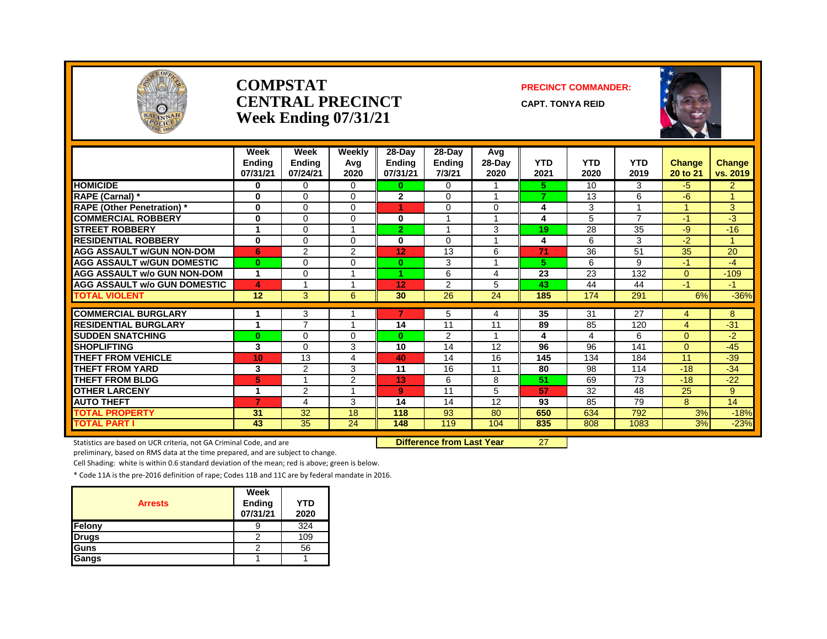

#### **COMPSTAT PRECINCT COMMANDER: CENTRAL PRECINCT** CAPT. TONYA REID **Week Ending 07/31/21**





|                                     | Week                 | Week                     | Weekly         | $28-Dav$       | 28-Day        | Avg            |            |            |                |                |                      |
|-------------------------------------|----------------------|--------------------------|----------------|----------------|---------------|----------------|------------|------------|----------------|----------------|----------------------|
|                                     | <b>Ending</b>        | Ending                   | Avg            | Ending         | <b>Ending</b> | 28-Day         | <b>YTD</b> | <b>YTD</b> | <b>YTD</b>     | Change         | Change               |
|                                     | 07/31/21             | 07/24/21                 | 2020           | 07/31/21       | 7/3/21        | 2020           | 2021       | 2020       | 2019           | 20 to 21       | vs. 2019             |
| <b>HOMICIDE</b>                     | $\bf{0}$             | 0                        | 0              | 0              | $\Omega$      |                | 5.         | 10         | 3              | $-5$           | $\overline{2}$       |
| RAPE (Carnal) *                     | $\bf{0}$             | $\Omega$                 | 0              | $\overline{2}$ | $\Omega$      | $\overline{ }$ | 7          | 13         | 6              | -6             | $\blacktriangleleft$ |
| <b>RAPE (Other Penetration) *</b>   | $\bf{0}$             | $\Omega$                 | $\Omega$       |                | $\Omega$      | $\Omega$       | 4          | 3          |                |                | 3                    |
| <b>COMMERCIAL ROBBERY</b>           | 0                    | $\Omega$                 | 0              | 0              |               |                | 4          | 5          | $\overline{7}$ | $-1$           | -3                   |
| <b>STREET ROBBERY</b>               |                      | $\Omega$                 |                | $\overline{2}$ |               | 3              | 19         | 28         | 35             | -9             | $-16$                |
| <b>RESIDENTIAL ROBBERY</b>          | 0                    | $\Omega$                 | 0              | 0              | $\Omega$      |                | 4          | 6          | 3              | $-2$           |                      |
| <b>AGG ASSAULT w/GUN NON-DOM</b>    | 6                    | 2                        | $\overline{2}$ | 12             | 13            | 6              | 71         | 36         | 51             | 35             | 20                   |
| <b>AGG ASSAULT W/GUN DOMESTIC</b>   | $\mathbf{0}$         | $\Omega$                 | 0              | $\mathbf{0}$   | 3             |                | 5.         | 6          | 9              | $-1$           | $-4$                 |
| AGG ASSAULT w/o GUN NON-DOM         | $\blacktriangleleft$ | 0                        |                | 4.             | 6             | 4              | 23         | 23         | 132            | $\mathbf{0}$   | $-109$               |
| <b>AGG ASSAULT w/o GUN DOMESTIC</b> | $\blacktriangle$     |                          |                | 12             | 2             | 5              | 43         | 44         | 44             | $-1$           | $-1$                 |
| <b>TOTAL VIOLENT</b>                | 12                   | 3                        | 6              | 30             | 26            | 24             | 185        | 174        | 291            | 6%             | $-36%$               |
| <b>COMMERCIAL BURGLARY</b>          |                      | 3                        |                |                | 5             | 4              | 35         | 31         | 27             | 4              | 8                    |
| <b>RESIDENTIAL BURGLARY</b>         | 1                    | $\overline{\phantom{a}}$ |                | 14             | 11            | 11             | 89         | 85         | 120            | $\overline{4}$ | $-31$                |
| <b>SUDDEN SNATCHING</b>             | $\bf{0}$             | $\Omega$                 | 0              | $\bf{0}$       | 2             |                |            | 4          | 6              | $\mathbf{0}$   | $-2$                 |
| <b>SHOPLIFTING</b>                  | 3                    | $\Omega$                 | 3              | 10             | 14            | 12             | 96         | 96         | 141            | $\Omega$       | $-45$                |
| <b>THEFT FROM VEHICLE</b>           | 10                   | 13                       | 4              | 40             | 14            | 16             | 145        | 134        | 184            | 11             | $-39$                |
| THEFT FROM YARD                     | 3                    | $\overline{2}$           | 3              | 11             | 16            | 11             | 80         | 98         | 114            | $-18$          | $-34$                |
| <b>THEFT FROM BLDG</b>              | 5.                   |                          | $\overline{2}$ | 13             | 6             | 8              | 51         | 69         | 73             | $-18$          | $-22$                |
| <b>OTHER LARCENY</b>                | 1                    | $\overline{2}$           |                | 9              | 11            | 5              | 57         | 32         | 48             | 25             | 9                    |
| <b>AUTO THEFT</b>                   | 7                    | 4                        | 3              | 14             | 14            | 12             | 93         | 85         | 79             | 8              | 14                   |
| TOTAL PROPERTY                      | 31                   | 32                       | 18             | 118            | 93            | 80             | 650        | 634        | 792            | 3%             | $-18%$               |
| <b>TOTAL PART I</b>                 | 43                   | 35                       | 24             | 148            | 119           | 104            | 835        | 808        | 1083           | 3%             | $-23%$               |

Statistics are based on UCR criteria, not GA Criminal Code, and are **Difference from Last Year** 27

preliminary, based on RMS data at the time prepared, and are subject to change.

Cell Shading: white is within 0.6 standard deviation of the mean; red is above; green is below.

| <b>Arrests</b> | Week<br>Ending<br>07/31/21 | YTD<br>2020 |
|----------------|----------------------------|-------------|
| Felony         | y                          | 324         |
| <b>Drugs</b>   | 2                          | 109         |
| Guns           | כי                         | 56          |
| Gangs          |                            |             |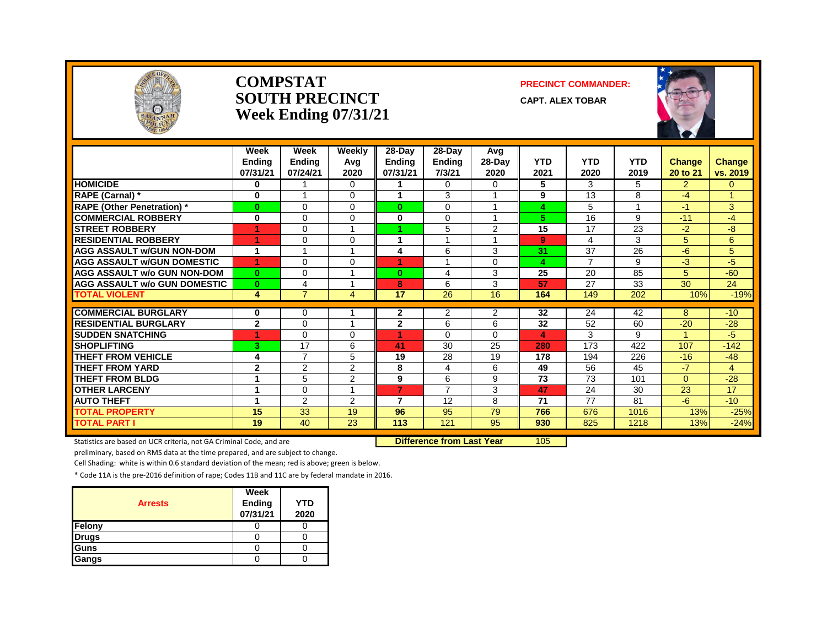

#### **COMPSTAT PRECINCT COMMANDER: SOUTH PRECINCT CAPT. ALEX TOBAR Week Ending 07/31/21**



|                                     | Week<br><b>Endina</b><br>07/31/21 | Week<br><b>Ending</b><br>07/24/21 | Weekly<br>Avg<br>2020 | 28-Day<br><b>Ending</b><br>07/31/21 | 28-Day<br><b>Ending</b><br>7/3/21 | Avg<br>28-Day<br>2020 | <b>YTD</b><br>2021      | <b>YTD</b><br>2020 | <b>YTD</b><br>2019 | Change<br>20 to 21 | Change<br>vs. 2019 |
|-------------------------------------|-----------------------------------|-----------------------------------|-----------------------|-------------------------------------|-----------------------------------|-----------------------|-------------------------|--------------------|--------------------|--------------------|--------------------|
| <b>HOMICIDE</b>                     | 0                                 |                                   | $\Omega$              |                                     | $\Omega$                          | $\Omega$              | 5                       | 3                  | 5                  | $\overline{2}$     | 0                  |
| RAPE (Carnal) *                     | 0                                 | -4                                | $\Omega$              | 1                                   | 3                                 |                       | 9                       | 13                 | 8                  | $-4$               | $\overline{A}$     |
| <b>RAPE (Other Penetration)</b> *   | 0                                 | $\Omega$                          | $\Omega$              | $\mathbf{0}$                        | $\Omega$                          |                       | 4                       | 5                  | 1                  | $-1$               | 3                  |
| <b>COMMERCIAL ROBBERY</b>           | 0                                 | $\Omega$                          | $\Omega$              | 0                                   | $\Omega$                          |                       | 5                       | 16                 | 9                  | $-11$              | $-4$               |
| <b>STREET ROBBERY</b>               |                                   | $\Omega$                          |                       |                                     | 5                                 | 2                     | 15                      | 17                 | 23                 | $-2$               | $-8$               |
| <b>RESIDENTIAL ROBBERY</b>          | 4                                 | $\Omega$                          | $\Omega$              | 1                                   |                                   |                       | 9                       | 4                  | 3                  | 5                  | 6                  |
| <b>AGG ASSAULT w/GUN NON-DOM</b>    | 1                                 |                                   |                       | 4                                   | 6                                 | 3                     | 31                      | 37                 | 26                 | $-6$               | 5                  |
| <b>AGG ASSAULT W/GUN DOMESTIC</b>   | 4                                 | $\Omega$                          | $\Omega$              | 4                                   | и                                 | $\Omega$              | $\overline{\mathbf{A}}$ | $\overline{7}$     | 9                  | $-3$               | $-5$               |
| <b>AGG ASSAULT w/o GUN NON-DOM</b>  | $\bf{0}$                          | $\Omega$                          |                       | $\bf{0}$                            | 4                                 | 3                     | 25                      | 20                 | 85                 | 5                  | $-60$              |
| <b>AGG ASSAULT W/o GUN DOMESTIC</b> | $\bf{0}$                          | 4                                 |                       | 8                                   | 6                                 | 3                     | 57                      | 27                 | 33                 | 30                 | 24                 |
| <b>TOTAL VIOLENT</b>                | 4                                 | $\overline{7}$                    | 4                     | 17                                  | $\overline{26}$                   | 16                    | 164                     | 149                | 202                | 10%                | $-19%$             |
|                                     |                                   |                                   |                       |                                     |                                   |                       |                         |                    |                    |                    |                    |
| <b>COMMERCIAL BURGLARY</b>          | 0                                 | $\Omega$                          |                       | 2                                   | 2                                 | 2                     | $\overline{32}$         | 24                 | 42                 | 8                  | $-10$              |
| <b>RESIDENTIAL BURGLARY</b>         | $\mathbf{2}$                      | $\Omega$                          |                       | $\mathbf{2}$                        | 6                                 | 6                     | 32                      | 52                 | 60                 | $-20$              | $-28$              |
| <b>SUDDEN SNATCHING</b>             |                                   | $\Omega$                          | $\Omega$              |                                     | $\Omega$                          | 0                     | 4                       | 3                  | 9                  |                    | $-5$               |
| <b>SHOPLIFTING</b>                  | 3                                 | 17                                | 6                     | 41                                  | 30                                | 25                    | 280                     | 173                | 422                | 107                | $-142$             |
| <b>THEFT FROM VEHICLE</b>           | 4                                 | $\overline{7}$                    | 5                     | 19                                  | 28                                | 19                    | 178                     | 194                | 226                | $-16$              | $-48$              |
| <b>THEFT FROM YARD</b>              | $\mathbf{2}$                      | $\overline{2}$                    | 2                     | 8                                   | 4                                 | 6                     | 49                      | 56                 | 45                 | $-7$               | 4                  |
| <b>THEFT FROM BLDG</b>              | 1                                 | 5                                 | 2                     | 9                                   | 6                                 | 9                     | 73                      | 73                 | 101                | $\overline{0}$     | $-28$              |
| <b>OTHER LARCENY</b>                | 1                                 | $\Omega$                          |                       | 7                                   | $\overline{7}$                    | 3                     | 47                      | 24                 | 30                 | 23                 | 17                 |
| <b>AUTO THEFT</b>                   | 1                                 | 2                                 | 2                     | 7                                   | 12                                | 8                     | 71                      | 77                 | 81                 | $-6$               | $-10$              |
| <b>TOTAL PROPERTY</b>               | 15                                | 33                                | 19                    | 96                                  | 95                                | 79                    | 766                     | 676                | 1016               | 13%                | $-25%$             |
| <b>TOTAL PART I</b>                 | 19                                | 40                                | 23                    | 113                                 | 121                               | 95                    | 930                     | 825                | 1218               | 13%                | $-24%$             |

Statistics are based on UCR criteria, not GA Criminal Code, and are **Difference from Last Year** 105

preliminary, based on RMS data at the time prepared, and are subject to change.

Cell Shading: white is within 0.6 standard deviation of the mean; red is above; green is below.

| <b>Arrests</b> | Week<br>Ending<br>07/31/21 | YTD<br>2020 |
|----------------|----------------------------|-------------|
| Felony         |                            |             |
| <b>Drugs</b>   |                            |             |
| Guns           |                            |             |
| Gangs          |                            |             |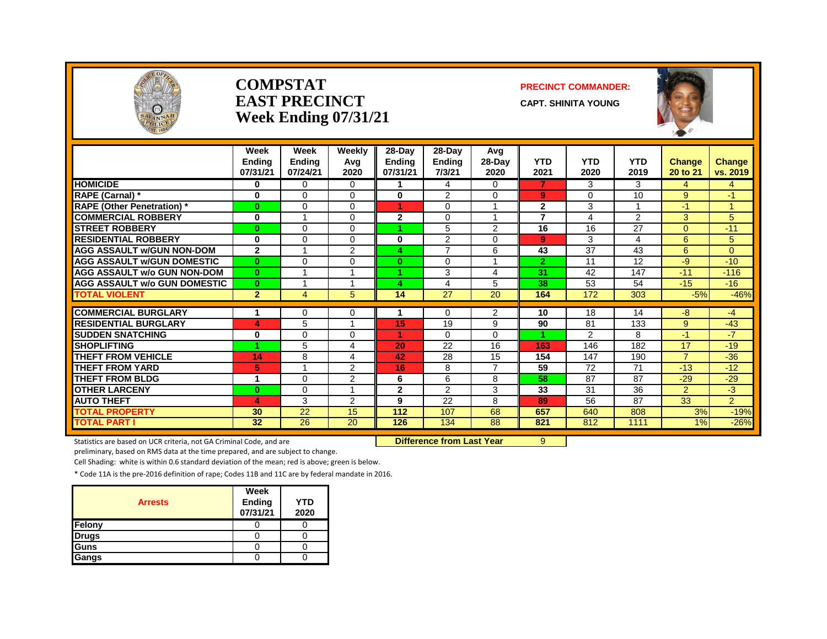

#### **COMPSTAT PRECINCT COMMANDER: EAST PRECINCT** CAPT. SHINITA YOUNG **Week Ending 07/31/21**



|                                     | Week<br><b>Endina</b><br>07/31/21 | Week<br><b>Ending</b><br>07/24/21 | Weekly<br>Avg<br>2020 | 28-Day<br><b>Ending</b><br>07/31/21 | $28-Day$<br><b>Ending</b><br>7/3/21 | Avg<br>$28-Day$<br>2020 | <b>YTD</b><br>2021 | <b>YTD</b><br>2020 | <b>YTD</b><br>2019 | <b>Change</b><br>20 to 21 | <b>Change</b><br>vs. 2019 |
|-------------------------------------|-----------------------------------|-----------------------------------|-----------------------|-------------------------------------|-------------------------------------|-------------------------|--------------------|--------------------|--------------------|---------------------------|---------------------------|
| <b>HOMICIDE</b>                     | 0                                 | $\Omega$                          | 0                     |                                     | 4                                   | $\Omega$                | $\overline{7}$     | 3                  | 3                  | 4                         | 4                         |
| RAPE (Carnal) *                     | $\bf{0}$                          | $\Omega$                          | $\Omega$              | 0                                   | 2                                   | $\Omega$                | 9                  | $\Omega$           | 10                 | 9                         | $-1$                      |
| <b>RAPE (Other Penetration)</b> *   | $\bf{0}$                          | $\Omega$                          | $\Omega$              | 4.                                  | $\Omega$                            | $\overline{\mathbf{A}}$ | $\overline{2}$     | 3                  |                    | $-1$                      | 1                         |
| <b>COMMERCIAL ROBBERY</b>           | $\bf{0}$                          |                                   | 0                     | $\mathbf{2}$                        | $\Omega$                            |                         | 7                  | 4                  | $\overline{2}$     | 3                         | 5                         |
| <b>STREET ROBBERY</b>               | $\bf{0}$                          | $\Omega$                          | $\Omega$              |                                     | 5                                   | 2                       | 16                 | 16                 | 27                 | $\Omega$                  | $-11$                     |
| <b>RESIDENTIAL ROBBERY</b>          | $\bf{0}$                          | $\Omega$                          | $\Omega$              | 0                                   | $\overline{2}$                      | 0                       | 9                  | 3                  | 4                  | 6                         | 5                         |
| <b>AGG ASSAULT w/GUN NON-DOM</b>    | $\mathbf{2}$                      |                                   | 2                     |                                     | $\overline{ }$                      | 6                       | 43                 | 37                 | 43                 | 6                         | $\overline{0}$            |
| <b>AGG ASSAULT w/GUN DOMESTIC</b>   | $\bf{0}$                          | $\Omega$                          | $\Omega$              | $\bf{0}$                            | $\Omega$                            | $\overline{A}$          | $\overline{2}$     | 11                 | 12                 | $-9$                      | $-10$                     |
| AGG ASSAULT w/o GUN NON-DOM         | $\mathbf{0}$                      |                                   |                       |                                     | 3                                   | 4                       | 31                 | 42                 | 147                | $-11$                     | $-116$                    |
| <b>AGG ASSAULT w/o GUN DOMESTIC</b> | $\mathbf{0}$                      |                                   |                       | Δ                                   | 4                                   | 5                       | 38                 | 53                 | 54                 | $-15$                     | $-16$                     |
| <b>TOTAL VIOLENT</b>                | $\overline{2}$                    | $\overline{4}$                    | 5.                    | 14                                  | $\overline{27}$                     | $\overline{20}$         | 164                | 172                | 303                | $-5%$                     | $-46%$                    |
|                                     |                                   |                                   |                       |                                     |                                     |                         |                    |                    |                    |                           |                           |
| <b>COMMERCIAL BURGLARY</b>          |                                   | 0                                 | 0                     |                                     | $\Omega$                            | $\overline{2}$          | 10                 | 18                 | 14                 | $-8$                      | $-4$                      |
| <b>RESIDENTIAL BURGLARY</b>         | 4                                 | 5                                 |                       | 15                                  | 19                                  | 9                       | 90                 | 81                 | 133                | 9                         | $-43$                     |
| <b>SUDDEN SNATCHING</b>             | 0<br>4                            | $\Omega$                          | 0                     |                                     | $\Omega$                            | 0                       |                    | 2                  | 8                  | $-1$                      | $-7$                      |
| <b>SHOPLIFTING</b>                  |                                   | 5                                 | 4                     | 20                                  | 22                                  | 16                      | 163                | 146                | 182                | 17<br>$\overline{7}$      | $-19$                     |
| <b>THEFT FROM VEHICLE</b>           | 14                                | 8                                 | 4                     | 42                                  | 28                                  | 15                      | 154                | 147                | 190                |                           | $-36$                     |
| <b>THEFT FROM YARD</b>              | 5                                 |                                   | 2                     | 16                                  | 8                                   | $\overline{7}$          | 59                 | 72                 | 71                 | $-13$                     | $-12$                     |
| <b>THEFT FROM BLDG</b>              | 1                                 | $\Omega$                          | 2                     | 6                                   | 6                                   | 8                       | 58                 | 87                 | 87                 | $-29$                     | $-29$                     |
| <b>OTHER LARCENY</b>                | $\bf{0}$                          | $\Omega$                          |                       | $\mathbf{2}$                        | 2                                   | 3                       | 33                 | 31                 | 36                 | $\overline{2}$            | $-3$                      |
| <b>AUTO THEFT</b>                   | 4                                 | 3                                 | 2                     | 9                                   | 22                                  | 8                       | 89                 | 56                 | 87                 | 33                        | $\overline{2}$            |
| <b>TOTAL PROPERTY</b>               | 30                                | 22                                | 15                    | 112                                 | 107                                 | 68                      | 657                | 640                | 808                | 3%                        | $-19%$                    |
| <b>TOTAL PART I</b>                 | 32                                | $\overline{26}$                   | 20                    | 126                                 | 134                                 | 88                      | 821                | 812                | 1111               | 1%                        | $-26%$                    |

Statistics are based on UCR criteria, not GA Criminal Code, and are **Difference from Last Year** 9

preliminary, based on RMS data at the time prepared, and are subject to change.

Cell Shading: white is within 0.6 standard deviation of the mean; red is above; green is below.

| <b>Arrests</b> | Week<br>Ending<br>07/31/21 | YTD<br>2020 |
|----------------|----------------------------|-------------|
| Felony         |                            |             |
| <b>Drugs</b>   |                            |             |
| Guns           |                            |             |
| Gangs          |                            |             |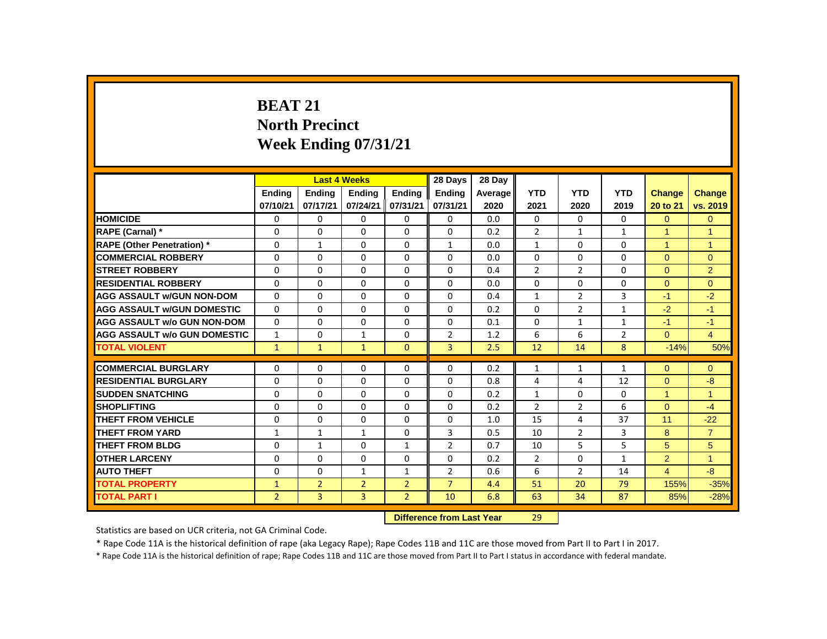# **BEAT 21 North Precinct Week Ending 07/31/21**

|                                     |                |                           | <b>Last 4 Weeks</b> |                | 28 Days        | 28 Day  |                |                |                |                |                |
|-------------------------------------|----------------|---------------------------|---------------------|----------------|----------------|---------|----------------|----------------|----------------|----------------|----------------|
|                                     | <b>Ending</b>  | <b>Ending</b>             | <b>Ending</b>       | <b>Ending</b>  | <b>Ending</b>  | Average | <b>YTD</b>     | <b>YTD</b>     | <b>YTD</b>     | Change         | <b>Change</b>  |
|                                     | 07/10/21       | 07/17/21                  | 07/24/21            | 07/31/21       | 07/31/21       | 2020    | 2021           | 2020           | 2019           | 20 to 21       | vs. 2019       |
| <b>HOMICIDE</b>                     | 0              | 0                         | 0                   | 0              | 0              | 0.0     | 0              | 0              | 0              | $\Omega$       | $\overline{0}$ |
| <b>RAPE (Carnal) *</b>              | 0              | 0                         | 0                   | 0              | 0              | 0.2     | $\overline{2}$ | $\mathbf{1}$   | $\mathbf{1}$   | 1              | $\mathbf{1}$   |
| <b>RAPE (Other Penetration) *</b>   | $\Omega$       | $\mathbf{1}$              | $\Omega$            | $\Omega$       | $\mathbf{1}$   | 0.0     | $\mathbf{1}$   | $\Omega$       | $\Omega$       | $\mathbf{1}$   | $\mathbf{1}$   |
| <b>COMMERCIAL ROBBERY</b>           | $\Omega$       | $\Omega$                  | $\Omega$            | $\Omega$       | $\Omega$       | 0.0     | $\Omega$       | $\Omega$       | $\Omega$       | $\Omega$       | $\Omega$       |
| <b>STREET ROBBERY</b>               | 0              | 0                         | 0                   | 0              | 0              | 0.4     | $\overline{2}$ | 2              | 0              | $\Omega$       | 2              |
| <b>RESIDENTIAL ROBBERY</b>          | $\Omega$       | $\Omega$                  | $\Omega$            | $\Omega$       | $\Omega$       | 0.0     | $\Omega$       | $\Omega$       | $\Omega$       | $\Omega$       | $\Omega$       |
| <b>AGG ASSAULT W/GUN NON-DOM</b>    | 0              | $\Omega$                  | $\Omega$            | 0              | 0              | 0.4     | $\mathbf{1}$   | $\overline{2}$ | 3              | $-1$           | $-2$           |
| <b>AGG ASSAULT W/GUN DOMESTIC</b>   | $\Omega$       | $\Omega$                  | $\Omega$            | $\Omega$       | $\Omega$       | 0.2     | $\Omega$       | $\overline{2}$ | $\mathbf{1}$   | $-2$           | $-1$           |
| <b>AGG ASSAULT w/o GUN NON-DOM</b>  | $\Omega$       | $\Omega$                  | $\Omega$            | $\Omega$       | $\Omega$       | 0.1     | $\Omega$       | $\mathbf{1}$   | $\mathbf{1}$   | $-1$           | $-1$           |
| <b>AGG ASSAULT W/o GUN DOMESTIC</b> | $\mathbf{1}$   | 0                         | 1                   | 0              | $\overline{2}$ | 1.2     | 6              | 6              | $\overline{2}$ | $\Omega$       | $\overline{4}$ |
| <b>TOTAL VIOLENT</b>                | $\mathbf{1}$   | $\mathbf{1}$              | $\mathbf{1}$        | $\mathbf{0}$   | $\overline{3}$ | 2.5     | 12             | 14             | 8              | $-14%$         | 50%            |
| <b>COMMERCIAL BURGLARY</b>          | 0              | 0                         | 0                   | 0              | 0              | 0.2     | $\mathbf{1}$   | $\mathbf{1}$   | $\mathbf{1}$   | $\Omega$       | $\mathbf{0}$   |
| <b>RESIDENTIAL BURGLARY</b>         | $\Omega$       | $\Omega$                  | $\Omega$            | $\Omega$       | $\Omega$       | 0.8     | $\overline{4}$ | 4              | 12             | $\Omega$       | $-8$           |
| <b>SUDDEN SNATCHING</b>             | $\Omega$       | $\Omega$                  | $\Omega$            | $\Omega$       | $\Omega$       | 0.2     | $\mathbf{1}$   | $\Omega$       | 0              | $\mathbf{1}$   | $\mathbf{1}$   |
| <b>SHOPLIFTING</b>                  | $\Omega$       | $\Omega$                  | $\Omega$            | $\Omega$       | $\Omega$       | 0.2     | $\overline{2}$ | $\overline{2}$ | 6              | $\Omega$       | $-4$           |
| <b>THEFT FROM VEHICLE</b>           | $\Omega$       | $\Omega$                  | $\Omega$            | $\Omega$       | $\Omega$       | 1.0     | 15             | 4              | 37             | 11             | $-22$          |
| <b>THEFT FROM YARD</b>              | $\mathbf{1}$   | $\mathbf{1}$              | 1                   | 0              | 3              | 0.5     | 10             | $\overline{2}$ | 3              | 8              | $\overline{7}$ |
| <b>THEFT FROM BLDG</b>              | $\Omega$       | $\mathbf{1}$              | $\Omega$            | $\mathbf{1}$   | $\overline{2}$ | 0.7     | 10             | 5              | 5              | 5              | 5              |
| <b>OTHER LARCENY</b>                | $\Omega$       | $\Omega$                  | $\Omega$            | $\Omega$       | $\Omega$       | 0.2     | $\overline{2}$ | $\Omega$       | $\mathbf{1}$   | $\overline{2}$ | $\overline{1}$ |
| <b>AUTO THEFT</b>                   | 0              | $\Omega$                  | $\mathbf{1}$        | $\mathbf{1}$   | $\overline{2}$ | 0.6     | 6              | $\overline{2}$ | 14             | $\overline{4}$ | $-8$           |
| <b>TOTAL PROPERTY</b>               | $\mathbf{1}$   | $\overline{2}$            | $\overline{2}$      | $\overline{2}$ | $\overline{7}$ | 4.4     | 51             | 20             | 79             | 155%           | $-35%$         |
| <b>TOTAL PART I</b>                 | $\overline{2}$ | 3                         | $\overline{3}$      | $\overline{2}$ | 10             | 6.8     | 63             | 34             | 87             | 85%            | $-28%$         |
|                                     |                | Difference from Last Year |                     | າດ             |                |         |                |                |                |                |                |

**Difference from Last Year** 

Statistics are based on UCR criteria, not GA Criminal Code.

\* Rape Code 11A is the historical definition of rape (aka Legacy Rape); Rape Codes 11B and 11C are those moved from Part II to Part I in 2017.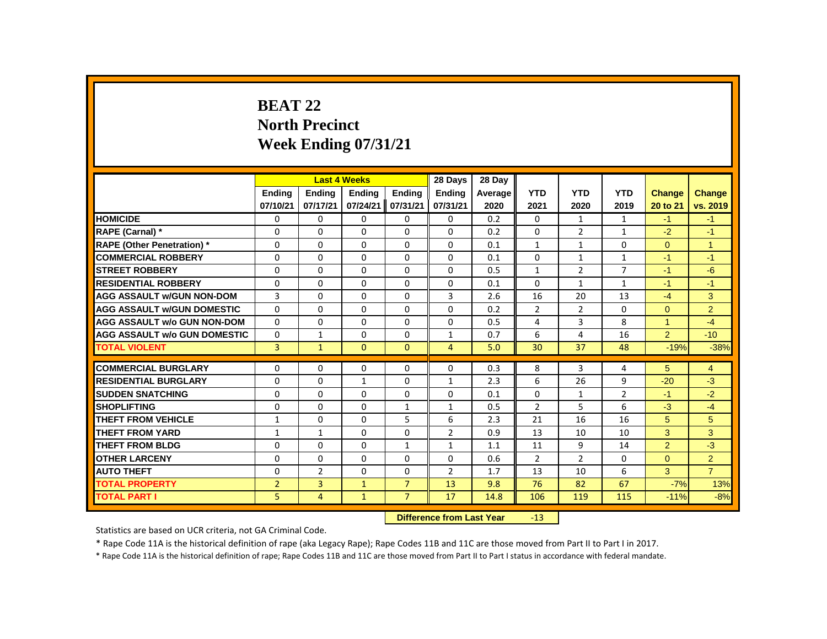# **BEAT 22 North Precinct Week Ending 07/31/21**

|                                     |                |                           | <b>Last 4 Weeks</b> |                | 28 Days        | 28 Day  |                |                |                |                |                |
|-------------------------------------|----------------|---------------------------|---------------------|----------------|----------------|---------|----------------|----------------|----------------|----------------|----------------|
|                                     | <b>Ending</b>  | <b>Ending</b>             | <b>Ending</b>       | Ending         | <b>Ending</b>  | Average | <b>YTD</b>     | <b>YTD</b>     | <b>YTD</b>     | <b>Change</b>  | Change         |
|                                     | 07/10/21       | 07/17/21                  | 07/24/21            | 07/31/21       | 07/31/21       | 2020    | 2021           | 2020           | 2019           | 20 to 21       | vs. 2019       |
| <b>HOMICIDE</b>                     | 0              | 0                         | 0                   | 0              | 0              | 0.2     | $\mathbf{0}$   | $\mathbf{1}$   | $\mathbf{1}$   | $-1$           | $-1$           |
| RAPE (Carnal) *                     | 0              | $\Omega$                  | $\Omega$            | $\Omega$       | $\Omega$       | 0.2     | 0              | $\overline{2}$ | $\mathbf{1}$   | $-2$           | $-1$           |
| <b>RAPE (Other Penetration)</b> *   | 0              | 0                         | $\mathbf 0$         | $\Omega$       | 0              | 0.1     | $\mathbf{1}$   | $\mathbf{1}$   | 0              | $\overline{0}$ | $\overline{1}$ |
| <b>COMMERCIAL ROBBERY</b>           | 0              | 0                         | $\Omega$            | $\mathbf{0}$   | 0              | 0.1     | $\Omega$       | $\mathbf{1}$   | $\mathbf{1}$   | $-1$           | $-1$           |
| <b>STREET ROBBERY</b>               | 0              | 0                         | $\Omega$            | $\Omega$       | $\Omega$       | 0.5     | $\mathbf{1}$   | $\overline{2}$ | $\overline{7}$ | $-1$           | $-6$           |
| <b>RESIDENTIAL ROBBERY</b>          | $\Omega$       | $\Omega$                  | $\Omega$            | $\Omega$       | $\Omega$       | 0.1     | 0              | $\mathbf{1}$   | $\mathbf{1}$   | $-1$           | $-1$           |
| <b>AGG ASSAULT w/GUN NON-DOM</b>    | 3              | 0                         | 0                   | $\mathbf{0}$   | 3              | 2.6     | 16             | 20             | 13             | $-4$           | 3              |
| <b>AGG ASSAULT W/GUN DOMESTIC</b>   | $\Omega$       | $\Omega$                  | $\Omega$            | $\Omega$       | $\Omega$       | 0.2     | $\overline{2}$ | $\overline{2}$ | $\Omega$       | $\Omega$       | $\overline{2}$ |
| <b>AGG ASSAULT w/o GUN NON-DOM</b>  | 0              | 0                         | 0                   | 0              | 0              | 0.5     | 4              | 3              | 8              | $\mathbf{1}$   | $-4$           |
| <b>AGG ASSAULT W/o GUN DOMESTIC</b> | 0              | 1                         | $\Omega$            | $\mathbf{0}$   | $\mathbf{1}$   | 0.7     | 6              | 4              | 16             | 2 <sup>1</sup> | $-10$          |
| <b>TOTAL VIOLENT</b>                | $\overline{3}$ | $\mathbf{1}$              | $\mathbf{0}$        | $\mathbf{0}$   | $\overline{4}$ | 5.0     | 30             | 37             | 48             | $-19%$         | $-38%$         |
| <b>COMMERCIAL BURGLARY</b>          | 0              | $\Omega$                  | 0                   | 0              | 0              | 0.3     | 8              | 3              | 4              | 5              | 4              |
| <b>RESIDENTIAL BURGLARY</b>         | $\Omega$       | $\Omega$                  | $\mathbf{1}$        | $\Omega$       | $\mathbf{1}$   | 2.3     | 6              | 26             | 9              | $-20$          | $-3$           |
| <b>SUDDEN SNATCHING</b>             | 0              | $\Omega$                  | $\Omega$            | $\Omega$       | 0              | 0.1     | $\Omega$       | $\mathbf{1}$   | $\overline{2}$ | $-1$           | $-2$           |
| <b>SHOPLIFTING</b>                  | $\Omega$       | $\Omega$                  | $\Omega$            | $\mathbf{1}$   | $\mathbf{1}$   | 0.5     | $\overline{2}$ | 5              | 6              | $-3$           | $-4$           |
| <b>THEFT FROM VEHICLE</b>           | 1              | 0                         | 0                   | 5              | 6              | 2.3     | 21             | 16             | 16             | 5              | 5              |
| <b>THEFT FROM YARD</b>              | $\mathbf{1}$   | $\mathbf{1}$              | 0                   | 0              | $\overline{2}$ | 0.9     | 13             | 10             | 10             | 3              | 3              |
| <b>THEFT FROM BLDG</b>              | 0              | $\Omega$                  | $\Omega$            | $\mathbf{1}$   | $\mathbf{1}$   | 1.1     | 11             | 9              | 14             | $\overline{2}$ | $-3$           |
| <b>OTHER LARCENY</b>                | $\Omega$       | $\Omega$                  | $\Omega$            | $\Omega$       | $\Omega$       | 0.6     | $\overline{2}$ | $\overline{2}$ | $\Omega$       | $\Omega$       | $\overline{2}$ |
| <b>AUTO THEFT</b>                   | 0              | 2                         | 0                   | $\mathbf{0}$   | $\overline{2}$ | 1.7     | 13             | 10             | 6              | 3              | $\overline{7}$ |
| <b>TOTAL PROPERTY</b>               | $\overline{2}$ | 3                         | $\mathbf{1}$        | $\overline{7}$ | 13             | 9.8     | 76             | 82             | 67             | $-7%$          | 13%            |
| <b>TOTAL PART I</b>                 | 5              | $\overline{4}$            | $\mathbf{1}$        | $\overline{7}$ | 17             | 14.8    | 106            | 119            | 115            | $-11%$         | $-8%$          |
|                                     |                | Difference from Last Year |                     | -13            |                |         |                |                |                |                |                |

**Difference from Last Year** 

Statistics are based on UCR criteria, not GA Criminal Code.

\* Rape Code 11A is the historical definition of rape (aka Legacy Rape); Rape Codes 11B and 11C are those moved from Part II to Part I in 2017.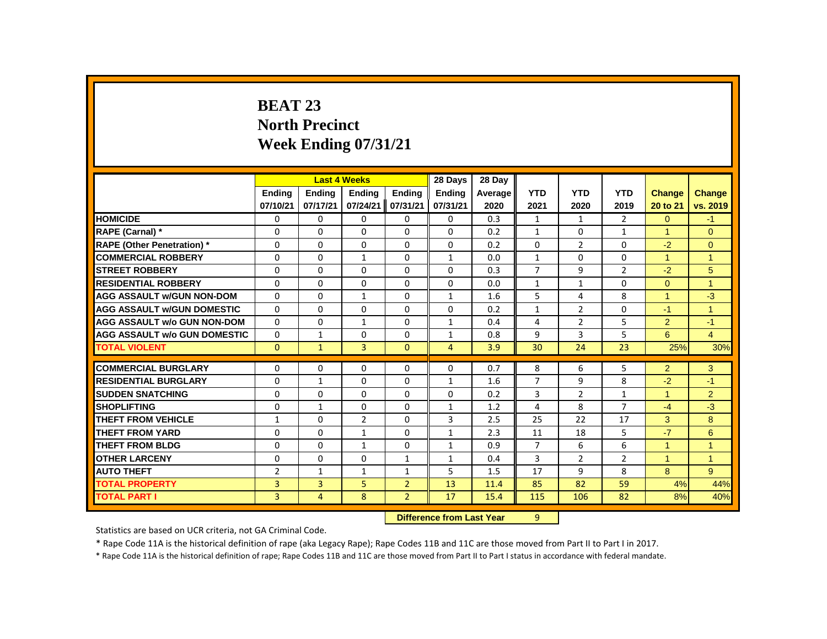# **BEAT 23 North Precinct Week Ending 07/31/21**

|                                     |                |                | <b>Last 4 Weeks</b> |                | 28 Days        | 28 Day                    |                |                |                |                      |                |
|-------------------------------------|----------------|----------------|---------------------|----------------|----------------|---------------------------|----------------|----------------|----------------|----------------------|----------------|
|                                     | <b>Ending</b>  | <b>Ending</b>  | <b>Ending</b>       | Ending         | <b>Ending</b>  | Average                   | <b>YTD</b>     | <b>YTD</b>     | <b>YTD</b>     | <b>Change</b>        | Change         |
|                                     | 07/10/21       | 07/17/21       | 07/24/21            | 07/31/21       | 07/31/21       | 2020                      | 2021           | 2020           | 2019           | 20 to 21             | vs. 2019       |
| <b>HOMICIDE</b>                     | 0              | 0              | 0                   | 0              | 0              | 0.3                       | $\mathbf{1}$   | $\mathbf{1}$   | $\overline{2}$ | $\overline{0}$       | $-1$           |
| RAPE (Carnal) *                     | 0              | $\Omega$       | $\Omega$            | $\Omega$       | $\Omega$       | 0.2                       | $\mathbf{1}$   | $\Omega$       | $\mathbf{1}$   | $\blacktriangleleft$ | $\Omega$       |
| <b>RAPE (Other Penetration)</b> *   | 0              | 0              | $\mathbf 0$         | $\Omega$       | 0              | 0.2                       | $\mathbf 0$    | $\overline{2}$ | $\Omega$       | $-2$                 | $\mathbf{0}$   |
| <b>COMMERCIAL ROBBERY</b>           | 0              | 0              | $\mathbf{1}$        | $\mathbf{0}$   | $\mathbf{1}$   | 0.0                       | $\mathbf{1}$   | $\mathbf{0}$   | 0              | $\mathbf{1}$         | $\mathbf{1}$   |
| <b>STREET ROBBERY</b>               | 0              | $\Omega$       | $\Omega$            | $\Omega$       | $\Omega$       | 0.3                       | $\overline{7}$ | 9              | $\overline{2}$ | $-2$                 | 5              |
| <b>RESIDENTIAL ROBBERY</b>          | $\Omega$       | $\Omega$       | $\Omega$            | $\Omega$       | $\Omega$       | 0.0                       | $\mathbf{1}$   | $\mathbf{1}$   | $\Omega$       | $\Omega$             | $\overline{1}$ |
| <b>AGG ASSAULT w/GUN NON-DOM</b>    | 0              | 0              | $\mathbf{1}$        | $\mathbf{0}$   | $\mathbf{1}$   | 1.6                       | 5              | 4              | 8              | $\overline{1}$       | $-3$           |
| <b>AGG ASSAULT W/GUN DOMESTIC</b>   | $\Omega$       | $\Omega$       | $\Omega$            | $\Omega$       | $\Omega$       | 0.2                       | $\mathbf{1}$   | $\overline{2}$ | $\Omega$       | $-1$                 | $\mathbf{1}$   |
| <b>AGG ASSAULT w/o GUN NON-DOM</b>  | $\Omega$       | 0              | $\mathbf{1}$        | 0              | $\mathbf{1}$   | 0.4                       | 4              | $\overline{2}$ | 5              | $\overline{2}$       | $-1$           |
| <b>AGG ASSAULT W/o GUN DOMESTIC</b> | $\Omega$       | 1              | 0                   | $\mathbf{0}$   | $\mathbf{1}$   | 0.8                       | 9              | 3              | 5              | 6                    | $\overline{4}$ |
| <b>TOTAL VIOLENT</b>                | $\mathbf{0}$   | $\mathbf{1}$   | 3                   | $\mathbf{0}$   | $\overline{4}$ | 3.9                       | 30             | 24             | 23             | 25%                  | 30%            |
| <b>COMMERCIAL BURGLARY</b>          | 0              | $\Omega$       | $\Omega$            | 0              | 0              | 0.7                       | 8              | 6              | 5              | $\overline{2}$       | 3              |
| <b>RESIDENTIAL BURGLARY</b>         | $\Omega$       | $\mathbf{1}$   | $\Omega$            | $\Omega$       | $\mathbf{1}$   | 1.6                       | $\overline{7}$ | 9              | 8              | $-2$                 | $-1$           |
| <b>SUDDEN SNATCHING</b>             | 0              | 0              | $\Omega$            | $\Omega$       | 0              | 0.2                       | 3              | $\overline{2}$ | $\mathbf{1}$   | $\mathbf{1}$         | $\overline{2}$ |
| <b>SHOPLIFTING</b>                  | $\Omega$       | $\mathbf{1}$   | $\Omega$            | $\Omega$       | $\mathbf{1}$   | 1.2                       | 4              | 8              | $\overline{7}$ | $-4$                 | $-3$           |
| <b>THEFT FROM VEHICLE</b>           | 1              | 0              | 2                   | 0              | 3              | 2.5                       | 25             | 22             | 17             | 3                    | 8              |
| <b>THEFT FROM YARD</b>              | 0              | 0              | $\mathbf{1}$        | $\mathbf{0}$   | $\mathbf{1}$   | 2.3                       | 11             | 18             | 5              | $-7$                 | 6              |
| <b>THEFT FROM BLDG</b>              | 0              | $\Omega$       | $\mathbf{1}$        | $\Omega$       | $\mathbf{1}$   | 0.9                       | $\overline{7}$ | 6              | 6              | $\mathbf{1}$         | $\mathbf{1}$   |
| <b>OTHER LARCENY</b>                | $\Omega$       | $\Omega$       | $\Omega$            | $\mathbf{1}$   | $\mathbf{1}$   | 0.4                       | 3              | $\overline{2}$ | $\overline{2}$ | $\mathbf{1}$         | $\mathbf{1}$   |
| <b>AUTO THEFT</b>                   | $\overline{2}$ | $\mathbf{1}$   | $\mathbf{1}$        | $\mathbf{1}$   | 5              | 1.5                       | 17             | 9              | 8              | 8                    | 9              |
| <b>TOTAL PROPERTY</b>               | 3              | 3              | 5                   | $\overline{2}$ | 13             | 11.4                      | 85             | 82             | 59             | 4%                   | 44%            |
| <b>TOTAL PART I</b>                 | 3              | $\overline{4}$ | 8                   | $\overline{2}$ | 17             | 15.4                      | 115            | 106            | 82             | 8%                   | 40%            |
|                                     |                |                |                     |                |                | Difference from Last Year | q              |                |                |                      |                |

 **Difference from Last Year** 9

Statistics are based on UCR criteria, not GA Criminal Code.

\* Rape Code 11A is the historical definition of rape (aka Legacy Rape); Rape Codes 11B and 11C are those moved from Part II to Part I in 2017.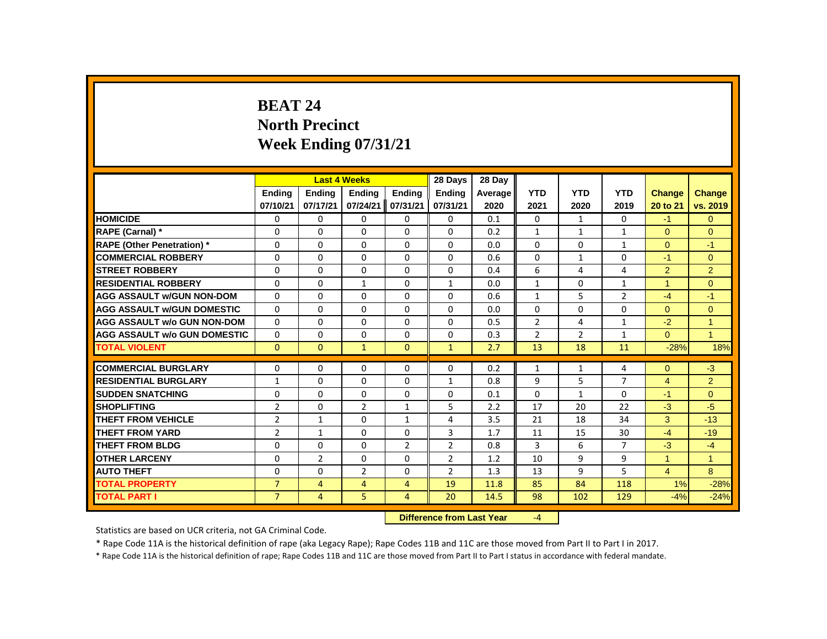# **BEAT 24 North Precinct Week Ending 07/31/21**

|                                     |                |                | <b>Last 4 Weeks</b> |                | 28 Days                   | 28 Day  |                |                |                |                |                |
|-------------------------------------|----------------|----------------|---------------------|----------------|---------------------------|---------|----------------|----------------|----------------|----------------|----------------|
|                                     | Ending         | Ending         | <b>Ending</b>       | Ending         | <b>Ending</b>             | Average | <b>YTD</b>     | <b>YTD</b>     | <b>YTD</b>     | <b>Change</b>  | Change         |
|                                     | 07/10/21       | 07/17/21       | 07/24/21            | 07/31/21       | 07/31/21                  | 2020    | 2021           | 2020           | 2019           | 20 to 21       | vs. 2019       |
| <b>HOMICIDE</b>                     | 0              | 0              | 0                   | 0              | 0                         | 0.1     | 0              | $\mathbf{1}$   | $\mathbf{0}$   | $-1$           | $\mathbf{0}$   |
| RAPE (Carnal) *                     | $\Omega$       | $\Omega$       | $\Omega$            | $\Omega$       | $\Omega$                  | 0.2     | $\mathbf{1}$   | $\mathbf{1}$   | $\mathbf{1}$   | $\Omega$       | $\Omega$       |
| <b>RAPE (Other Penetration) *</b>   | $\Omega$       | $\Omega$       | $\Omega$            | $\Omega$       | $\Omega$                  | 0.0     | $\Omega$       | $\Omega$       | $\mathbf{1}$   | $\Omega$       | $-1$           |
| <b>COMMERCIAL ROBBERY</b>           | $\Omega$       | $\Omega$       | $\Omega$            | $\Omega$       | $\Omega$                  | 0.6     | $\Omega$       | $\mathbf{1}$   | $\Omega$       | $-1$           | $\mathbf{0}$   |
| <b>STREET ROBBERY</b>               | $\Omega$       | $\Omega$       | $\Omega$            | $\Omega$       | $\Omega$                  | 0.4     | 6              | 4              | 4              | $\overline{2}$ | $\overline{2}$ |
| <b>RESIDENTIAL ROBBERY</b>          | 0              | 0              | $\mathbf{1}$        | $\mathbf{0}$   | $\mathbf{1}$              | 0.0     | $\mathbf{1}$   | 0              | $\mathbf{1}$   | $\overline{1}$ | $\mathbf{0}$   |
| <b>AGG ASSAULT W/GUN NON-DOM</b>    | 0              | $\Omega$       | $\Omega$            | $\Omega$       | 0                         | 0.6     | $\mathbf{1}$   | 5              | $\overline{2}$ | $-4$           | $-1$           |
| <b>AGG ASSAULT w/GUN DOMESTIC</b>   | $\Omega$       | 0              | $\Omega$            | $\Omega$       | $\Omega$                  | 0.0     | $\mathbf 0$    | $\Omega$       | 0              | $\overline{0}$ | $\mathbf 0$    |
| <b>AGG ASSAULT w/o GUN NON-DOM</b>  | $\Omega$       | $\Omega$       | $\Omega$            | $\Omega$       | $\Omega$                  | 0.5     | $\overline{2}$ | 4              | $\mathbf{1}$   | $-2$           | $\mathbf{1}$   |
| <b>AGG ASSAULT W/o GUN DOMESTIC</b> | $\Omega$       | $\Omega$       | $\Omega$            | $\Omega$       | $\Omega$                  | 0.3     | $\overline{2}$ | $\overline{2}$ | $\mathbf{1}$   | $\Omega$       | $\overline{1}$ |
| <b>TOTAL VIOLENT</b>                | $\Omega$       | $\mathbf{0}$   | $\mathbf{1}$        | $\Omega$       | $\mathbf{1}$              | 2.7     | 13             | 18             | 11             | $-28%$         | 18%            |
| <b>COMMERCIAL BURGLARY</b>          | $\Omega$       | $\Omega$       | $\Omega$            | $\Omega$       | $\Omega$                  | 0.2     | $\mathbf{1}$   | $\mathbf{1}$   | 4              | $\Omega$       | $-3$           |
| <b>RESIDENTIAL BURGLARY</b>         | $\mathbf{1}$   | 0              | $\Omega$            | $\mathbf{0}$   | $\mathbf{1}$              | 0.8     | 9              | 5              | $\overline{7}$ | $\overline{4}$ | $\overline{2}$ |
| <b>SUDDEN SNATCHING</b>             | 0              | 0              | $\Omega$            | $\mathbf 0$    | 0                         | 0.1     | $\Omega$       | $\mathbf{1}$   | $\Omega$       | $-1$           | $\mathbf{0}$   |
| <b>SHOPLIFTING</b>                  | $\overline{2}$ | $\Omega$       | $\overline{2}$      | $\mathbf{1}$   | 5                         | 2.2     | 17             | 20             | 22             | $-3$           | $-5$           |
| <b>THEFT FROM VEHICLE</b>           | $\overline{2}$ | $\mathbf{1}$   | $\Omega$            | $\mathbf{1}$   | 4                         | 3.5     | 21             | 18             | 34             | 3              | $-13$          |
| <b>THEFT FROM YARD</b>              | $\overline{2}$ | $\mathbf{1}$   | $\Omega$            | $\Omega$       | 3                         | 1.7     | 11             | 15             | 30             | $-4$           | $-19$          |
| <b>THEFT FROM BLDG</b>              | $\Omega$       | $\Omega$       | $\Omega$            | $\overline{2}$ | $\overline{2}$            | 0.8     | 3              | 6              | $\overline{7}$ | $-3$           | $-4$           |
| <b>OTHER LARCENY</b>                | 0              | $\overline{2}$ | 0                   | $\mathbf 0$    | $\overline{2}$            | 1.2     | 10             | 9              | 9              | $\mathbf{1}$   | $\mathbf{1}$   |
| <b>AUTO THEFT</b>                   | $\Omega$       | $\Omega$       | $\overline{2}$      | $\Omega$       | $\overline{2}$            | 1.3     | 13             | 9              | 5              | $\overline{4}$ | 8              |
| <b>TOTAL PROPERTY</b>               | $\overline{7}$ | $\overline{4}$ | $\overline{4}$      | $\overline{4}$ | 19                        | 11.8    | 85             | 84             | 118            | 1%             | $-28%$         |
| <b>TOTAL PART I</b>                 | $\overline{7}$ | $\overline{4}$ | 5                   | $\overline{4}$ | 20                        | 14.5    | 98             | 102            | 129            | $-4%$          | $-24%$         |
|                                     |                |                |                     |                | Difference from Last Vear |         | $ \Lambda$     |                |                |                |                |

**Difference from Last Year** 

Statistics are based on UCR criteria, not GA Criminal Code.

\* Rape Code 11A is the historical definition of rape (aka Legacy Rape); Rape Codes 11B and 11C are those moved from Part II to Part I in 2017.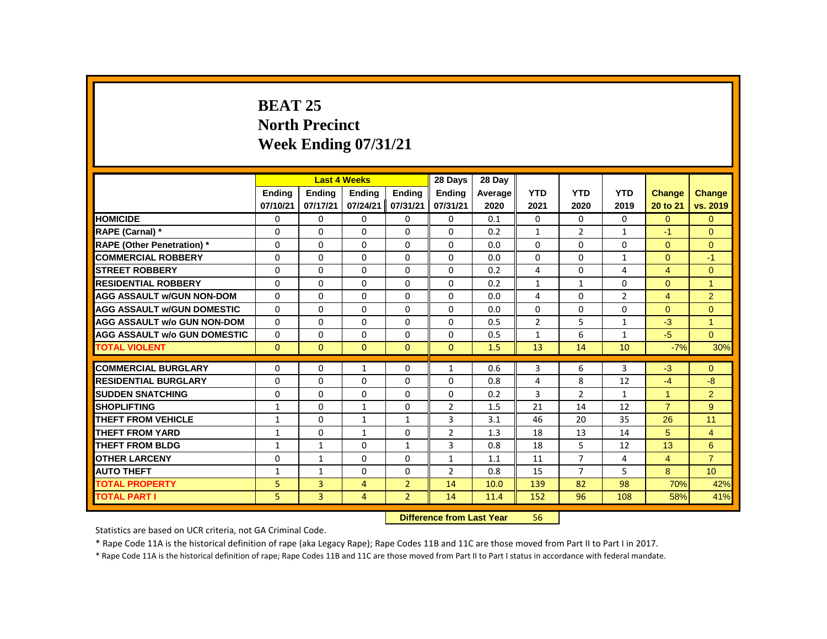# **BEAT 25 North Precinct Week Ending 07/31/21**

|                                     |              |                                  | <b>Last 4 Weeks</b> |                | 28 Days        | 28 Dav  |                |                |                |                      |                |
|-------------------------------------|--------------|----------------------------------|---------------------|----------------|----------------|---------|----------------|----------------|----------------|----------------------|----------------|
|                                     | Ending       | Ending                           | <b>Ending</b>       | <b>Ending</b>  | <b>Ending</b>  | Average | <b>YTD</b>     | <b>YTD</b>     | <b>YTD</b>     | <b>Change</b>        | <b>Change</b>  |
|                                     | 07/10/21     | 07/17/21                         | 07/24/21            | 07/31/21       | 07/31/21       | 2020    | 2021           | 2020           | 2019           | 20 to 21             | vs. 2019       |
| <b>HOMICIDE</b>                     | 0            | $\Omega$                         | 0                   | $\Omega$       | $\mathbf 0$    | 0.1     | $\mathbf{0}$   | 0              | 0              | $\overline{0}$       | $\mathbf{0}$   |
| <b>RAPE (Carnal) *</b>              | 0            | $\Omega$                         | $\Omega$            | $\Omega$       | $\Omega$       | 0.2     | $\mathbf{1}$   | $\overline{2}$ | $\mathbf{1}$   | $-1$                 | $\Omega$       |
| <b>RAPE (Other Penetration)</b> *   | 0            | $\Omega$                         | $\Omega$            | $\Omega$       | $\Omega$       | 0.0     | $\Omega$       | $\Omega$       | $\Omega$       | $\Omega$             | $\mathbf{0}$   |
| <b>COMMERCIAL ROBBERY</b>           | $\Omega$     | $\Omega$                         | $\Omega$            | $\mathbf{0}$   | $\Omega$       | 0.0     | $\Omega$       | $\Omega$       | $\mathbf{1}$   | $\Omega$             | $-1$           |
| <b>ISTREET ROBBERY</b>              | 0            | $\mathbf{0}$                     | 0                   | 0              | $\Omega$       | 0.2     | 4              | 0              | 4              | $\overline{4}$       | $\mathbf{0}$   |
| <b>RESIDENTIAL ROBBERY</b>          | $\Omega$     | $\Omega$                         | $\Omega$            | 0              | $\Omega$       | 0.2     | 1              | $\mathbf{1}$   | $\Omega$       | $\Omega$             | $\overline{1}$ |
| <b>AGG ASSAULT W/GUN NON-DOM</b>    | $\Omega$     | $\Omega$                         | $\Omega$            | $\Omega$       | $\Omega$       | 0.0     | 4              | $\Omega$       | $\overline{2}$ | $\overline{4}$       | 2              |
| <b>AGG ASSAULT W/GUN DOMESTIC</b>   | $\Omega$     | $\Omega$                         | $\Omega$            | $\Omega$       | 0              | 0.0     | $\Omega$       | $\Omega$       | $\Omega$       | $\Omega$             | $\Omega$       |
| <b>AGG ASSAULT w/o GUN NON-DOM</b>  | $\Omega$     | $\mathbf{0}$                     | 0                   | $\mathbf{0}$   | $\Omega$       | 0.5     | $\overline{2}$ | 5              | $\mathbf{1}$   | $-3$                 | $\overline{1}$ |
| <b>AGG ASSAULT w/o GUN DOMESTIC</b> | $\Omega$     | $\Omega$                         | $\Omega$            | $\Omega$       | $\Omega$       | 0.5     | $\mathbf{1}$   | 6              | $\mathbf{1}$   | $-5$                 | $\Omega$       |
| <b>TOTAL VIOLENT</b>                | $\mathbf{0}$ | $\mathbf{0}$                     | $\mathbf{0}$        | $\mathbf{0}$   | $\mathbf{0}$   | 1.5     | 13             | 14             | 10             | $-7%$                | 30%            |
| <b>COMMERCIAL BURGLARY</b>          | 0            | 0                                | $\mathbf{1}$        | 0              | 1              | 0.6     | 3              | 6              | 3              | $-3$                 | $\Omega$       |
| <b>RESIDENTIAL BURGLARY</b>         | 0            | $\Omega$                         | 0                   | $\Omega$       | $\Omega$       | 0.8     | 4              | 8              | 12             | $-4$                 | $-8$           |
| <b>SUDDEN SNATCHING</b>             | $\Omega$     | 0                                | 0                   | 0              | 0              | 0.2     | 3              | $\overline{2}$ | $\mathbf{1}$   | $\blacktriangleleft$ | $\overline{2}$ |
| <b>SHOPLIFTING</b>                  | 1            | $\Omega$                         | $\mathbf{1}$        | $\mathbf{0}$   | $\overline{2}$ | 1.5     | 21             | 14             | 12             | $\overline{7}$       | 9              |
| <b>THEFT FROM VEHICLE</b>           | 1            | $\Omega$                         | $\mathbf{1}$        | $\mathbf{1}$   | 3              | 3.1     | 46             | 20             | 35             | 26                   | 11             |
| <b>THEFT FROM YARD</b>              | $\mathbf{1}$ | $\Omega$                         | $\mathbf{1}$        | $\Omega$       | $\overline{2}$ | 1.3     | 18             | 13             | 14             | 5                    | $\overline{4}$ |
| <b>THEFT FROM BLDG</b>              | 1            | $\mathbf{1}$                     | 0                   | $\mathbf{1}$   | 3              | 0.8     | 18             | 5              | 12             | 13                   | 6              |
| <b>OTHER LARCENY</b>                | 0            | $\mathbf{1}$                     | 0                   | 0              | $\mathbf{1}$   | 1.1     | 11             | $\overline{7}$ | 4              | $\overline{4}$       | $\overline{7}$ |
| <b>AUTO THEFT</b>                   | $\mathbf{1}$ | $\mathbf{1}$                     | 0                   | $\mathbf{0}$   | $\overline{2}$ | 0.8     | 15             | $\overline{7}$ | 5              | 8                    | 10             |
| <b>TOTAL PROPERTY</b>               | 5            | 3                                | $\overline{4}$      | $\overline{2}$ | 14             | 10.0    | 139            | 82             | 98             | 70%                  | 42%            |
| <b>TOTAL PART I</b>                 | 5            | 3                                | 4                   | $\overline{2}$ | 14             | 11.4    | 152            | 96             | 108            | 58%                  | 41%            |
|                                     |              | <b>Difference from Last Year</b> |                     | 56             |                |         |                |                |                |                      |                |

Statistics are based on UCR criteria, not GA Criminal Code.

\* Rape Code 11A is the historical definition of rape (aka Legacy Rape); Rape Codes 11B and 11C are those moved from Part II to Part I in 2017.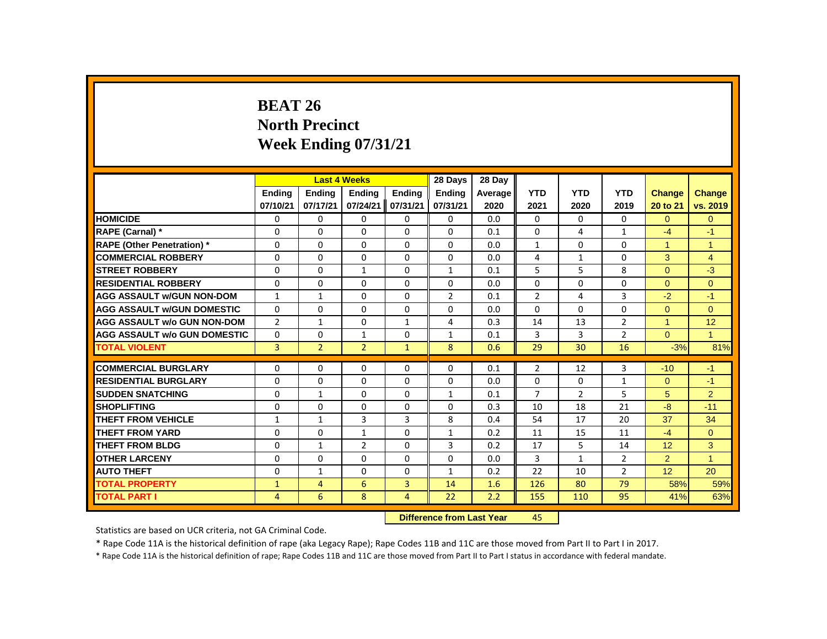# **BEAT 26 North Precinct Week Ending 07/31/21**

|                                     |                |                           | <b>Last 4 Weeks</b> |                | 28 Days        | 28 Day  |                |                |                |                 |                |
|-------------------------------------|----------------|---------------------------|---------------------|----------------|----------------|---------|----------------|----------------|----------------|-----------------|----------------|
|                                     | Ending         | Ending                    | <b>Ending</b>       | Ending         | <b>Ending</b>  | Average | <b>YTD</b>     | <b>YTD</b>     | <b>YTD</b>     | <b>Change</b>   | Change         |
|                                     | 07/10/21       | 07/17/21                  | 07/24/21            | 07/31/21       | 07/31/21       | 2020    | 2021           | 2020           | 2019           | 20 to 21        | vs. 2019       |
| <b>HOMICIDE</b>                     | 0              | 0                         | $\mathbf{0}$        | $\mathbf{0}$   | 0              | 0.0     | $\mathbf{0}$   | $\Omega$       | $\mathbf{0}$   | $\Omega$        | $\overline{0}$ |
| RAPE (Carnal) *                     | 0              | $\Omega$                  | $\Omega$            | $\Omega$       | $\Omega$       | 0.1     | 0              | 4              | $\mathbf{1}$   | $-4$            | $-1$           |
| <b>RAPE (Other Penetration) *</b>   | 0              | 0                         | 0                   | 0              | 0              | 0.0     | $\mathbf{1}$   | 0              | 0              | $\mathbf{1}$    | $\mathbf{1}$   |
| <b>COMMERCIAL ROBBERY</b>           | $\Omega$       | $\Omega$                  | $\Omega$            | $\Omega$       | $\Omega$       | 0.0     | 4              | $\mathbf{1}$   | $\Omega$       | 3               | $\overline{4}$ |
| <b>STREET ROBBERY</b>               | $\Omega$       | $\Omega$                  | $\mathbf{1}$        | $\Omega$       | $\mathbf{1}$   | 0.1     | 5              | 5              | 8              | $\Omega$        | $-3$           |
| <b>RESIDENTIAL ROBBERY</b>          | 0              | 0                         | $\Omega$            | 0              | 0              | 0.0     | 0              | 0              | 0              | $\Omega$        | $\mathbf{0}$   |
| <b>AGG ASSAULT W/GUN NON-DOM</b>    | $\mathbf{1}$   | $\mathbf{1}$              | $\Omega$            | $\Omega$       | $\overline{2}$ | 0.1     | $\overline{2}$ | 4              | 3              | $-2$            | $-1$           |
| <b>AGG ASSAULT w/GUN DOMESTIC</b>   | $\Omega$       | $\Omega$                  | $\Omega$            | $\Omega$       | $\Omega$       | 0.0     | $\Omega$       | $\Omega$       | $\Omega$       | $\Omega$        | $\Omega$       |
| <b>AGG ASSAULT w/o GUN NON-DOM</b>  | $\overline{2}$ | $\mathbf{1}$              | $\Omega$            | $\mathbf{1}$   | 4              | 0.3     | 14             | 13             | $\overline{2}$ | $\mathbf{1}$    | 12             |
| <b>AGG ASSAULT W/o GUN DOMESTIC</b> | 0              | 0                         | $\mathbf{1}$        | 0              | $\mathbf{1}$   | 0.1     | 3              | 3              | $\overline{2}$ | $\mathbf{0}$    | $\mathbf{1}$   |
| <b>TOTAL VIOLENT</b>                | $\overline{3}$ | $\overline{2}$            | $\overline{2}$      | $\mathbf{1}$   | 8              | 0.6     | 29             | 30             | 16             | $-3%$           | 81%            |
| <b>COMMERCIAL BURGLARY</b>          | 0              | 0                         | 0                   | 0              | 0              | 0.1     | $\overline{2}$ | 12             | 3              | $-10$           | $-1$           |
| <b>RESIDENTIAL BURGLARY</b>         | 0              | $\Omega$                  | $\Omega$            | $\Omega$       | 0              | 0.0     | 0              | $\mathbf 0$    | $\mathbf{1}$   | $\overline{0}$  | $-1$           |
| <b>SUDDEN SNATCHING</b>             | 0              | $\mathbf{1}$              | $\Omega$            | $\Omega$       | $\mathbf{1}$   | 0.1     | $\overline{7}$ | $\overline{2}$ | 5              | 5               | $\overline{2}$ |
| <b>SHOPLIFTING</b>                  | 0              | $\Omega$                  | $\Omega$            | $\Omega$       | $\Omega$       | 0.3     | 10             | 18             | 21             | $-8$            | $-11$          |
| THEFT FROM VEHICLE                  | $\mathbf{1}$   | $\mathbf{1}$              | 3                   | 3              | 8              | 0.4     | 54             | 17             | 20             | 37              | 34             |
| <b>THEFT FROM YARD</b>              | $\Omega$       | $\Omega$                  | $\mathbf{1}$        | $\Omega$       | $\mathbf{1}$   | 0.2     | 11             | 15             | 11             | $-4$            | $\Omega$       |
| <b>THEFT FROM BLDG</b>              | $\Omega$       | $\mathbf{1}$              | $\overline{2}$      | $\Omega$       | 3              | 0.2     | 17             | 5              | 14             | 12              | 3              |
| <b>OTHER LARCENY</b>                | 0              | 0                         | $\Omega$            | $\Omega$       | 0              | 0.0     | 3              | $\mathbf{1}$   | $\overline{2}$ | $\overline{2}$  | $\overline{1}$ |
| <b>AUTO THEFT</b>                   | 0              | $\mathbf{1}$              | $\Omega$            | $\mathbf 0$    | $\mathbf{1}$   | 0.2     | 22             | 10             | $\overline{2}$ | 12 <sup>°</sup> | 20             |
| <b>TOTAL PROPERTY</b>               | $\mathbf{1}$   | $\overline{4}$            | 6                   | 3              | 14             | 1.6     | 126            | 80             | 79             | 58%             | 59%            |
| <b>TOTAL PART I</b>                 | $\overline{4}$ | 6                         | 8                   | $\overline{4}$ | 22             | 2.2     | 155            | 110            | 95             | 41%             | 63%            |
|                                     |                | Difference from Last Year |                     | 45.            |                |         |                |                |                |                 |                |

 **Difference from Last Year** 45

Statistics are based on UCR criteria, not GA Criminal Code.

\* Rape Code 11A is the historical definition of rape (aka Legacy Rape); Rape Codes 11B and 11C are those moved from Part II to Part I in 2017.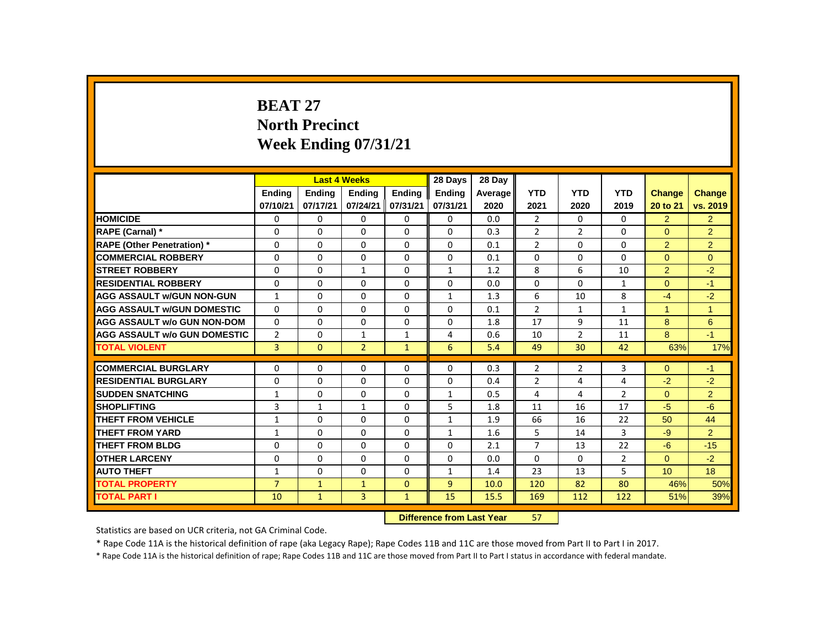# **BEAT 27 North Precinct Week Ending 07/31/21**

|                                     |                | <b>Last 4 Weeks</b> |                                  |               | 28 Days       | 28 Day  |                |                |                |                 |                |
|-------------------------------------|----------------|---------------------|----------------------------------|---------------|---------------|---------|----------------|----------------|----------------|-----------------|----------------|
|                                     | Ending         | <b>Ending</b>       | <b>Ending</b>                    | <b>Ending</b> | <b>Ending</b> | Average | <b>YTD</b>     | <b>YTD</b>     | <b>YTD</b>     | Change          | Change         |
|                                     | 07/10/21       | 07/17/21            | 07/24/21                         | 07/31/21      | 07/31/21      | 2020    | 2021           | 2020           | 2019           | 20 to 21        | vs. 2019       |
| <b>HOMICIDE</b>                     | 0              | 0                   | 0                                | 0             | 0             | 0.0     | $\overline{2}$ | 0              | 0              | $\overline{2}$  | $\overline{2}$ |
| RAPE (Carnal) *                     | 0              | 0                   | 0                                | 0             | 0             | 0.3     | $\overline{2}$ | $\overline{2}$ | 0              | $\Omega$        | $\overline{2}$ |
| <b>RAPE (Other Penetration) *</b>   | $\Omega$       | $\mathbf{0}$        | $\Omega$                         | $\Omega$      | $\Omega$      | 0.1     | $\overline{2}$ | $\Omega$       | $\Omega$       | $\overline{2}$  | $\overline{2}$ |
| <b>COMMERCIAL ROBBERY</b>           | 0              | $\mathbf{0}$        | 0                                | 0             | 0             | 0.1     | $\Omega$       | 0              | 0              | $\Omega$        | $\Omega$       |
| <b>STREET ROBBERY</b>               | 0              | 0                   | $\mathbf{1}$                     | 0             | $\mathbf{1}$  | 1.2     | 8              | 6              | 10             | $\overline{2}$  | $-2$           |
| <b>RESIDENTIAL ROBBERY</b>          | $\Omega$       | 0                   | 0                                | 0             | 0             | 0.0     | $\Omega$       | $\Omega$       | $\mathbf{1}$   | $\mathbf{0}$    | $-1$           |
| <b>AGG ASSAULT W/GUN NON-GUN</b>    | $\mathbf{1}$   | $\mathbf{0}$        | $\Omega$                         | $\Omega$      | $\mathbf{1}$  | 1.3     | 6              | 10             | 8              | $-4$            | $-2$           |
| <b>AGG ASSAULT W/GUN DOMESTIC</b>   | $\Omega$       | $\mathbf{0}$        | 0                                | 0             | 0             | 0.1     | $\mathcal{P}$  | $\mathbf{1}$   | 1              | $\mathbf{1}$    | $\overline{1}$ |
| <b>AGG ASSAULT w/o GUN NON-DOM</b>  | 0              | 0                   | 0                                | 0             | 0             | 1.8     | 17             | 9              | 11             | 8               | 6              |
| <b>AGG ASSAULT W/o GUN DOMESTIC</b> | $\overline{2}$ | 0                   | 1                                | $\mathbf{1}$  | 4             | 0.6     | 10             | $\overline{2}$ | 11             | 8               | $-1$           |
| <b>TOTAL VIOLENT</b>                | $\overline{3}$ | $\mathbf{0}$        | $\overline{2}$                   | $\mathbf{1}$  | 6             | 5.4     | 49             | 30             | 42             | 63%             | 17%            |
| <b>COMMERCIAL BURGLARY</b>          | 0              | 0                   | 0                                | 0             | 0             | 0.3     | 2              | 2              | 3              | $\overline{0}$  | $-1$           |
| <b>RESIDENTIAL BURGLARY</b>         | $\Omega$       | $\mathbf{0}$        | $\Omega$                         | $\Omega$      | $\Omega$      | 0.4     | $\overline{2}$ | 4              | 4              | $-2$            | $-2$           |
| <b>SUDDEN SNATCHING</b>             | $\mathbf{1}$   | $\Omega$            | $\Omega$                         | $\Omega$      | $\mathbf{1}$  | 0.5     | $\overline{4}$ | 4              | $\overline{2}$ | $\Omega$        | $\overline{2}$ |
| <b>SHOPLIFTING</b>                  | 3              | $\mathbf{1}$        | 1                                | 0             | 5             | 1.8     | 11             | 16             | 17             | $-5$            | $-6$           |
| <b>THEFT FROM VEHICLE</b>           | $\mathbf{1}$   | 0                   | $\Omega$                         | $\Omega$      | $\mathbf{1}$  | 1.9     | 66             | 16             | 22             | 50              | 44             |
| <b>THEFT FROM YARD</b>              | $\mathbf{1}$   | $\mathbf{0}$        | $\Omega$                         | $\mathbf 0$   | $\mathbf{1}$  | 1.6     | 5              | 14             | 3              | $-9$            | $\overline{2}$ |
| <b>THEFT FROM BLDG</b>              | 0              | $\Omega$            | 0                                | 0             | 0             | 2.1     | $\overline{7}$ | 13             | 22             | $-6$            | $-15$          |
| <b>OTHER LARCENY</b>                | 0              | $\mathbf{0}$        | 0                                | $\Omega$      | $\Omega$      | 0.0     | $\Omega$       | $\mathbf{0}$   | $\overline{2}$ | $\Omega$        | $-2$           |
| <b>AUTO THEFT</b>                   | $\mathbf{1}$   | $\Omega$            | $\Omega$                         | 0             | $\mathbf{1}$  | 1.4     | 23             | 13             | 5              | 10 <sup>°</sup> | 18             |
| <b>TOTAL PROPERTY</b>               | $\overline{7}$ | $\mathbf{1}$        | $\mathbf{1}$                     | $\mathbf{0}$  | 9             | 10.0    | 120            | 82             | 80             | 46%             | 50%            |
| <b>TOTAL PART I</b>                 | 10             | $\mathbf{1}$        | $\overline{3}$                   | $\mathbf{1}$  | 15            | 15.5    | 169            | 112            | 122            | 51%             | 39%            |
|                                     |                |                     | <b>Difference from Last Year</b> |               | 57            |         |                |                |                |                 |                |

Statistics are based on UCR criteria, not GA Criminal Code.

\* Rape Code 11A is the historical definition of rape (aka Legacy Rape); Rape Codes 11B and 11C are those moved from Part II to Part I in 2017.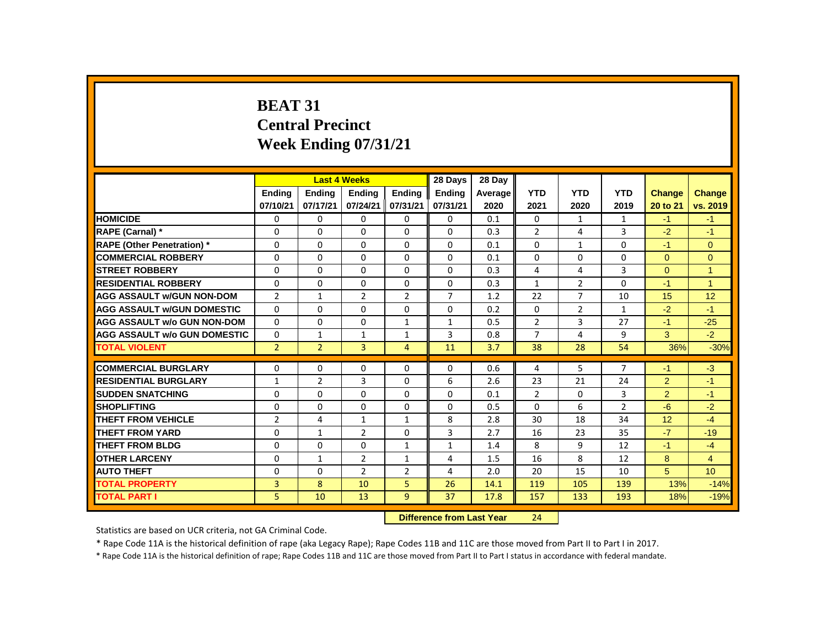# **BEAT 31 Central Precinct Week Ending 07/31/21**

|                                     |                |                | <b>Last 4 Weeks</b>       |                | 28 Days       | 28 Day  |                |                |                |                |                 |
|-------------------------------------|----------------|----------------|---------------------------|----------------|---------------|---------|----------------|----------------|----------------|----------------|-----------------|
|                                     | <b>Ending</b>  | <b>Ending</b>  | <b>Ending</b>             | <b>Ending</b>  | <b>Ending</b> | Average | <b>YTD</b>     | <b>YTD</b>     | <b>YTD</b>     | Change         | <b>Change</b>   |
|                                     | 07/10/21       | 07/17/21       | 07/24/21                  | 07/31/21       | 07/31/21      | 2020    | 2021           | 2020           | 2019           | 20 to 21       | vs. 2019        |
| <b>HOMICIDE</b>                     | 0              | 0              | 0                         | 0              | 0             | 0.1     | 0              | $\mathbf{1}$   | 1              | $-1$           | $-1$            |
| <b>RAPE (Carnal)</b> *              | 0              | 0              | 0                         | 0              | 0             | 0.3     | $\overline{2}$ | 4              | 3              | $-2$           | $-1$            |
| <b>RAPE (Other Penetration) *</b>   | $\Omega$       | $\Omega$       | $\Omega$                  | $\Omega$       | $\Omega$      | 0.1     | $\Omega$       | $\mathbf{1}$   | $\Omega$       | $-1$           | $\overline{0}$  |
| <b>COMMERCIAL ROBBERY</b>           | $\Omega$       | $\Omega$       | $\Omega$                  | $\Omega$       | $\Omega$      | 0.1     | $\Omega$       | $\Omega$       | $\Omega$       | $\Omega$       | $\Omega$        |
| <b>STREET ROBBERY</b>               | 0              | 0              | 0                         | 0              | 0             | 0.3     | 4              | 4              | 3              | $\mathbf{0}$   | $\mathbf{1}$    |
| <b>RESIDENTIAL ROBBERY</b>          | $\Omega$       | $\Omega$       | $\Omega$                  | $\Omega$       | $\Omega$      | 0.3     | $\mathbf{1}$   | $\overline{2}$ | $\Omega$       | $-1$           | $\mathbf{1}$    |
| <b>AGG ASSAULT W/GUN NON-DOM</b>    | $\overline{2}$ | $\mathbf{1}$   | $\overline{2}$            | $\overline{2}$ | 7             | 1.2     | 22             | $\overline{7}$ | 10             | 15             | 12              |
| <b>AGG ASSAULT W/GUN DOMESTIC</b>   | $\Omega$       | $\Omega$       | $\Omega$                  | $\Omega$       | $\Omega$      | 0.2     | $\Omega$       | $\overline{2}$ | $\mathbf{1}$   | $-2$           | $-1$            |
| <b>AGG ASSAULT w/o GUN NON-DOM</b>  | $\Omega$       | $\Omega$       | $\Omega$                  | $\mathbf{1}$   | $\mathbf{1}$  | 0.5     | $\overline{2}$ | 3              | 27             | $-1$           | $-25$           |
| <b>AGG ASSAULT W/o GUN DOMESTIC</b> | 0              | $\mathbf{1}$   | 1                         | $\mathbf{1}$   | 3             | 0.8     | $\overline{7}$ | 4              | 9              | 3              | $-2$            |
| <b>TOTAL VIOLENT</b>                | $\overline{2}$ | $\overline{2}$ | $\overline{3}$            | $\overline{4}$ | 11            | 3.7     | 38             | 28             | 54             | 36%            | $-30%$          |
| <b>COMMERCIAL BURGLARY</b>          | 0              | 0              | 0                         | 0              | 0             | 0.6     | 4              | 5              | 7              | $-1$           | $-3$            |
| <b>RESIDENTIAL BURGLARY</b>         | $\mathbf{1}$   | $\overline{2}$ | 3                         | $\Omega$       | 6             | 2.6     | 23             | 21             | 24             | $\overline{2}$ | $-1$            |
| <b>SUDDEN SNATCHING</b>             | $\Omega$       | $\Omega$       | $\Omega$                  | 0              | $\Omega$      | 0.1     | $\overline{2}$ | 0              | 3              | 2              | $-1$            |
| <b>SHOPLIFTING</b>                  | $\Omega$       | $\Omega$       | $\Omega$                  | $\Omega$       | $\Omega$      | 0.5     | $\Omega$       | 6              | $\overline{2}$ | $-6$           | $-2$            |
| <b>THEFT FROM VEHICLE</b>           | $\overline{2}$ | 4              | $\mathbf{1}$              | $\mathbf{1}$   | 8             | 2.8     | 30             | 18             | 34             | 12             | $-4$            |
| <b>THEFT FROM YARD</b>              | 0              | $\mathbf{1}$   | 2                         | 0              | 3             | 2.7     | 16             | 23             | 35             | $-7$           | $-19$           |
| <b>THEFT FROM BLDG</b>              | $\Omega$       | $\Omega$       | $\Omega$                  | $\mathbf{1}$   | $\mathbf{1}$  | 1.4     | 8              | 9              | 12             | $-1$           | $-4$            |
| <b>OTHER LARCENY</b>                | $\Omega$       | $\mathbf{1}$   | $\overline{2}$            | $\mathbf{1}$   | 4             | 1.5     | 16             | 8              | 12             | 8              | $\overline{4}$  |
| <b>AUTO THEFT</b>                   | 0              | $\Omega$       | $\overline{2}$            | $\overline{2}$ | 4             | 2.0     | 20             | 15             | 10             | 5              | 10 <sup>°</sup> |
| <b>TOTAL PROPERTY</b>               | 3              | 8              | 10                        | 5              | 26            | 14.1    | 119            | 105            | 139            | 13%            | $-14%$          |
| TOTAL PART I                        | 5              | 10             | 13                        | 9              | 37            | 17.8    | 157            | 133            | 193            | 18%            | $-19%$          |
|                                     |                |                | Difference from Last Year |                | 21            |         |                |                |                |                |                 |

 **Difference from Last Year** 24

Statistics are based on UCR criteria, not GA Criminal Code.

\* Rape Code 11A is the historical definition of rape (aka Legacy Rape); Rape Codes 11B and 11C are those moved from Part II to Part I in 2017.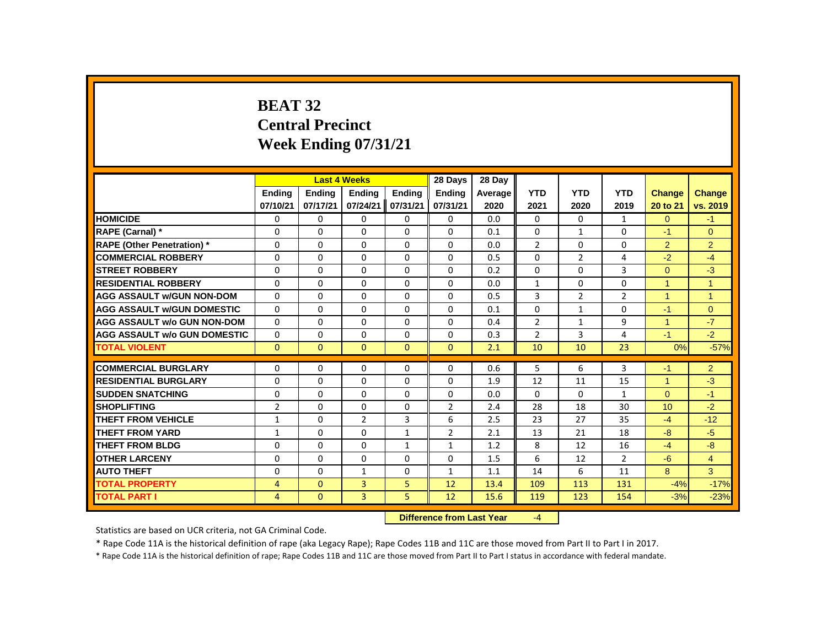# **BEAT 32 Central Precinct Week Ending 07/31/21**

|                                     |                |               | <b>Last 4 Weeks</b> |               | 28 Days        | 28 Day                    |                |                |                |                      |                |
|-------------------------------------|----------------|---------------|---------------------|---------------|----------------|---------------------------|----------------|----------------|----------------|----------------------|----------------|
|                                     | <b>Ending</b>  | <b>Ending</b> | <b>Ending</b>       | <b>Endina</b> | <b>Ending</b>  | Average                   | <b>YTD</b>     | <b>YTD</b>     | <b>YTD</b>     | <b>Change</b>        | <b>Change</b>  |
|                                     | 07/10/21       | 07/17/21      | 07/24/21            | 07/31/21      | 07/31/21       | 2020                      | 2021           | 2020           | 2019           | 20 to 21             | vs. 2019       |
| <b>HOMICIDE</b>                     | 0              | $\Omega$      | 0                   | 0             | 0              | 0.0                       | 0              | 0              | $\mathbf{1}$   | $\Omega$             | $-1$           |
| RAPE (Carnal) *                     | 0              | 0             | $\Omega$            | 0             | 0              | 0.1                       | 0              | $\mathbf{1}$   | 0              | $-1$                 | $\Omega$       |
| <b>RAPE (Other Penetration)</b> *   | $\Omega$       | $\Omega$      | $\Omega$            | $\Omega$      | $\Omega$       | 0.0                       | $\overline{2}$ | $\Omega$       | $\Omega$       | $\overline{2}$       | $\overline{2}$ |
| <b>COMMERCIAL ROBBERY</b>           | $\Omega$       | $\Omega$      | $\Omega$            | $\Omega$      | $\Omega$       | 0.5                       | $\Omega$       | $\overline{2}$ | 4              | $-2$                 | $-4$           |
| <b>STREET ROBBERY</b>               | 0              | 0             | 0                   | 0             | 0              | 0.2                       | 0              | 0              | 3              | $\mathbf{0}$         | $-3$           |
| <b>RESIDENTIAL ROBBERY</b>          | $\Omega$       | $\Omega$      | $\Omega$            | $\Omega$      | $\Omega$       | 0.0                       | 1              | $\Omega$       | $\Omega$       | 1                    | $\mathbf{1}$   |
| <b>AGG ASSAULT w/GUN NON-DOM</b>    | 0              | $\mathbf{0}$  | $\Omega$            | 0             | 0              | 0.5                       | 3              | $\overline{2}$ | $\overline{2}$ | $\blacktriangleleft$ | $\mathbf{1}$   |
| <b>AGG ASSAULT w/GUN DOMESTIC</b>   | $\Omega$       | $\Omega$      | $\Omega$            | $\Omega$      | $\Omega$       | 0.1                       | $\Omega$       | $\mathbf{1}$   | $\Omega$       | $-1$                 | $\Omega$       |
| <b>AGG ASSAULT w/o GUN NON-DOM</b>  | $\Omega$       | $\Omega$      | $\Omega$            | $\Omega$      | $\Omega$       | 0.4                       | $\overline{2}$ | $\mathbf{1}$   | 9              | $\mathbf{1}$         | $-7$           |
| <b>AGG ASSAULT w/o GUN DOMESTIC</b> | 0              | 0             | 0                   | 0             | 0              | 0.3                       | $\overline{2}$ | 3              | 4              | $-1$                 | $-2$           |
| <b>TOTAL VIOLENT</b>                | $\mathbf{0}$   | $\mathbf{0}$  | $\mathbf{0}$        | $\mathbf{0}$  | $\mathbf{0}$   | 2.1                       | 10             | 10             | 23             | 0%                   | $-57%$         |
| <b>COMMERCIAL BURGLARY</b>          | 0              | 0             | 0                   | 0             | 0              | 0.6                       | 5              | 6              | 3              | $-1$                 | $\overline{2}$ |
| <b>RESIDENTIAL BURGLARY</b>         | $\Omega$       | $\Omega$      | $\Omega$            | $\Omega$      | $\Omega$       | 1.9                       | 12             | 11             | 15             | 1                    | $-3$           |
| <b>SUDDEN SNATCHING</b>             | 0              | $\mathbf{0}$  | $\Omega$            | $\Omega$      | $\Omega$       | 0.0                       | $\mathbf{0}$   | 0              | $\mathbf{1}$   | $\Omega$             | $-1$           |
| <b>SHOPLIFTING</b>                  | $\overline{2}$ | $\Omega$      | $\Omega$            | $\Omega$      | $\overline{2}$ | 2.4                       | 28             | 18             | 30             | 10                   | $-2$           |
| <b>THEFT FROM VEHICLE</b>           | $\mathbf{1}$   | $\Omega$      | $\overline{2}$      | 3             | 6              | 2.5                       | 23             | 27             | 35             | $-4$                 | $-12$          |
| <b>THEFT FROM YARD</b>              | $\mathbf{1}$   | $\mathbf{0}$  | 0                   | $\mathbf{1}$  | $\overline{2}$ | 2.1                       | 13             | 21             | 18             | $-8$                 | $-5$           |
| <b>THEFT FROM BLDG</b>              | $\Omega$       | $\Omega$      | $\Omega$            | $\mathbf{1}$  | $\mathbf{1}$   | 1.2                       | 8              | 12             | 16             | $-4$                 | $-8$           |
| <b>OTHER LARCENY</b>                | $\Omega$       | $\Omega$      | $\Omega$            | $\Omega$      | $\Omega$       | 1.5                       | 6              | 12             | $\overline{2}$ | $-6$                 | $\overline{4}$ |
| <b>AUTO THEFT</b>                   | 0              | $\Omega$      | $\mathbf{1}$        | $\Omega$      | $\mathbf{1}$   | 1.1                       | 14             | 6              | 11             | 8                    | 3              |
| <b>TOTAL PROPERTY</b>               | 4              | $\mathbf{0}$  | 3                   | 5             | 12             | 13.4                      | 109            | 113            | 131            | $-4%$                | $-17%$         |
| <b>TOTAL PART I</b>                 | 4              | $\mathbf{0}$  | $\overline{3}$      | 5             | 12             | 15.6                      | 119            | 123            | 154            | $-3%$                | $-23%$         |
|                                     |                |               |                     |               |                | Difference from Last Year | $\mathcal{A}$  |                |                |                      |                |

*<u>IIIerence from Last Year</u>* 

Statistics are based on UCR criteria, not GA Criminal Code.

\* Rape Code 11A is the historical definition of rape (aka Legacy Rape); Rape Codes 11B and 11C are those moved from Part II to Part I in 2017.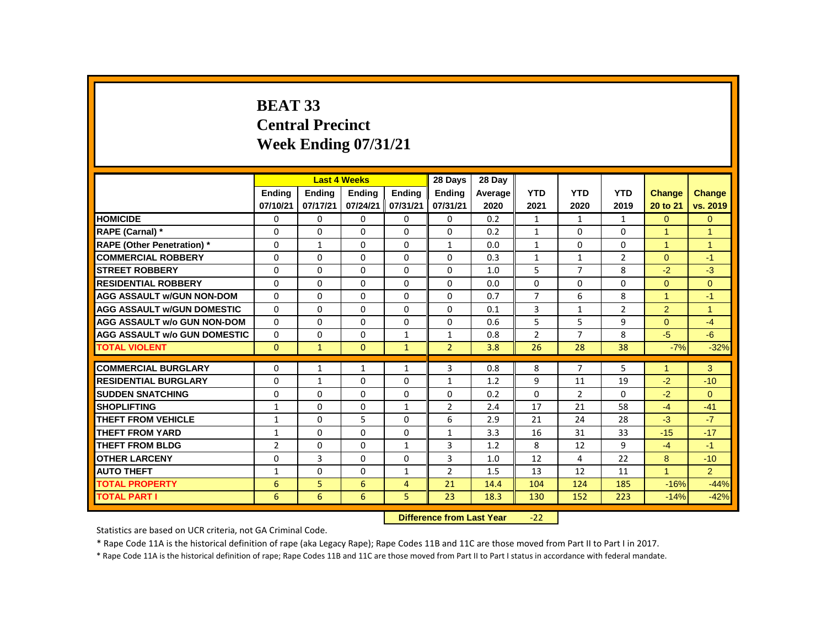# **BEAT 33 Central Precinct Week Ending 07/31/21**

|                                     |                | <b>Last 4 Weeks</b>       |               |                | 28 Days        | 28 Day  |                |                |                |                      |                |
|-------------------------------------|----------------|---------------------------|---------------|----------------|----------------|---------|----------------|----------------|----------------|----------------------|----------------|
|                                     | <b>Ending</b>  | <b>Ending</b>             | <b>Ending</b> | <b>Ending</b>  | <b>Ending</b>  | Average | <b>YTD</b>     | <b>YTD</b>     | <b>YTD</b>     | Change               | Change         |
|                                     | 07/10/21       | 07/17/21                  | 07/24/21      | 07/31/21       | 07/31/21       | 2020    | 2021           | 2020           | 2019           | 20 to 21             | vs. 2019       |
| <b>HOMICIDE</b>                     | 0              | $\Omega$                  | 0             | 0              | 0              | 0.2     | $\mathbf{1}$   | $\mathbf{1}$   | $\mathbf{1}$   | $\Omega$             | $\overline{0}$ |
| RAPE (Carnal) *                     | 0              | $\Omega$                  | $\Omega$      | $\Omega$       | 0              | 0.2     | $\mathbf{1}$   | $\Omega$       | $\Omega$       | $\overline{1}$       | $\overline{1}$ |
| <b>RAPE (Other Penetration) *</b>   | $\Omega$       | $\mathbf{1}$              | $\Omega$      | $\Omega$       | $\mathbf{1}$   | 0.0     | $\mathbf{1}$   | $\Omega$       | $\Omega$       | $\mathbf{1}$         | $\overline{1}$ |
| <b>COMMERCIAL ROBBERY</b>           | $\Omega$       | $\Omega$                  | $\Omega$      | $\Omega$       | $\Omega$       | 0.3     | $\mathbf{1}$   | $\mathbf{1}$   | $\overline{2}$ | $\Omega$             | $-1$           |
| <b>STREET ROBBERY</b>               | $\Omega$       | $\Omega$                  | $\Omega$      | $\Omega$       | 0              | 1.0     | 5              | $\overline{7}$ | 8              | $-2$                 | $-3$           |
| <b>RESIDENTIAL ROBBERY</b>          | $\Omega$       | $\Omega$                  | $\Omega$      | $\Omega$       | 0              | 0.0     | $\Omega$       | $\Omega$       | $\Omega$       | $\Omega$             | $\Omega$       |
| <b>AGG ASSAULT w/GUN NON-DOM</b>    | $\Omega$       | $\Omega$                  | $\Omega$      | $\Omega$       | 0              | 0.7     | $\overline{7}$ | 6              | 8              | $\blacktriangleleft$ | $-1$           |
| <b>AGG ASSAULT W/GUN DOMESTIC</b>   | $\Omega$       | 0                         | $\Omega$      | $\Omega$       | 0              | 0.1     | 3              | $\mathbf{1}$   | $\overline{2}$ | $\overline{2}$       | $\overline{1}$ |
| <b>AGG ASSAULT w/o GUN NON-DOM</b>  | $\Omega$       | $\Omega$                  | $\Omega$      | $\Omega$       | $\Omega$       | 0.6     | 5              | 5              | 9              | $\Omega$             | $-4$           |
| <b>AGG ASSAULT w/o GUN DOMESTIC</b> | $\Omega$       | 0                         | $\Omega$      | $\mathbf{1}$   | $\mathbf{1}$   | 0.8     | $\overline{2}$ | $\overline{7}$ | 8              | $-5$                 | $-6$           |
| <b>TOTAL VIOLENT</b>                | $\Omega$       | $\mathbf{1}$              | $\mathbf{0}$  | $\mathbf{1}$   | $\overline{2}$ | 3.8     | 26             | 28             | 38             | $-7%$                | $-32%$         |
| <b>COMMERCIAL BURGLARY</b>          | $\Omega$       | $\mathbf{1}$              | $\mathbf{1}$  | $\mathbf{1}$   | 3              | 0.8     | 8              | $\overline{7}$ | 5              | $\blacktriangleleft$ | 3              |
| <b>RESIDENTIAL BURGLARY</b>         | $\Omega$       | $\mathbf{1}$              | $\Omega$      | $\Omega$       | $\mathbf{1}$   | 1.2     | 9              | 11             | 19             | $-2$                 | $-10$          |
| <b>SUDDEN SNATCHING</b>             | $\Omega$       | 0                         | $\Omega$      | $\Omega$       | 0              | 0.2     | $\Omega$       | $\overline{2}$ | 0              | $-2$                 | $\Omega$       |
| <b>SHOPLIFTING</b>                  | $\mathbf{1}$   | 0                         | 0             | $\mathbf{1}$   | $\overline{2}$ | 2.4     | 17             | 21             | 58             | $-4$                 | $-41$          |
| <b>THEFT FROM VEHICLE</b>           | $\mathbf{1}$   | $\Omega$                  | 5             | $\Omega$       | 6              | 2.9     | 21             | 24             | 28             | $-3$                 | $-7$           |
| <b>THEFT FROM YARD</b>              | 1              | 0                         | $\Omega$      | 0              | 1              | 3.3     | 16             | 31             | 33             | $-15$                | $-17$          |
| <b>THEFT FROM BLDG</b>              | $\overline{2}$ | 0                         | 0             | $\mathbf{1}$   | 3              | 1.2     | 8              | 12             | 9              | $-4$                 | $-1$           |
| <b>OTHER LARCENY</b>                | $\Omega$       | 3                         | $\Omega$      | $\Omega$       | 3              | 1.0     | 12             | 4              | 22             | 8                    | $-10$          |
| <b>AUTO THEFT</b>                   | $\mathbf{1}$   | $\Omega$                  | $\Omega$      | $\mathbf{1}$   | $\overline{2}$ | 1.5     | 13             | 12             | 11             | $\mathbf{1}$         | 2              |
| <b>TOTAL PROPERTY</b>               | 6              | 5                         | 6             | $\overline{4}$ | 21             | 14.4    | 104            | 124            | 185            | $-16%$               | $-44%$         |
| <b>TOTAL PART I</b>                 | 6              | 6                         | 6             | 5              | 23             | 18.3    | 130            | 152            | 223            | $-14%$               | $-42%$         |
|                                     |                | Difference from Last Year |               | $-22$          |                |         |                |                |                |                      |                |

 **Difference from Last Year** -22

Statistics are based on UCR criteria, not GA Criminal Code.

\* Rape Code 11A is the historical definition of rape (aka Legacy Rape); Rape Codes 11B and 11C are those moved from Part II to Part I in 2017.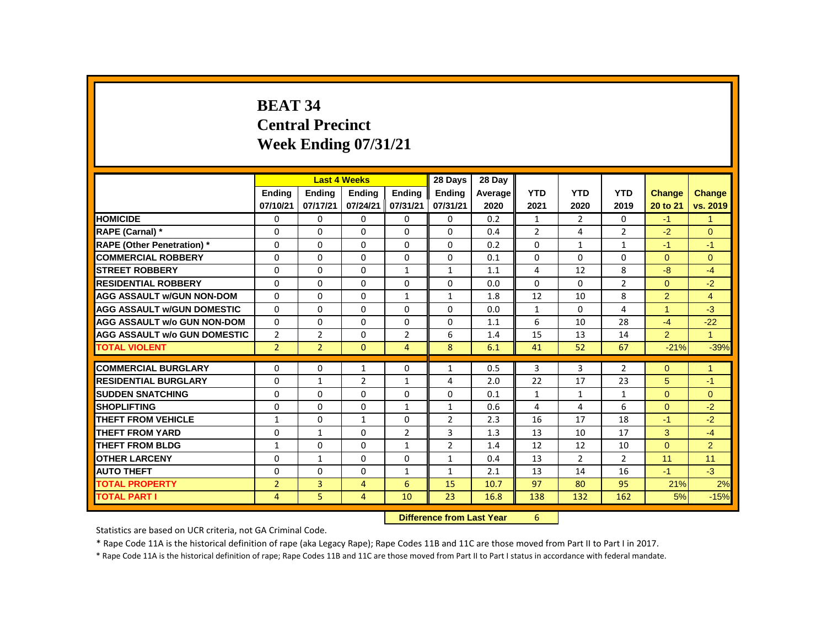# **BEAT 34 Central Precinct Week Ending 07/31/21**

|                                     |                |                | <b>Last 4 Weeks</b> |                | 28 Days                   | 28 Day  |                |                |                |                |                |
|-------------------------------------|----------------|----------------|---------------------|----------------|---------------------------|---------|----------------|----------------|----------------|----------------|----------------|
|                                     | <b>Endina</b>  | <b>Endina</b>  | <b>Endina</b>       | <b>Endina</b>  | <b>Endina</b>             | Average | <b>YTD</b>     | <b>YTD</b>     | <b>YTD</b>     | <b>Change</b>  | <b>Change</b>  |
|                                     | 07/10/21       | 07/17/21       | 07/24/21            | 07/31/21       | 07/31/21                  | 2020    | 2021           | 2020           | 2019           | 20 to 21       | vs. 2019       |
| <b>HOMICIDE</b>                     | 0              | 0              | 0                   | 0              | 0                         | 0.2     | $\mathbf{1}$   | $\overline{2}$ | 0              | $-1$           | $\mathbf{1}$   |
| RAPE (Carnal) *                     | 0              | $\Omega$       | $\Omega$            | $\Omega$       | $\Omega$                  | 0.4     | $\overline{2}$ | 4              | $\overline{2}$ | $-2$           | $\Omega$       |
| <b>RAPE (Other Penetration)</b> *   | $\Omega$       | $\Omega$       | $\Omega$            | $\Omega$       | $\Omega$                  | 0.2     | $\Omega$       | $\mathbf{1}$   | $\mathbf{1}$   | $-1$           | $-1$           |
| <b>COMMERCIAL ROBBERY</b>           | $\Omega$       | $\Omega$       | $\Omega$            | $\Omega$       | $\Omega$                  | 0.1     | $\Omega$       | $\Omega$       | $\Omega$       | $\Omega$       | $\Omega$       |
| <b>STREET ROBBERY</b>               | $\Omega$       | $\Omega$       | $\Omega$            | $\mathbf{1}$   | $\mathbf{1}$              | 1.1     | 4              | 12             | 8              | $-8$           | $-4$           |
| <b>RESIDENTIAL ROBBERY</b>          | 0              | 0              | 0                   | 0              | 0                         | 0.0     | 0              | 0              | $\overline{2}$ | $\Omega$       | $-2$           |
| <b>AGG ASSAULT W/GUN NON-DOM</b>    | $\Omega$       | $\Omega$       | $\Omega$            | $\mathbf{1}$   | $\mathbf{1}$              | 1.8     | 12             | 10             | 8              | $\overline{2}$ | $\overline{4}$ |
| <b>AGG ASSAULT W/GUN DOMESTIC</b>   | $\Omega$       | $\Omega$       | $\Omega$            | $\Omega$       | $\Omega$                  | 0.0     | 1              | 0              | 4              | $\mathbf{1}$   | $-3$           |
| <b>AGG ASSAULT w/o GUN NON-DOM</b>  | $\Omega$       | $\Omega$       | $\Omega$            | $\Omega$       | $\Omega$                  | 1.1     | 6              | 10             | 28             | $-4$           | $-22$          |
| <b>AGG ASSAULT W/o GUN DOMESTIC</b> | $\overline{2}$ | $\overline{2}$ | $\Omega$            | $\overline{2}$ | 6                         | 1.4     | 15             | 13             | 14             | $\overline{2}$ | $\mathbf{1}$   |
| <b>TOTAL VIOLENT</b>                | $\overline{2}$ | $\overline{2}$ | $\mathbf{0}$        | $\overline{4}$ | 8                         | 6.1     | 41             | 52             | 67             | $-21%$         | $-39%$         |
| <b>COMMERCIAL BURGLARY</b>          | $\Omega$       | $\Omega$       | $\mathbf{1}$        | 0              | $\mathbf{1}$              | 0.5     | 3              | 3              | $\overline{2}$ | $\Omega$       | $\mathbf{1}$   |
| <b>RESIDENTIAL BURGLARY</b>         | 0              | $\mathbf{1}$   | $\overline{2}$      | $\mathbf{1}$   | 4                         | 2.0     | 22             | 17             | 23             | 5              | $-1$           |
| <b>SUDDEN SNATCHING</b>             | 0              | 0              | $\Omega$            | 0              | 0                         | 0.1     | $\mathbf{1}$   | $\mathbf{1}$   | $\mathbf{1}$   | $\Omega$       | $\Omega$       |
| <b>SHOPLIFTING</b>                  | 0              | $\Omega$       | $\Omega$            | $\mathbf{1}$   | $\mathbf{1}$              | 0.6     | 4              | 4              | 6              | $\Omega$       | $-2$           |
| <b>THEFT FROM VEHICLE</b>           | $\mathbf{1}$   | $\Omega$       | $\mathbf{1}$        | $\Omega$       | $\overline{2}$            | 2.3     | 16             | 17             | 18             | $-1$           | $-2$           |
| <b>THEFT FROM YARD</b>              | $\Omega$       | $\mathbf{1}$   | $\Omega$            | $\overline{2}$ | 3                         | 1.3     | 13             | 10             | 17             | 3              | $-4$           |
| <b>THEFT FROM BLDG</b>              | $\mathbf{1}$   | $\Omega$       | $\Omega$            | $\mathbf{1}$   | $\overline{2}$            | 1.4     | 12             | 12             | 10             | $\overline{0}$ | 2              |
| <b>OTHER LARCENY</b>                | $\Omega$       | $\mathbf{1}$   | $\Omega$            | $\Omega$       | $\mathbf{1}$              | 0.4     | 13             | $\overline{2}$ | $\overline{2}$ | 11             | 11             |
| <b>AUTO THEFT</b>                   | $\Omega$       | $\Omega$       | $\Omega$            | $\mathbf{1}$   | $\mathbf{1}$              | 2.1     | 13             | 14             | 16             | $-1$           | $-3$           |
| <b>TOTAL PROPERTY</b>               | $\overline{2}$ | 3              | $\overline{4}$      | 6              | 15                        | 10.7    | 97             | 80             | 95             | 21%            | 2%             |
| TOTAL PART I                        | 4              | 5              | 4                   | 10             | 23                        | 16.8    | 138            | 132            | 162            | 5%             | $-15%$         |
|                                     |                |                |                     |                | Difference from Loot Voor |         | $\epsilon$     |                |                |                |                |

**Difference from Last Year** 6

Statistics are based on UCR criteria, not GA Criminal Code.

\* Rape Code 11A is the historical definition of rape (aka Legacy Rape); Rape Codes 11B and 11C are those moved from Part II to Part I in 2017.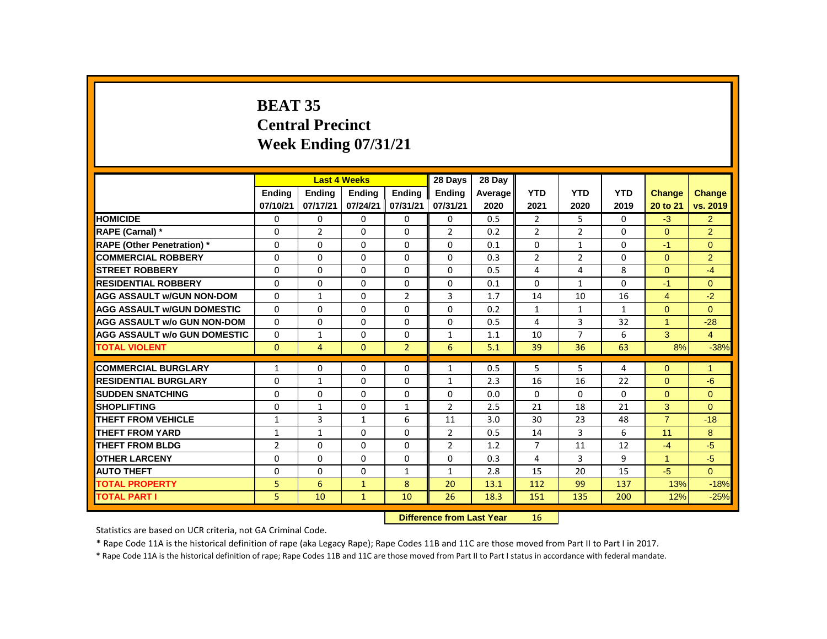# **BEAT 35 Central Precinct Week Ending 07/31/21**

|                                     |                |                | <b>Last 4 Weeks</b>       |                | 28 Days        | 28 Day  |                |                |            |                |                |
|-------------------------------------|----------------|----------------|---------------------------|----------------|----------------|---------|----------------|----------------|------------|----------------|----------------|
|                                     | <b>Ending</b>  | <b>Ending</b>  | <b>Ending</b>             | <b>Ending</b>  | <b>Endina</b>  | Average | <b>YTD</b>     | <b>YTD</b>     | <b>YTD</b> | Change         | <b>Change</b>  |
|                                     | 07/10/21       | 07/17/21       | 07/24/21                  | 07/31/21       | 07/31/21       | 2020    | 2021           | 2020           | 2019       | 20 to 21       | vs. 2019       |
| <b>HOMICIDE</b>                     | 0              | 0              | 0                         | 0              | 0              | 0.5     | $\overline{2}$ | 5              | 0          | $-3$           | $\overline{2}$ |
| RAPE (Carnal) *                     | 0              | $\overline{2}$ | $\Omega$                  | $\Omega$       | $\overline{2}$ | 0.2     | $\overline{2}$ | $\overline{2}$ | 0          | $\Omega$       | $\overline{2}$ |
| <b>RAPE (Other Penetration)</b> *   | $\mathbf 0$    | 0              | $\Omega$                  | $\mathbf 0$    | $\mathbf 0$    | 0.1     | $\mathbf 0$    | $\mathbf{1}$   | $\Omega$   | $-1$           | $\overline{0}$ |
| <b>COMMERCIAL ROBBERY</b>           | $\Omega$       | 0              | 0                         | 0              | 0              | 0.3     | $\overline{2}$ | $\overline{2}$ | 0          | $\Omega$       | $\overline{2}$ |
| <b>STREET ROBBERY</b>               | 0              | 0              | $\Omega$                  | 0              | 0              | 0.5     | 4              | 4              | 8          | $\Omega$       | $-4$           |
| <b>RESIDENTIAL ROBBERY</b>          | $\mathbf{0}$   | $\Omega$       | $\Omega$                  | $\Omega$       | 0              | 0.1     | $\Omega$       | $\mathbf{1}$   | 0          | $-1$           | $\Omega$       |
| <b>AGG ASSAULT w/GUN NON-DOM</b>    | 0              | $\mathbf{1}$   | $\Omega$                  | $\overline{2}$ | 3              | 1.7     | 14             | 10             | 16         | 4              | $-2$           |
| <b>AGG ASSAULT W/GUN DOMESTIC</b>   | $\Omega$       | $\Omega$       | $\Omega$                  | $\Omega$       | $\Omega$       | 0.2     | $\mathbf{1}$   | $\mathbf{1}$   | 1          | $\Omega$       | $\Omega$       |
| <b>AGG ASSAULT w/o GUN NON-DOM</b>  | $\Omega$       | 0              | 0                         | 0              | 0              | 0.5     | 4              | 3              | 32         | $\mathbf{1}$   | $-28$          |
| <b>AGG ASSAULT w/o GUN DOMESTIC</b> | $\mathbf{0}$   | 1              | 0                         | 0              | 1              | 1.1     | 10             | $\overline{7}$ | 6          | 3              | $\overline{4}$ |
| <b>TOTAL VIOLENT</b>                | $\mathbf{0}$   | $\overline{4}$ | $\mathbf{0}$              | $\overline{2}$ | 6              | 5.1     | 39             | 36             | 63         | 8%             | $-38%$         |
| <b>COMMERCIAL BURGLARY</b>          | $\mathbf{1}$   | 0              | 0                         | 0              | $\mathbf{1}$   | 0.5     | 5              | 5              | 4          | $\Omega$       | 1              |
| <b>RESIDENTIAL BURGLARY</b>         | 0              | $\mathbf{1}$   | $\Omega$                  | $\Omega$       | $\mathbf{1}$   | 2.3     | 16             | 16             | 22         | $\Omega$       | $-6$           |
| <b>SUDDEN SNATCHING</b>             | $\mathbf 0$    | 0              | $\Omega$                  | $\mathbf 0$    | 0              | 0.0     | $\Omega$       | $\Omega$       | $\Omega$   | $\overline{0}$ | $\overline{0}$ |
| <b>SHOPLIFTING</b>                  | $\mathbf{0}$   | $\mathbf{1}$   | $\Omega$                  | $\mathbf{1}$   | $\overline{2}$ | 2.5     | 21             | 18             | 21         | 3              | $\Omega$       |
| <b>THEFT FROM VEHICLE</b>           | 1              | 3              | 1                         | 6              | 11             | 3.0     | 30             | 23             | 48         | $\overline{7}$ | $-18$          |
| <b>THEFT FROM YARD</b>              | 1              | $\mathbf{1}$   | 0                         | 0              | $\overline{2}$ | 0.5     | 14             | 3              | 6          | 11             | 8              |
| <b>THEFT FROM BLDG</b>              | $\overline{2}$ | $\Omega$       | $\Omega$                  | $\mathbf 0$    | $\overline{2}$ | 1.2     | $\overline{7}$ | 11             | 12         | $-4$           | $-5$           |
| <b>OTHER LARCENY</b>                | $\mathbf{0}$   | $\Omega$       | $\Omega$                  | $\Omega$       | $\Omega$       | 0.3     | 4              | 3              | 9          | $\mathbf{1}$   | $-5$           |
| <b>AUTO THEFT</b>                   | 0              | 0              | 0                         | $\mathbf{1}$   | $\mathbf{1}$   | 2.8     | 15             | 20             | 15         | $-5$           | $\Omega$       |
| <b>TOTAL PROPERTY</b>               | 5              | 6              | $\mathbf{1}$              | 8              | 20             | 13.1    | 112            | 99             | 137        | 13%            | $-18%$         |
| <b>TOTAL PART I</b>                 | 5              | 10             | $\mathbf{1}$              | 10             | 26             | 18.3    | 151            | 135            | 200        | 12%            | $-25%$         |
|                                     |                |                | Difference from Last Year |                | 16.            |         |                |                |            |                |                |

 **Difference from Last Year** 16

Statistics are based on UCR criteria, not GA Criminal Code.

\* Rape Code 11A is the historical definition of rape (aka Legacy Rape); Rape Codes 11B and 11C are those moved from Part II to Part I in 2017.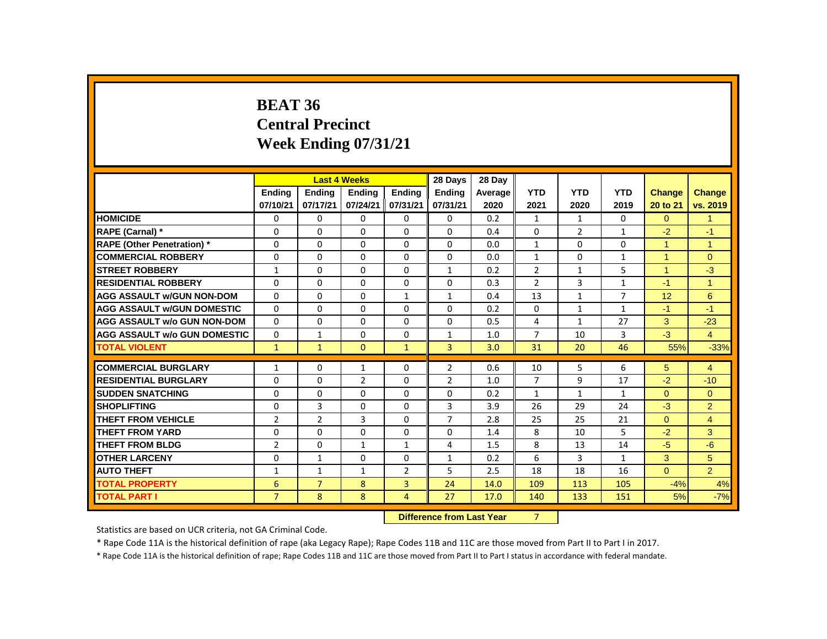# **BEAT 36 Central Precinct Week Ending 07/31/21**

|                                     |                          | <b>Last 4 Weeks</b> |                                |                | 28 Days                          | 28 Dav  |                      |              |                |                      |                         |
|-------------------------------------|--------------------------|---------------------|--------------------------------|----------------|----------------------------------|---------|----------------------|--------------|----------------|----------------------|-------------------------|
|                                     | <b>Endina</b>            | <b>Ending</b>       | <b>Ending</b>                  | Ending         | Ending                           | Average | <b>YTD</b>           | <b>YTD</b>   | <b>YTD</b>     | Change               | <b>Change</b>           |
|                                     | 07/10/21                 | 07/17/21            | 07/24/21                       | 07/31/21       | 07/31/21                         | 2020    | 2021                 | 2020         | 2019           | 20 to 21             | vs. 2019                |
| <b>HOMICIDE</b>                     | 0                        | 0                   | 0                              | 0              | $\mathbf{0}$                     | 0.2     | $\mathbf{1}$         | $\mathbf{1}$ | $\Omega$       | $\Omega$             | $\blacktriangleleft$    |
| <b>RAPE (Carnal) *</b>              | $\Omega$                 | 0                   | 0                              | 0              | 0                                | 0.4     | $\Omega$             | 2            | $\mathbf{1}$   | $-2$                 | $-1$                    |
| <b>RAPE (Other Penetration) *</b>   | $\Omega$                 | $\Omega$            | $\Omega$                       | $\Omega$       | 0                                | 0.0     | $\mathbf{1}$         | $\Omega$     | $\Omega$       | $\overline{1}$       | $\overline{1}$          |
| <b>COMMERCIAL ROBBERY</b>           | 0                        | $\Omega$            | $\Omega$                       | $\Omega$       | 0                                | 0.0     | $\mathbf{1}$         | 0            | $\mathbf{1}$   | $\overline{1}$       | $\mathbf{0}$            |
| <b>STREET ROBBERY</b>               | $\mathbf{1}$             | $\Omega$            | $\Omega$                       | $\Omega$       | $\mathbf{1}$                     | 0.2     | $\overline{2}$       | $\mathbf{1}$ | 5              | $\blacktriangleleft$ | $-3$                    |
| <b>RESIDENTIAL ROBBERY</b>          | 0                        | 0                   | $\Omega$                       | 0              | 0                                | 0.3     | 2                    | 3            | $\mathbf{1}$   | $-1$                 | $\overline{1}$          |
| <b>AGG ASSAULT W/GUN NON-DOM</b>    | 0                        | 0                   | 0                              | $\mathbf{1}$   | $\mathbf{1}$                     | 0.4     | 13                   | $\mathbf{1}$ | $\overline{7}$ | 12                   | 6                       |
| <b>AGG ASSAULT W/GUN DOMESTIC</b>   | $\Omega$                 | $\Omega$            | $\Omega$                       | $\Omega$       | 0                                | 0.2     | $\Omega$             | $\mathbf{1}$ | $\mathbf{1}$   | $-1$                 | $-1$                    |
| <b>AGG ASSAULT w/o GUN NON-DOM</b>  | $\Omega$                 | $\Omega$            | $\Omega$                       | $\Omega$       | $\Omega$                         | 0.5     | 4                    | $\mathbf{1}$ | 27             | 3                    | $-23$                   |
| <b>AGG ASSAULT W/o GUN DOMESTIC</b> | $\Omega$                 | $\mathbf{1}$        | $\Omega$                       | $\Omega$       | $\mathbf{1}$                     | 1.0     | $\overline{7}$       | 10           | 3              | $-3$                 | $\overline{4}$          |
| <b>TOTAL VIOLENT</b>                | $\mathbf{1}$             | $\mathbf{1}$        | $\mathbf{0}$                   | $\mathbf{1}$   | 3                                | 3.0     | 31                   | 20           | 46             | 55%                  | $-33%$                  |
| <b>COMMERCIAL BURGLARY</b>          |                          |                     |                                |                |                                  |         |                      |              | 6              |                      |                         |
| <b>RESIDENTIAL BURGLARY</b>         | $\mathbf{1}$<br>$\Omega$ | 0<br>$\Omega$       | $\mathbf{1}$<br>$\overline{2}$ | 0<br>$\Omega$  | $\overline{2}$<br>$\overline{2}$ | 0.6     | 10<br>$\overline{7}$ | 5<br>9       | 17             | 5<br>$-2$            | $\overline{4}$<br>$-10$ |
|                                     |                          |                     |                                |                |                                  | 1.0     |                      |              |                |                      |                         |
| <b>SUDDEN SNATCHING</b>             | 0                        | 0                   | $\Omega$                       | 0              | 0                                | 0.2     | $\mathbf{1}$         | $\mathbf{1}$ | $\mathbf{1}$   | $\Omega$             | $\Omega$                |
| <b>SHOPLIFTING</b>                  | 0                        | 3                   | 0                              | 0              | 3                                | 3.9     | 26                   | 29           | 24             | $-3$                 | $\overline{2}$          |
| <b>THEFT FROM VEHICLE</b>           | $\overline{2}$           | $\overline{2}$      | 3                              | $\Omega$       | $\overline{7}$                   | 2.8     | 25                   | 25           | 21             | $\Omega$             | $\overline{4}$          |
| <b>THEFT FROM YARD</b>              | $\Omega$                 | $\Omega$            | $\Omega$                       | $\Omega$       | $\Omega$                         | 1.4     | 8                    | 10           | 5              | $-2$                 | 3                       |
| <b>THEFT FROM BLDG</b>              | $\overline{2}$           | $\Omega$            | $\mathbf{1}$                   | $\mathbf{1}$   | 4                                | 1.5     | 8                    | 13           | 14             | $-5$                 | $-6$                    |
| <b>OTHER LARCENY</b>                | 0                        | $\mathbf{1}$        | 0                              | 0              | $\mathbf{1}$                     | 0.2     | 6                    | 3            | $\mathbf{1}$   | 3                    | 5                       |
| <b>AUTO THEFT</b>                   | $\mathbf{1}$             | $\mathbf{1}$        | $\mathbf{1}$                   | $\overline{2}$ | 5                                | 2.5     | 18                   | 18           | 16             | $\Omega$             | $\overline{2}$          |
| <b>TOTAL PROPERTY</b>               | 6                        | $\overline{7}$      | 8                              | 3              | 24                               | 14.0    | 109                  | 113          | 105            | $-4%$                | 4%                      |
| <b>TOTAL PART I</b>                 | $\overline{7}$           | 8                   | 8                              | 4              | 27                               | 17.0    | 140                  | 133          | 151            | 5%                   | $-7%$                   |
|                                     |                          |                     |                                |                |                                  |         |                      |              |                |                      |                         |

**Difference from Last Year** 7

Statistics are based on UCR criteria, not GA Criminal Code.

\* Rape Code 11A is the historical definition of rape (aka Legacy Rape); Rape Codes 11B and 11C are those moved from Part II to Part I in 2017.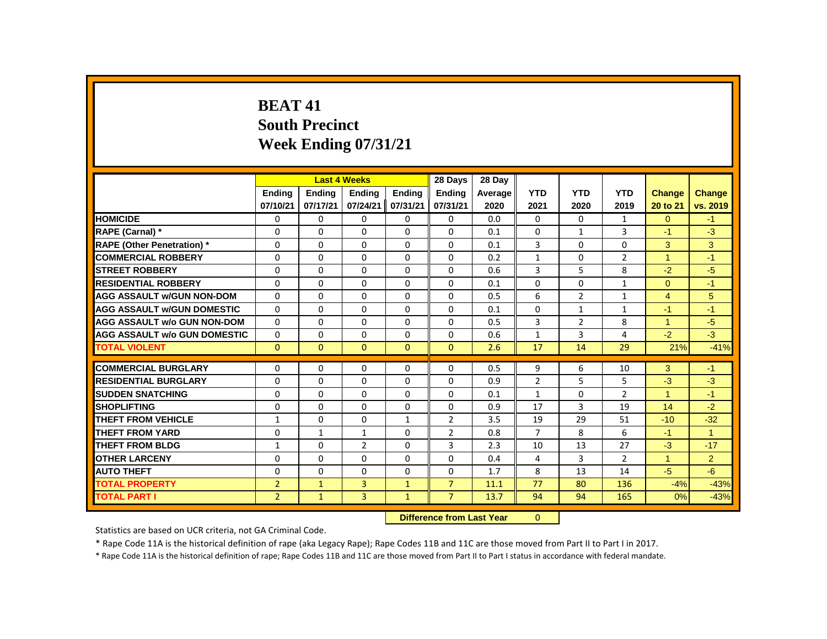# **BEAT 41 South Precinct Week Ending 07/31/21**

|                                     |                |                           | <b>Last 4 Weeks</b> |               | 28 Days        | 28 Day  |                |                |                |                |                      |
|-------------------------------------|----------------|---------------------------|---------------------|---------------|----------------|---------|----------------|----------------|----------------|----------------|----------------------|
|                                     | Ending         | Ending                    | <b>Ending</b>       | <b>Ending</b> | Ending         | Average | <b>YTD</b>     | <b>YTD</b>     | <b>YTD</b>     | <b>Change</b>  | Change               |
|                                     | 07/10/21       | 07/17/21                  | 07/24/21            | 07/31/21      | 07/31/21       | 2020    | 2021           | 2020           | 2019           | 20 to 21       | vs. 2019             |
| <b>HOMICIDE</b>                     | 0              | 0                         | $\Omega$            | 0             | $\Omega$       | 0.0     | 0              | $\mathbf{0}$   | 1              | $\Omega$       | $-1$                 |
| <b>RAPE (Carnal) *</b>              | $\Omega$       | $\Omega$                  | $\Omega$            | $\Omega$      | $\Omega$       | 0.1     | $\Omega$       | $\mathbf{1}$   | 3              | $-1$           | $-3$                 |
| <b>RAPE (Other Penetration)</b> *   | 0              | 0                         | 0                   | $\Omega$      | 0              | 0.1     | 3              | 0              | 0              | 3              | 3                    |
| <b>COMMERCIAL ROBBERY</b>           | $\mathbf{0}$   | $\Omega$                  | $\Omega$            | $\Omega$      | $\Omega$       | 0.2     | $\mathbf{1}$   | $\Omega$       | $\overline{2}$ | $\mathbf{1}$   | $-1$                 |
| <b>STREET ROBBERY</b>               | $\Omega$       | $\Omega$                  | $\Omega$            | $\Omega$      | $\Omega$       | 0.6     | 3              | 5              | 8              | $-2$           | $-5$                 |
| <b>RESIDENTIAL ROBBERY</b>          | 0              | 0                         | 0                   | $\Omega$      | 0              | 0.1     | 0              | 0              | $\mathbf{1}$   | $\mathbf{0}$   | $-1$                 |
| <b>AGG ASSAULT W/GUN NON-DOM</b>    | $\Omega$       | $\Omega$                  | $\Omega$            | $\Omega$      | $\Omega$       | 0.5     | 6              | $\overline{2}$ | $\mathbf{1}$   | $\overline{4}$ | 5                    |
| <b>AGG ASSAULT W/GUN DOMESTIC</b>   | $\Omega$       | $\Omega$                  | $\Omega$            | $\Omega$      | $\Omega$       | 0.1     | $\Omega$       | $\mathbf{1}$   | $\mathbf{1}$   | $-1$           | $-1$                 |
| <b>AGG ASSAULT w/o GUN NON-DOM</b>  | $\Omega$       | $\Omega$                  | $\Omega$            | $\Omega$      | $\Omega$       | 0.5     | 3              | $\overline{2}$ | 8              | $\mathbf{1}$   | $-5$                 |
| <b>AGG ASSAULT W/o GUN DOMESTIC</b> | $\Omega$       | $\Omega$                  | $\Omega$            | $\Omega$      | $\Omega$       | 0.6     | $\mathbf{1}$   | 3              | 4              | $-2$           | $-3$                 |
| <b>TOTAL VIOLENT</b>                | $\mathbf{0}$   | $\mathbf{0}$              | $\mathbf{0}$        | $\mathbf{0}$  | $\mathbf{0}$   | 2.6     | 17             | 14             | 29             | 21%            | $-41%$               |
| <b>COMMERCIAL BURGLARY</b>          | 0              | 0                         | 0                   | 0             | 0              | 0.5     | 9              | 6              | 10             | 3              | $-1$                 |
| <b>RESIDENTIAL BURGLARY</b>         | $\Omega$       | $\Omega$                  | $\Omega$            | $\Omega$      | $\Omega$       | 0.9     | $\overline{2}$ | 5              | 5              | $-3$           | $-3$                 |
| <b>SUDDEN SNATCHING</b>             | $\mathbf{0}$   | $\Omega$                  | $\Omega$            | $\Omega$      | $\Omega$       | 0.1     | $\mathbf{1}$   | $\Omega$       | $\overline{2}$ | $\mathbf{1}$   | $-1$                 |
| <b>SHOPLIFTING</b>                  | $\mathbf{0}$   | $\Omega$                  | $\Omega$            | $\Omega$      | $\Omega$       | 0.9     | 17             | 3              | 19             | 14             | $-2$                 |
| <b>THEFT FROM VEHICLE</b>           | $\mathbf{1}$   | 0                         | $\Omega$            | $\mathbf{1}$  | $\overline{2}$ | 3.5     | 19             | 29             | 51             | $-10$          | $-32$                |
| <b>THEFT FROM YARD</b>              | $\mathbf{0}$   | $\mathbf{1}$              | $\mathbf{1}$        | $\Omega$      | $\overline{2}$ | 0.8     | $\overline{7}$ | 8              | 6              | $-1$           | $\blacktriangleleft$ |
| <b>THEFT FROM BLDG</b>              | $\mathbf{1}$   | $\Omega$                  | $\overline{2}$      | $\Omega$      | 3              | 2.3     | 10             | 13             | 27             | $-3$           | $-17$                |
| <b>OTHER LARCENY</b>                | $\mathbf 0$    | $\Omega$                  | $\Omega$            | $\Omega$      | $\Omega$       | 0.4     | 4              | 3              | $\overline{2}$ | $\mathbf{1}$   | $\overline{2}$       |
| <b>AUTO THEFT</b>                   | 0              | $\Omega$                  | $\Omega$            | $\Omega$      | $\Omega$       | 1.7     | 8              | 13             | 14             | $-5$           | $-6$                 |
| <b>TOTAL PROPERTY</b>               | $\overline{2}$ | $\mathbf{1}$              | $\overline{3}$      | $\mathbf{1}$  | $\overline{7}$ | 11.1    | 77             | 80             | 136            | $-4%$          | $-43%$               |
| <b>TOTAL PART I</b>                 | $\overline{2}$ | $\mathbf{1}$              | $\overline{3}$      | $\mathbf{1}$  | $\overline{7}$ | 13.7    | 94             | 94             | 165            | 0%             | $-43%$               |
|                                     |                | Difference from Last Year |                     | $\Omega$      |                |         |                |                |                |                |                      |

 **Difference from Last Year** 0

Statistics are based on UCR criteria, not GA Criminal Code.

\* Rape Code 11A is the historical definition of rape (aka Legacy Rape); Rape Codes 11B and 11C are those moved from Part II to Part I in 2017.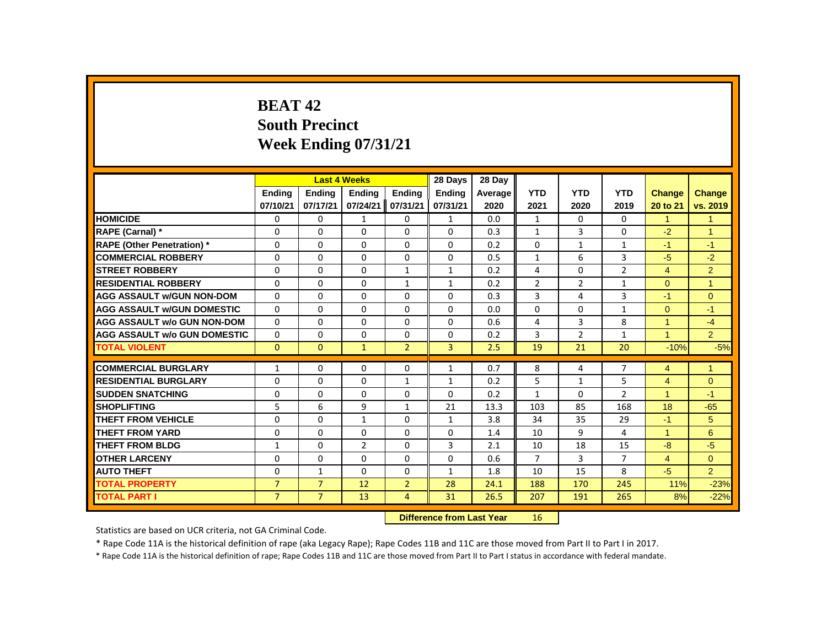# **BEAT 42 South Precinct Week Ending 07/31/21**

|                                     |                |                | <b>Last 4 Weeks</b> |                | 28 Days                          | 28 Dav  |                |                |                |                |                |
|-------------------------------------|----------------|----------------|---------------------|----------------|----------------------------------|---------|----------------|----------------|----------------|----------------|----------------|
|                                     | <b>Ending</b>  | <b>Ending</b>  | <b>Ending</b>       | <b>Ending</b>  | <b>Ending</b>                    | Average | <b>YTD</b>     | <b>YTD</b>     | <b>YTD</b>     | <b>Change</b>  | <b>Change</b>  |
|                                     | 07/10/21       | 07/17/21       | 07/24/21            | 07/31/21       | 07/31/21                         | 2020    | 2021           | 2020           | 2019           | 20 to 21       | vs. 2019       |
| <b>HOMICIDE</b>                     | 0              | 0              | 1                   | 0              | $\mathbf{1}$                     | 0.0     | $\mathbf{1}$   | 0              | 0              | $\mathbf{1}$   | $\mathbf{1}$   |
| RAPE (Carnal) *                     | $\Omega$       | $\Omega$       | $\Omega$            | $\Omega$       | $\Omega$                         | 0.3     | $\mathbf{1}$   | 3              | $\Omega$       | $-2$           | $\overline{1}$ |
| <b>RAPE (Other Penetration)</b> *   | 0              | 0              | $\Omega$            | $\Omega$       | $\Omega$                         | 0.2     | 0              | $\mathbf{1}$   | $\mathbf{1}$   | $-1$           | $-1$           |
| <b>COMMERCIAL ROBBERY</b>           | $\Omega$       | $\Omega$       | $\Omega$            | $\Omega$       | $\Omega$                         | 0.5     | $\mathbf{1}$   | 6              | 3              | $-5$           | $-2$           |
| <b>STREET ROBBERY</b>               | 0              | 0              | 0                   | $\mathbf{1}$   | $\mathbf{1}$                     | 0.2     | 4              | 0              | $\overline{2}$ | $\overline{4}$ | $\overline{2}$ |
| <b>RESIDENTIAL ROBBERY</b>          | $\Omega$       | $\Omega$       | $\Omega$            | $\mathbf{1}$   | $\mathbf{1}$                     | 0.2     | $\overline{2}$ | $\overline{2}$ | $\mathbf{1}$   | $\Omega$       | $\overline{1}$ |
| <b>AGG ASSAULT W/GUN NON-DOM</b>    | $\Omega$       | $\Omega$       | $\Omega$            | $\Omega$       | $\Omega$                         | 0.3     | 3              | 4              | 3              | $-1$           | $\mathbf{0}$   |
| <b>AGG ASSAULT W/GUN DOMESTIC</b>   | $\Omega$       | $\Omega$       | $\Omega$            | $\Omega$       | $\Omega$                         | 0.0     | $\Omega$       | $\Omega$       | $\mathbf{1}$   | $\Omega$       | $-1$           |
| <b>AGG ASSAULT w/o GUN NON-DOM</b>  | $\Omega$       | $\Omega$       | $\Omega$            | $\Omega$       | $\Omega$                         | 0.6     | 4              | 3              | 8              | $\mathbf{1}$   | $-4$           |
| <b>AGG ASSAULT W/o GUN DOMESTIC</b> | $\Omega$       | $\Omega$       | $\Omega$            | $\Omega$       | $\Omega$                         | 0.2     | 3              | $\overline{2}$ | $\mathbf{1}$   | $\overline{1}$ | $\overline{2}$ |
| <b>TOTAL VIOLENT</b>                | $\mathbf{0}$   | $\mathbf{0}$   | $\mathbf{1}$        | $\overline{2}$ | 3                                | 2.5     | 19             | 21             | 20             | $-10%$         | $-5%$          |
| <b>COMMERCIAL BURGLARY</b>          | $\mathbf{1}$   | $\Omega$       | $\Omega$            | $\mathbf{0}$   | $\mathbf{1}$                     | 0.7     | 8              | 4              | $\overline{7}$ | 4              | $\mathbf{1}$   |
| <b>RESIDENTIAL BURGLARY</b>         | $\Omega$       | $\Omega$       | $\Omega$            | $\mathbf{1}$   | $\mathbf{1}$                     | 0.2     | 5              | $\mathbf{1}$   | 5              | $\overline{4}$ | $\mathbf{0}$   |
| <b>SUDDEN SNATCHING</b>             | $\Omega$       | $\Omega$       | $\Omega$            | $\Omega$       | $\Omega$                         | 0.2     | $\mathbf{1}$   | $\Omega$       | $\overline{2}$ | $\overline{1}$ | $-1$           |
| <b>SHOPLIFTING</b>                  | 5              | 6              | 9                   | $\mathbf{1}$   | 21                               | 13.3    | 103            | 85             | 168            | 18             | $-65$          |
| <b>THEFT FROM VEHICLE</b>           | $\Omega$       | $\Omega$       | $\mathbf{1}$        | $\Omega$       | $\mathbf{1}$                     | 3.8     | 34             | 35             | 29             | $-1$           | 5              |
| <b>THEFT FROM YARD</b>              | 0              | 0              | $\mathbf 0$         | $\Omega$       | 0                                | 1.4     | 10             | 9              | 4              | $\mathbf{1}$   | 6              |
| <b>THEFT FROM BLDG</b>              | $\mathbf{1}$   | $\Omega$       | $\overline{2}$      | $\Omega$       | 3                                | 2.1     | 10             | 18             | 15             | $-8$           | $-5$           |
| <b>OTHER LARCENY</b>                | 0              | 0              | 0                   | 0              | 0                                | 0.6     | $\overline{7}$ | 3              | $\overline{7}$ | $\overline{4}$ | $\mathbf{0}$   |
| <b>AUTO THEFT</b>                   | $\Omega$       | $\mathbf{1}$   | $\Omega$            | $\Omega$       | $\mathbf{1}$                     | 1.8     | 10             | 15             | 8              | $-5$           | $\overline{2}$ |
| <b>TOTAL PROPERTY</b>               | $\overline{7}$ | $\overline{7}$ | 12                  | $\overline{2}$ | 28                               | 24.1    | 188            | 170            | 245            | 11%            | $-23%$         |
| <b>TOTAL PART I</b>                 | $\overline{7}$ | $\overline{7}$ | 13                  | $\overline{4}$ | 31                               | 26.5    | 207            | 191            | 265            | 8%             | $-22%$         |
|                                     |                |                |                     |                | <b>Difference from Last Year</b> |         | 16             |                |                |                |                |

Statistics are based on UCR criteria, not GA Criminal Code.

\* Rape Code 11A is the historical definition of rape (aka Legacy Rape); Rape Codes 11B and 11C are those moved from Part II to Part I in 2017.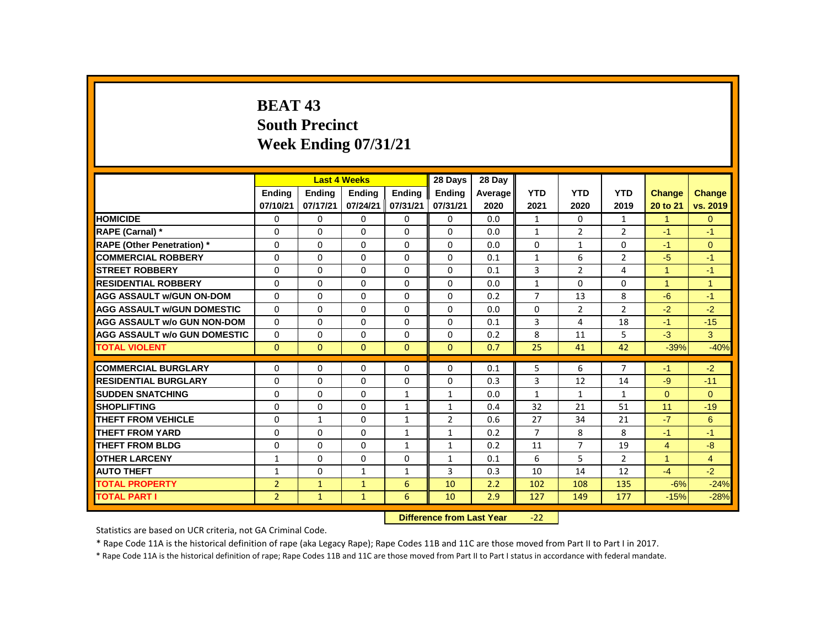# **BEAT 43 South Precinct Week Ending 07/31/21**

|                                           |                |               | <b>Last 4 Weeks</b> |               | 28 Days        | 28 Day  |                |                |                |                |                |
|-------------------------------------------|----------------|---------------|---------------------|---------------|----------------|---------|----------------|----------------|----------------|----------------|----------------|
|                                           | Ending         | <b>Ending</b> | <b>Ending</b>       | <b>Ending</b> | <b>Ending</b>  | Average | <b>YTD</b>     | <b>YTD</b>     | <b>YTD</b>     | <b>Change</b>  | <b>Change</b>  |
|                                           | 07/10/21       | 07/17/21      | 07/24/21            | 07/31/21      | 07/31/21       | 2020    | 2021           | 2020           | 2019           | 20 to 21       | vs. 2019       |
| <b>HOMICIDE</b>                           | 0              | $\mathbf{0}$  | 0                   | 0             | 0              | 0.0     | $\mathbf{1}$   | 0              | 1              | $\mathbf{1}$   | $\overline{0}$ |
| RAPE (Carnal) *                           | 0              | $\Omega$      | $\Omega$            | 0             | $\Omega$       | 0.0     | $\mathbf{1}$   | $\overline{2}$ | $\overline{2}$ | $-1$           | $-1$           |
| <b>RAPE (Other Penetration) *</b>         | $\Omega$       | $\mathbf{0}$  | $\Omega$            | $\Omega$      | $\Omega$       | 0.0     | $\Omega$       | $\mathbf{1}$   | $\Omega$       | $-1$           | $\Omega$       |
| <b>COMMERCIAL ROBBERY</b>                 | $\Omega$       | $\Omega$      | $\Omega$            | 0             | 0              | 0.1     | $\mathbf{1}$   | 6              | $\overline{2}$ | $-5$           | $-1$           |
| <b>STREET ROBBERY</b>                     | 0              | 0             | $\Omega$            | 0             | 0              | 0.1     | 3              | $\overline{2}$ | 4              | 1              | $-1$           |
| <b>RESIDENTIAL ROBBERY</b>                | 0              | 0             | 0                   | 0             | 0              | 0.0     | $\mathbf{1}$   | $\Omega$       | $\Omega$       | $\mathbf{1}$   | $\mathbf{1}$   |
| <b>AGG ASSAULT w/GUN ON-DOM</b>           | $\Omega$       | $\mathbf{0}$  | $\Omega$            | $\Omega$      | $\Omega$       | 0.2     | $\overline{7}$ | 13             | 8              | $-6$           | $-1$           |
| <b>AGG ASSAULT W/GUN DOMESTIC</b>         | $\Omega$       | $\Omega$      | $\Omega$            | $\Omega$      | $\Omega$       | 0.0     | $\Omega$       | $\overline{2}$ | $\mathfrak{p}$ | $-2$           | $-2$           |
| <b>AGG ASSAULT w/o GUN NON-DOM</b>        | 0              | 0             | 0                   | $\Omega$      | $\Omega$       | 0.1     | 3              | 4              | 18             | $-1$           | $-15$          |
| AGG ASSAULT w/o GUN DOMESTIC              | $\Omega$       | 0             | $\Omega$            | $\Omega$      | $\Omega$       | 0.2     | 8              | 11             | 5              | $-3$           | 3              |
| <b>TOTAL VIOLENT</b>                      | $\mathbf{0}$   | $\mathbf{0}$  | $\mathbf{0}$        | $\mathbf{0}$  | $\mathbf{0}$   | 0.7     | 25             | 41             | 42             | $-39%$         | $-40%$         |
| <b>COMMERCIAL BURGLARY</b>                | 0              | 0             | 0                   | 0             | 0              | 0.1     | 5              | 6              | $\overline{7}$ | $-1$           | $-2$           |
| <b>RESIDENTIAL BURGLARY</b>               | $\Omega$       | $\Omega$      | $\Omega$            | $\Omega$      | $\Omega$       | 0.3     | 3              | 12             | 14             | $-9$           | $-11$          |
| <b>SUDDEN SNATCHING</b>                   | $\Omega$       | $\Omega$      | $\Omega$            | $\mathbf{1}$  | $\mathbf{1}$   | 0.0     | $\mathbf{1}$   | $\mathbf{1}$   | $\mathbf{1}$   | $\Omega$       | $\Omega$       |
| <b>SHOPLIFTING</b>                        | $\Omega$       | 0             | $\Omega$            | 1             | 1              | 0.4     | 32             | 21             | 51             | 11             | $-19$          |
| <b>THEFT FROM VEHICLE</b>                 | 0              | $\mathbf{1}$  | $\Omega$            | $\mathbf{1}$  | $\overline{2}$ | 0.6     | 27             | 34             | 21             | $-7$           | 6              |
| <b>THEFT FROM YARD</b>                    | $\Omega$       | $\Omega$      | $\Omega$            | $\mathbf{1}$  | $\mathbf{1}$   | 0.2     | $\overline{7}$ | 8              | 8              | $-1$           | $-1$           |
| <b>THEFT FROM BLDG</b>                    | $\Omega$       | $\Omega$      | $\Omega$            | $\mathbf{1}$  | $\mathbf{1}$   | 0.2     | 11             | $\overline{7}$ | 19             | $\overline{4}$ | $-8$           |
| <b>OTHER LARCENY</b>                      | $\mathbf{1}$   | $\Omega$      | $\Omega$            | 0             | 1              | 0.1     | 6              | 5              | $\overline{2}$ | $\overline{1}$ | $\overline{4}$ |
| <b>AUTO THEFT</b>                         | $\mathbf{1}$   | 0             | $\mathbf{1}$        | $\mathbf{1}$  | 3              | 0.3     | 10             | 14             | 12             | $-4$           | $-2$           |
| <b>TOTAL PROPERTY</b>                     | $\overline{2}$ | $\mathbf{1}$  | $\mathbf{1}$        | 6             | 10             | 2.2     | 102            | 108            | 135            | $-6%$          | $-24%$         |
| <b>TOTAL PART I</b>                       | $\overline{2}$ | $\mathbf{1}$  | $\mathbf{1}$        | 6             | 10             | 2.9     | 127            | 149            | 177            | $-15%$         | $-28%$         |
| $-22$<br><b>Difference from Last Year</b> |                |               |                     |               |                |         |                |                |                |                |                |

Statistics are based on UCR criteria, not GA Criminal Code.

\* Rape Code 11A is the historical definition of rape (aka Legacy Rape); Rape Codes 11B and 11C are those moved from Part II to Part I in 2017.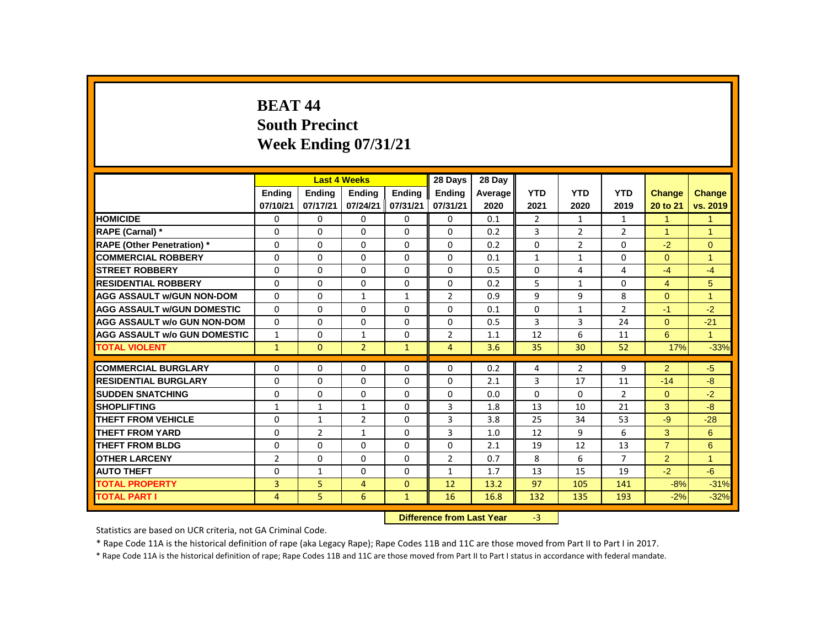# **BEAT 44 South Precinct Week Ending 07/31/21**

|                                     |                |               | <b>Last 4 Weeks</b> |              | 28 Days                   | 28 Day  |                |                |                |                |                |
|-------------------------------------|----------------|---------------|---------------------|--------------|---------------------------|---------|----------------|----------------|----------------|----------------|----------------|
|                                     | Ending         | <b>Ending</b> | <b>Ending</b>       | Ending       | Ending                    | Average | <b>YTD</b>     | <b>YTD</b>     | <b>YTD</b>     | Change         | <b>Change</b>  |
|                                     | 07/10/21       | 07/17/21      | 07/24/21            | 07/31/21     | 07/31/21                  | 2020    | 2021           | 2020           | 2019           | 20 to 21       | vs. 2019       |
| <b>HOMICIDE</b>                     | 0              | 0             | 0                   | 0            | 0                         | 0.1     | $\overline{2}$ | $\mathbf{1}$   | $\mathbf{1}$   | $\mathbf{1}$   | 1              |
| RAPE (Carnal) *                     | 0              | $\Omega$      | $\Omega$            | $\Omega$     | $\Omega$                  | 0.2     | 3              | $\overline{2}$ | $\overline{2}$ | $\overline{1}$ | $\mathbf{1}$   |
| <b>RAPE (Other Penetration)</b> *   | 0              | 0             | 0                   | 0            | 0                         | 0.2     | $\Omega$       | $\overline{2}$ | 0              | $-2$           | $\overline{0}$ |
| <b>COMMERCIAL ROBBERY</b>           | $\Omega$       | $\mathbf{0}$  | $\Omega$            | $\Omega$     | $\Omega$                  | 0.1     | $\mathbf{1}$   | $\mathbf{1}$   | $\Omega$       | $\Omega$       | $\overline{1}$ |
| <b>STREET ROBBERY</b>               | $\Omega$       | $\Omega$      | $\Omega$            | $\Omega$     | $\Omega$                  | 0.5     | $\Omega$       | 4              | 4              | $-4$           | $-4$           |
| <b>RESIDENTIAL ROBBERY</b>          | $\Omega$       | $\Omega$      | $\Omega$            | $\Omega$     | 0                         | 0.2     | 5              | $\mathbf{1}$   | $\Omega$       | $\overline{4}$ | 5              |
| <b>AGG ASSAULT W/GUN NON-DOM</b>    | $\Omega$       | $\Omega$      | $\mathbf{1}$        | $\mathbf{1}$ | $\overline{2}$            | 0.9     | 9              | 9              | 8              | $\Omega$       | $\mathbf{1}$   |
| <b>AGG ASSAULT W/GUN DOMESTIC</b>   | $\Omega$       | 0             | $\Omega$            | 0            | 0                         | 0.1     | $\mathbf 0$    | $\mathbf{1}$   | $\overline{2}$ | $-1$           | $-2$           |
| <b>AGG ASSAULT w/o GUN NON-DOM</b>  | $\Omega$       | $\Omega$      | $\Omega$            | $\Omega$     | $\Omega$                  | 0.5     | 3              | 3              | 24             | $\Omega$       | $-21$          |
| <b>AGG ASSAULT W/o GUN DOMESTIC</b> | $\mathbf{1}$   | 0             | 1                   | 0            | $\overline{2}$            | 1.1     | 12             | 6              | 11             | 6              | $\mathbf{1}$   |
| <b>TOTAL VIOLENT</b>                | $\mathbf{1}$   | $\mathbf{0}$  | $\overline{2}$      | $\mathbf{1}$ | $\overline{4}$            | 3.6     | 35             | 30             | 52             | 17%            | $-33%$         |
| <b>COMMERCIAL BURGLARY</b>          | $\Omega$       | $\Omega$      | $\Omega$            | $\Omega$     | $\Omega$                  | 0.2     | 4              | $\overline{2}$ | 9              | 2              | $-5$           |
| <b>RESIDENTIAL BURGLARY</b>         | $\Omega$       | $\Omega$      | $\Omega$            | $\Omega$     | $\Omega$                  | 2.1     | 3              | 17             | 11             | $-14$          | $-8$           |
| <b>SUDDEN SNATCHING</b>             | 0              | 0             | 0                   | 0            | 0                         | 0.0     | $\Omega$       | 0              | $\overline{2}$ | $\Omega$       | $-2$           |
| <b>SHOPLIFTING</b>                  | $\mathbf{1}$   | $\mathbf{1}$  | 1                   | $\Omega$     | 3                         | 1.8     | 13             | 10             | 21             | 3              | $-8$           |
| <b>THEFT FROM VEHICLE</b>           | $\Omega$       | $\mathbf{1}$  | $\overline{2}$      | $\Omega$     | 3                         | 3.8     | 25             | 34             | 53             | $-9$           | $-28$          |
| <b>THEFT FROM YARD</b>              | 0              | 2             | $\mathbf{1}$        | 0            | 3                         | 1.0     | 12             | 9              | 6              | 3              | 6              |
| <b>THEFT FROM BLDG</b>              | 0              | $\Omega$      | $\Omega$            | 0            | $\Omega$                  | 2.1     | 19             | 12             | 13             | $\overline{7}$ | 6              |
| <b>OTHER LARCENY</b>                | $\overline{2}$ | $\Omega$      | $\Omega$            | $\Omega$     | $\overline{2}$            | 0.7     | 8              | 6              | $\overline{7}$ | 2              | $\mathbf{1}$   |
| <b>AUTO THEFT</b>                   | $\Omega$       | $\mathbf{1}$  | $\Omega$            | $\Omega$     | $\mathbf{1}$              | 1.7     | 13             | 15             | 19             | $-2$           | $-6$           |
| <b>TOTAL PROPERTY</b>               | 3              | 5             | $\overline{4}$      | $\mathbf{0}$ | 12                        | 13.2    | 97             | 105            | 141            | $-8%$          | $-31%$         |
| TOTAL PART I                        | 4              | 5             | 6                   | $\mathbf{1}$ | 16                        | 16.8    | 132            | 135            | 193            | $-2%$          | $-32%$         |
|                                     |                |               |                     |              | Difference from Loot Vear |         | $\mathbf{P}$   |                |                |                |                |

**Difference from Last Year** 

Statistics are based on UCR criteria, not GA Criminal Code.

\* Rape Code 11A is the historical definition of rape (aka Legacy Rape); Rape Codes 11B and 11C are those moved from Part II to Part I in 2017.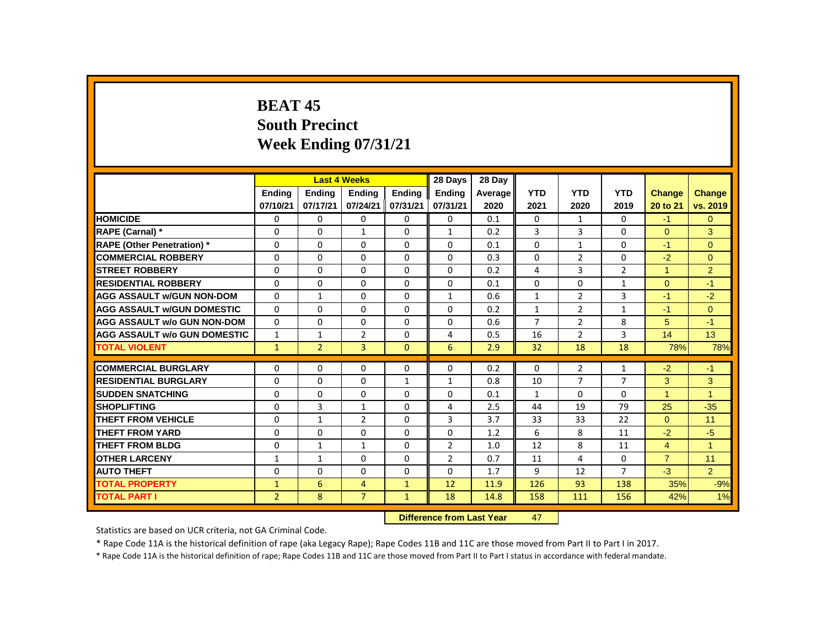# **BEAT 45 South Precinct Week Ending 07/31/21**

|                                     |                |                | <b>Last 4 Weeks</b> |               | 28 Days                   | 28 Day  |                 |                |                |                |                |
|-------------------------------------|----------------|----------------|---------------------|---------------|---------------------------|---------|-----------------|----------------|----------------|----------------|----------------|
|                                     | Ending         | <b>Ending</b>  | <b>Ending</b>       | <b>Ending</b> | Ending                    | Average | <b>YTD</b>      | <b>YTD</b>     | <b>YTD</b>     | <b>Change</b>  | <b>Change</b>  |
|                                     | 07/10/21       | 07/17/21       | 07/24/21            | 07/31/21      | 07/31/21                  | 2020    | 2021            | 2020           | 2019           | 20 to 21       | vs. 2019       |
| <b>HOMICIDE</b>                     | 0              | 0              | 0                   | 0             | 0                         | 0.1     | $\Omega$        | $\mathbf{1}$   | $\mathbf{0}$   | $-1$           | $\overline{0}$ |
| RAPE (Carnal) *                     | 0              | $\Omega$       | 1                   | $\Omega$      | $\mathbf{1}$              | 0.2     | 3               | 3              | 0              | $\Omega$       | 3              |
| <b>RAPE (Other Penetration) *</b>   | 0              | 0              | $\Omega$            | $\mathbf 0$   | $\Omega$                  | 0.1     | $\Omega$        | $\mathbf{1}$   | 0              | $-1$           | $\overline{0}$ |
| <b>COMMERCIAL ROBBERY</b>           | 0              | $\mathbf{0}$   | $\Omega$            | $\mathbf 0$   | $\Omega$                  | 0.3     | $\Omega$        | $\overline{2}$ | $\Omega$       | $-2$           | $\overline{0}$ |
| <b>STREET ROBBERY</b>               | 0              | 0              | $\Omega$            | $\Omega$      | 0                         | 0.2     | 4               | 3              | $\overline{2}$ | $\mathbf{1}$   | $\overline{2}$ |
| <b>RESIDENTIAL ROBBERY</b>          | $\mathbf{0}$   | 0              | 0                   | 0             | 0                         | 0.1     | $\Omega$        | 0              | 1              | $\Omega$       | $-1$           |
| <b>AGG ASSAULT w/GUN NON-DOM</b>    | 0              | $\mathbf{1}$   | $\Omega$            | 0             | $\mathbf{1}$              | 0.6     | $\mathbf{1}$    | $\overline{2}$ | 3              | $-1$           | $-2$           |
| <b>AGG ASSAULT W/GUN DOMESTIC</b>   | $\Omega$       | $\mathbf 0$    | $\Omega$            | $\mathbf 0$   | $\mathbf 0$               | 0.2     | $\mathbf{1}$    | $\overline{2}$ | $\mathbf{1}$   | $-1$           | $\overline{0}$ |
| <b>AGG ASSAULT w/o GUN NON-DOM</b>  | $\Omega$       | $\mathbf{0}$   | 0                   | $\Omega$      | $\Omega$                  | 0.6     | $\overline{7}$  | $\overline{2}$ | 8              | 5              | $-1$           |
| <b>AGG ASSAULT w/o GUN DOMESTIC</b> | $\mathbf{1}$   | 1              | 2                   | $\Omega$      | 4                         | 0.5     | 16              | $\overline{2}$ | 3              | 14             | 13             |
| <b>TOTAL VIOLENT</b>                | $\mathbf{1}$   | $\overline{2}$ | $\overline{3}$      | $\Omega$      | 6                         | 2.9     | 32 <sub>2</sub> | 18             | 18             | 78%            | 78%            |
| <b>COMMERCIAL BURGLARY</b>          | $\Omega$       | 0              | $\Omega$            | $\Omega$      | 0                         | 0.2     | $\Omega$        | $\overline{2}$ | $\mathbf{1}$   | $-2$           | $-1$           |
| <b>RESIDENTIAL BURGLARY</b>         | 0              | 0              | 0                   | $\mathbf{1}$  | $\mathbf{1}$              | 0.8     | 10              | $\overline{7}$ | $\overline{7}$ | 3              | 3              |
| <b>SUDDEN SNATCHING</b>             | 0              | 0              | $\Omega$            | 0             | 0                         | 0.1     | $\mathbf{1}$    | $\Omega$       | 0              | $\mathbf{1}$   | $\mathbf{1}$   |
| <b>SHOPLIFTING</b>                  | $\Omega$       | 3              | $\mathbf{1}$        | $\Omega$      | 4                         | 2.5     | 44              | 19             | 79             | 25             | $-35$          |
| <b>THEFT FROM VEHICLE</b>           | 0              | $\mathbf{1}$   | $\overline{2}$      | 0             | 3                         | 3.7     | 33              | 33             | 22             | $\Omega$       | 11             |
| <b>THEFT FROM YARD</b>              | 0              | $\Omega$       | $\Omega$            | 0             | 0                         | 1.2     | 6               | 8              | 11             | $-2$           | $-5$           |
| <b>THEFT FROM BLDG</b>              | 0              | $\mathbf{1}$   | $\mathbf{1}$        | 0             | $\overline{2}$            | 1.0     | 12              | 8              | 11             | $\overline{4}$ | $\overline{1}$ |
| <b>OTHER LARCENY</b>                | 1              | $\mathbf{1}$   | 0                   | $\mathbf 0$   | $\overline{2}$            | 0.7     | 11              | 4              | 0              | $\overline{7}$ | 11             |
| <b>AUTO THEFT</b>                   | $\mathbf{0}$   | $\Omega$       | $\Omega$            | $\mathbf 0$   | $\Omega$                  | 1.7     | 9               | 12             | $\overline{7}$ | $-3$           | $\overline{2}$ |
| <b>TOTAL PROPERTY</b>               | $\mathbf{1}$   | 6              | $\overline{4}$      | $\mathbf{1}$  | 12                        | 11.9    | 126             | 93             | 138            | 35%            | $-9%$          |
| <b>TOTAL PART I</b>                 | $\overline{2}$ | 8              | $\overline{7}$      | $\mathbf{1}$  | 18                        | 14.8    | 158             | 111            | 156            | 42%            | 1%             |
|                                     |                |                |                     |               | Difference from Last Vear |         | $\overline{17}$ |                |                |                |                |

**Difference from Last Year** 

Statistics are based on UCR criteria, not GA Criminal Code.

\* Rape Code 11A is the historical definition of rape (aka Legacy Rape); Rape Codes 11B and 11C are those moved from Part II to Part I in 2017.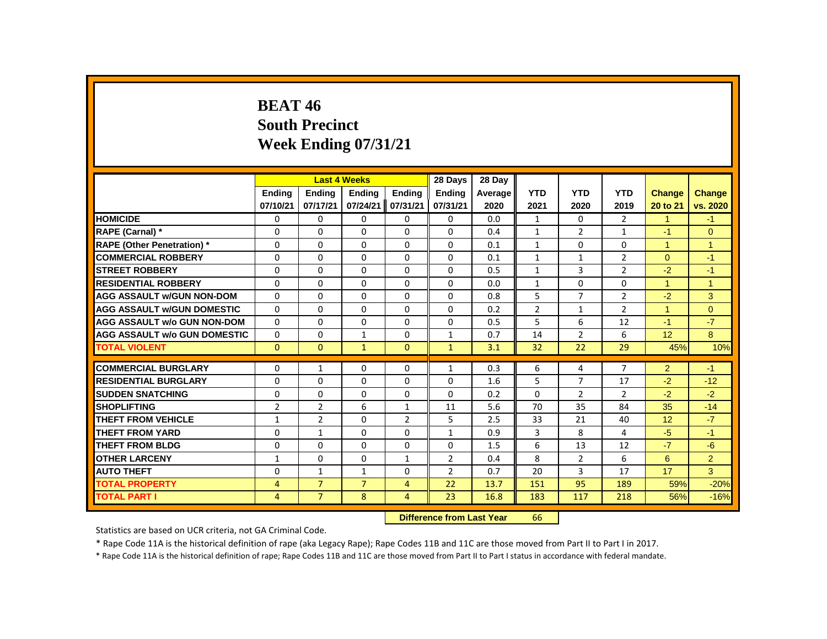# **BEAT 46 South Precinct Week Ending 07/31/21**

|                                     |                |                | <b>Last 4 Weeks</b> |                | 28 Days                   | 28 Day  |                |                |                |                 |                |
|-------------------------------------|----------------|----------------|---------------------|----------------|---------------------------|---------|----------------|----------------|----------------|-----------------|----------------|
|                                     | Ending         | Ending         | <b>Ending</b>       | Ending         | <b>Ending</b>             | Average | <b>YTD</b>     | <b>YTD</b>     | <b>YTD</b>     | <b>Change</b>   | Change         |
|                                     | 07/10/21       | 07/17/21       | 07/24/21            | 07/31/21       | 07/31/21                  | 2020    | 2021           | 2020           | 2019           | 20 to 21        | vs. 2020       |
| <b>HOMICIDE</b>                     | 0              | 0              | $\mathbf{0}$        | $\mathbf{0}$   | 0                         | 0.0     | $\mathbf{1}$   | $\mathbf{0}$   | $\overline{2}$ | $\mathbf{1}$    | $-1$           |
| RAPE (Carnal) *                     | 0              | $\Omega$       | $\Omega$            | $\Omega$       | $\Omega$                  | 0.4     | $\mathbf{1}$   | $\overline{2}$ | $\mathbf{1}$   | $-1$            | $\Omega$       |
| <b>RAPE (Other Penetration) *</b>   | 0              | 0              | 0                   | 0              | 0                         | 0.1     | $\mathbf{1}$   | 0              | 0              | $\overline{1}$  | $\mathbf{1}$   |
| <b>COMMERCIAL ROBBERY</b>           | $\Omega$       | $\Omega$       | $\Omega$            | $\Omega$       | $\Omega$                  | 0.1     | $\mathbf{1}$   | $\mathbf{1}$   | $\overline{2}$ | $\Omega$        | $-1$           |
| <b>STREET ROBBERY</b>               | $\Omega$       | $\Omega$       | $\Omega$            | $\Omega$       | $\Omega$                  | 0.5     | $\mathbf{1}$   | $\overline{3}$ | $\overline{2}$ | $-2$            | $-1$           |
| <b>RESIDENTIAL ROBBERY</b>          | 0              | 0              | $\Omega$            | 0              | 0                         | 0.0     | $\mathbf{1}$   | 0              | 0              | $\mathbf{1}$    | $\overline{1}$ |
| <b>AGG ASSAULT W/GUN NON-DOM</b>    | $\Omega$       | $\Omega$       | $\Omega$            | $\Omega$       | $\Omega$                  | 0.8     | 5              | $\overline{7}$ | $\overline{2}$ | $-2$            | 3              |
| <b>AGG ASSAULT w/GUN DOMESTIC</b>   | $\Omega$       | $\Omega$       | $\Omega$            | $\Omega$       | $\Omega$                  | 0.2     | $\overline{2}$ | $\mathbf{1}$   | $\overline{2}$ | $\overline{1}$  | $\overline{0}$ |
| <b>AGG ASSAULT w/o GUN NON-DOM</b>  | $\Omega$       | $\Omega$       | $\Omega$            | $\Omega$       | $\Omega$                  | 0.5     | 5              | 6              | 12             | $-1$            | $-7$           |
| <b>AGG ASSAULT W/o GUN DOMESTIC</b> | 0              | 0              | $\mathbf{1}$        | 0              | $\mathbf{1}$              | 0.7     | 14             | $\overline{2}$ | 6              | 12 <sup>°</sup> | 8              |
| <b>TOTAL VIOLENT</b>                | $\mathbf{0}$   | $\mathbf{0}$   | $\mathbf{1}$        | $\mathbf{0}$   | $\mathbf{1}$              | 3.1     | 32             | 22             | 29             | 45%             | 10%            |
| <b>COMMERCIAL BURGLARY</b>          | 0              | $\mathbf{1}$   | 0                   | 0              | $\mathbf{1}$              | 0.3     | 6              | 4              | $\overline{7}$ | $\overline{2}$  | $-1$           |
| <b>RESIDENTIAL BURGLARY</b>         | 0              | $\Omega$       | $\Omega$            | $\Omega$       | 0                         | 1.6     | 5              | $\overline{7}$ | 17             | $-2$            | $-12$          |
| <b>SUDDEN SNATCHING</b>             | 0              | $\Omega$       | $\Omega$            | $\Omega$       | $\Omega$                  | 0.2     | $\Omega$       | $\overline{2}$ | $\overline{2}$ | $-2$            | $-2$           |
| <b>SHOPLIFTING</b>                  | $\overline{2}$ | $\overline{2}$ | 6                   | $\mathbf{1}$   | 11                        | 5.6     | 70             | 35             | 84             | 35              | $-14$          |
| THEFT FROM VEHICLE                  | $\mathbf{1}$   | $\overline{2}$ | 0                   | $\overline{2}$ | 5                         | 2.5     | 33             | 21             | 40             | 12              | $-7$           |
| <b>THEFT FROM YARD</b>              | $\Omega$       | $\mathbf{1}$   | $\Omega$            | $\Omega$       | $\mathbf{1}$              | 0.9     | 3              | 8              | 4              | $-5$            | $-1$           |
| <b>THEFT FROM BLDG</b>              | $\Omega$       | $\Omega$       | $\Omega$            | $\Omega$       | $\Omega$                  | 1.5     | 6              | 13             | 12             | $-7$            | $-6$           |
| <b>OTHER LARCENY</b>                | $\mathbf{1}$   | 0              | $\Omega$            | $\mathbf{1}$   | $\overline{2}$            | 0.4     | 8              | $\overline{2}$ | 6              | 6               | $\overline{2}$ |
| <b>AUTO THEFT</b>                   | 0              | $\mathbf{1}$   | $\mathbf{1}$        | $\Omega$       | $\overline{2}$            | 0.7     | 20             | 3              | 17             | 17              | 3              |
| <b>TOTAL PROPERTY</b>               | $\overline{4}$ | $\overline{7}$ | $\overline{7}$      | 4              | 22                        | 13.7    | 151            | 95             | 189            | 59%             | $-20%$         |
| <b>TOTAL PART I</b>                 | $\overline{4}$ | $\overline{7}$ | 8                   | $\overline{4}$ | 23                        | 16.8    | 183            | 117            | 218            | 56%             | $-16%$         |
|                                     |                |                |                     |                | Difference from Last Year |         | 66.            |                |                |                 |                |

 **Difference from Last Year** 66

Statistics are based on UCR criteria, not GA Criminal Code.

\* Rape Code 11A is the historical definition of rape (aka Legacy Rape); Rape Codes 11B and 11C are those moved from Part II to Part I in 2017.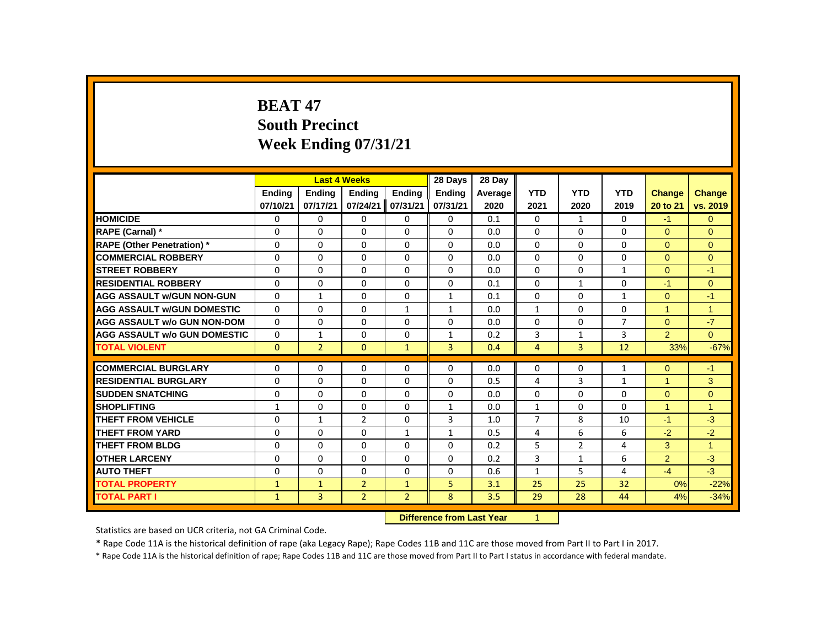# **BEAT 47 South Precinct Week Ending 07/31/21**

|                                     |              |                | <b>Last 4 Weeks</b> |                | 28 Days                   | 28 Day  |                |                |                |                      |                |
|-------------------------------------|--------------|----------------|---------------------|----------------|---------------------------|---------|----------------|----------------|----------------|----------------------|----------------|
|                                     | Ending       | <b>Ending</b>  | <b>Ending</b>       | Ending         | Ending                    | Average | <b>YTD</b>     | <b>YTD</b>     | <b>YTD</b>     | <b>Change</b>        | <b>Change</b>  |
|                                     | 07/10/21     | 07/17/21       | 07/24/21            | 07/31/21       | 07/31/21                  | 2020    | 2021           | 2020           | 2019           | 20 to 21             | vs. 2019       |
| <b>HOMICIDE</b>                     | 0            | 0              | 0                   | 0              | 0                         | 0.1     | 0              | $\mathbf{1}$   | 0              | $-1$                 | $\overline{0}$ |
| RAPE (Carnal) *                     | 0            | $\Omega$       | $\Omega$            | $\Omega$       | $\Omega$                  | 0.0     | $\Omega$       | 0              | $\Omega$       | $\Omega$             | $\Omega$       |
| <b>RAPE (Other Penetration)</b> *   | 0            | 0              | 0                   | 0              | 0                         | 0.0     | 0              | 0              | 0              | $\Omega$             | $\Omega$       |
| <b>COMMERCIAL ROBBERY</b>           | $\Omega$     | $\Omega$       | $\Omega$            | $\Omega$       | $\Omega$                  | 0.0     | $\Omega$       | $\Omega$       | $\Omega$       | $\Omega$             | $\Omega$       |
| <b>STREET ROBBERY</b>               | $\Omega$     | $\Omega$       | $\Omega$            | $\Omega$       | $\Omega$                  | 0.0     | $\Omega$       | $\Omega$       | $\mathbf{1}$   | $\Omega$             | $-1$           |
| <b>RESIDENTIAL ROBBERY</b>          | $\Omega$     | $\Omega$       | $\Omega$            | $\Omega$       | 0                         | 0.1     | 0              | $\mathbf{1}$   | 0              | $-1$                 | $\Omega$       |
| <b>AGG ASSAULT w/GUN NON-GUN</b>    | 0            | $\mathbf{1}$   | $\Omega$            | $\Omega$       | $\mathbf{1}$              | 0.1     | $\Omega$       | $\Omega$       | $\mathbf{1}$   | $\Omega$             | $-1$           |
| <b>AGG ASSAULT w/GUN DOMESTIC</b>   | $\Omega$     | 0              | $\Omega$            | $\mathbf{1}$   | $\mathbf{1}$              | 0.0     | $\mathbf{1}$   | $\Omega$       | 0              | $\overline{1}$       | $\mathbf{1}$   |
| <b>AGG ASSAULT w/o GUN NON-DOM</b>  | $\Omega$     | $\Omega$       | $\Omega$            | $\Omega$       | $\Omega$                  | 0.0     | $\Omega$       | $\Omega$       | $\overline{7}$ | $\Omega$             | $-7$           |
| <b>AGG ASSAULT w/o GUN DOMESTIC</b> | 0            | $\mathbf{1}$   | 0                   | 0              | $\mathbf{1}$              | 0.2     | 3              | $\mathbf{1}$   | 3              | $\overline{2}$       | $\Omega$       |
| <b>TOTAL VIOLENT</b>                | $\mathbf{0}$ | $\overline{2}$ | $\mathbf{0}$        | $\mathbf{1}$   | 3                         | 0.4     | $\overline{4}$ | 3              | 12             | 33%                  | $-67%$         |
| <b>COMMERCIAL BURGLARY</b>          | $\Omega$     | $\Omega$       | $\Omega$            | $\Omega$       | $\Omega$                  | 0.0     | $\Omega$       | $\Omega$       | $\mathbf{1}$   | $\Omega$             | $-1$           |
| <b>RESIDENTIAL BURGLARY</b>         | $\Omega$     | $\Omega$       | $\Omega$            | $\Omega$       | $\Omega$                  | 0.5     | 4              | 3              | $\mathbf{1}$   | 1                    | 3              |
| <b>SUDDEN SNATCHING</b>             | 0            | 0              | 0                   | 0              | 0                         | 0.0     | 0              | 0              | 0              | $\Omega$             | $\overline{0}$ |
| <b>SHOPLIFTING</b>                  | $\mathbf{1}$ | $\Omega$       | $\Omega$            | $\Omega$       | $\mathbf{1}$              | 0.0     | $\mathbf{1}$   | $\Omega$       | $\Omega$       | $\blacktriangleleft$ | $\mathbf{1}$   |
| THEFT FROM VEHICLE                  | $\Omega$     | $\mathbf{1}$   | $\overline{2}$      | $\Omega$       | 3                         | 1.0     | $\overline{7}$ | 8              | 10             | $-1$                 | $-3$           |
| THEFT FROM YARD                     | 0            | 0              | 0                   | $\mathbf{1}$   | $\mathbf{1}$              | 0.5     | 4              | 6              | 6              | $-2$                 | $-2$           |
| <b>THEFT FROM BLDG</b>              | 0            | 0              | $\Omega$            | 0              | 0                         | 0.2     | 5              | $\overline{2}$ | 4              | 3                    | $\mathbf{1}$   |
| <b>OTHER LARCENY</b>                | $\Omega$     | $\Omega$       | $\Omega$            | $\Omega$       | $\Omega$                  | 0.2     | $\overline{3}$ | $\mathbf{1}$   | 6              | 2                    | $-3$           |
| <b>AUTO THEFT</b>                   | $\Omega$     | $\mathbf{0}$   | $\Omega$            | $\Omega$       | $\Omega$                  | 0.6     | $\mathbf{1}$   | 5              | 4              | $-4$                 | $-3$           |
| <b>TOTAL PROPERTY</b>               | $\mathbf{1}$ | $\mathbf{1}$   | $\overline{2}$      | $\mathbf{1}$   | 5                         | 3.1     | 25             | 25             | 32             | 0%                   | $-22%$         |
| <b>TOTAL PART I</b>                 | $\mathbf{1}$ | 3              | $\overline{2}$      | $\overline{2}$ | 8                         | 3.5     | 29             | 28             | 44             | 4%                   | $-34%$         |
|                                     |              |                |                     |                | Difference from Loot Vear |         | $\sim$         |                |                |                      |                |

**Difference from Last Year** 

Statistics are based on UCR criteria, not GA Criminal Code.

\* Rape Code 11A is the historical definition of rape (aka Legacy Rape); Rape Codes 11B and 11C are those moved from Part II to Part I in 2017.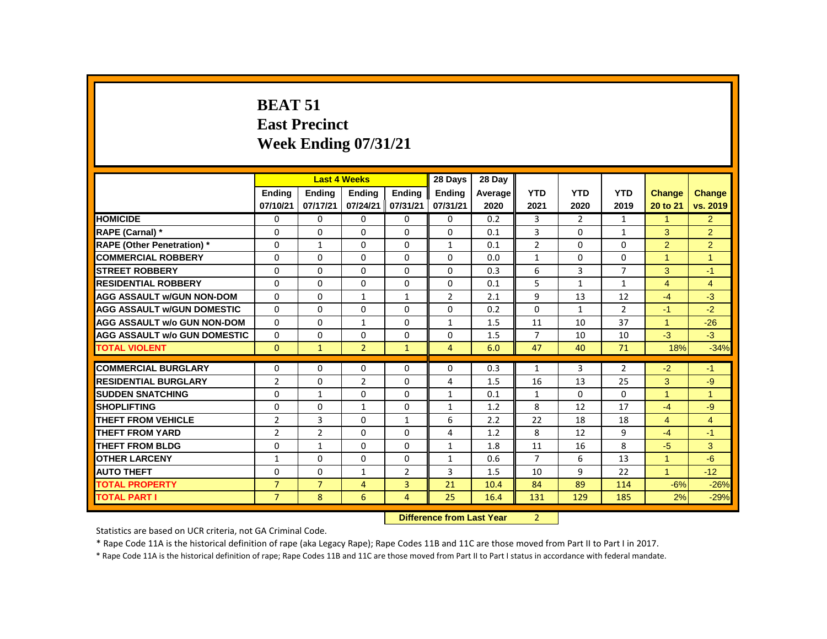# **BEAT 51 East Precinct Week Ending 07/31/21**

|                                     |                |                | <b>Last 4 Weeks</b> |                | 28 Days                   | 28 Day  |                |                |                |                |                |
|-------------------------------------|----------------|----------------|---------------------|----------------|---------------------------|---------|----------------|----------------|----------------|----------------|----------------|
|                                     | <b>Endina</b>  | Ending         | Ending              | Ending         | Ending                    | Average | <b>YTD</b>     | <b>YTD</b>     | <b>YTD</b>     | <b>Change</b>  | <b>Change</b>  |
|                                     | 07/10/21       | 07/17/21       | 07/24/21            | 07/31/21       | 07/31/21                  | 2020    | 2021           | 2020           | 2019           | 20 to 21       | vs. 2019       |
| <b>HOMICIDE</b>                     | 0              | $\Omega$       | $\Omega$            | $\Omega$       | $\mathbf{0}$              | 0.2     | 3              | $\overline{2}$ | $\mathbf{1}$   | $\mathbf{1}$   | $\overline{2}$ |
| RAPE (Carnal) *                     | 0              | $\Omega$       | $\Omega$            | $\Omega$       | $\Omega$                  | 0.1     | 3              | $\mathbf{0}$   | $\mathbf{1}$   | 3              | $\overline{2}$ |
| <b>RAPE (Other Penetration)</b> *   | $\Omega$       | $\mathbf{1}$   | $\Omega$            | $\Omega$       | $\mathbf{1}$              | 0.1     | $\overline{2}$ | $\Omega$       | $\Omega$       | 2              | $\overline{2}$ |
| <b>COMMERCIAL ROBBERY</b>           | $\mathbf 0$    | 0              | 0                   | $\mathbf 0$    | $\Omega$                  | 0.0     | $\mathbf{1}$   | $\mathbf 0$    | $\Omega$       | $\mathbf{1}$   | $\mathbf{1}$   |
| <b>STREET ROBBERY</b>               | $\Omega$       | $\Omega$       | $\Omega$            | $\Omega$       | $\Omega$                  | 0.3     | 6              | 3              | $\overline{7}$ | 3              | $-1$           |
| <b>RESIDENTIAL ROBBERY</b>          | $\Omega$       | $\mathbf{0}$   | 0                   | $\mathbf{0}$   | $\Omega$                  | 0.1     | 5              | $\mathbf{1}$   | $\mathbf{1}$   | $\overline{4}$ | $\overline{4}$ |
| <b>AGG ASSAULT w/GUN NON-DOM</b>    | $\Omega$       | 0              | $\mathbf{1}$        | $\mathbf{1}$   | $\overline{2}$            | 2.1     | 9              | 13             | 12             | $-4$           | $-3$           |
| <b>AGG ASSAULT W/GUN DOMESTIC</b>   | $\Omega$       | $\Omega$       | $\mathbf{0}$        | $\Omega$       | $\Omega$                  | 0.2     | $\Omega$       | $\mathbf{1}$   | $\overline{2}$ | $-1$           | $-2$           |
| <b>AGG ASSAULT w/o GUN NON-DOM</b>  | $\Omega$       | $\Omega$       | $\mathbf{1}$        | $\Omega$       | $\mathbf{1}$              | 1.5     | 11             | 10             | 37             | $\mathbf{1}$   | $-26$          |
| <b>AGG ASSAULT w/o GUN DOMESTIC</b> | $\Omega$       | $\Omega$       | 0                   | $\Omega$       | $\Omega$                  | 1.5     | $\overline{7}$ | 10             | 10             | $-3$           | $-3$           |
| <b>TOTAL VIOLENT</b>                | $\Omega$       | $\mathbf{1}$   | $\overline{2}$      | $\mathbf{1}$   | 4                         | 6.0     | 47             | 40             | 71             | 18%            | $-34%$         |
| <b>COMMERCIAL BURGLARY</b>          | 0              | 0              | $\Omega$            | $\mathbf{0}$   | 0                         | 0.3     | $\mathbf{1}$   | 3              | $\overline{2}$ | $-2$           | $-1$           |
| <b>RESIDENTIAL BURGLARY</b>         | $\overline{2}$ | $\Omega$       | $\overline{2}$      | $\Omega$       | $\overline{4}$            | 1.5     | 16             | 13             | 25             | 3              | $-9$           |
| <b>SUDDEN SNATCHING</b>             | $\mathbf 0$    | 1              | $\Omega$            | $\Omega$       | $\mathbf{1}$              | 0.1     | $\mathbf{1}$   | $\mathbf{0}$   | 0              | 1              | $\mathbf{1}$   |
| <b>SHOPLIFTING</b>                  | 0              | 0              | $\mathbf{1}$        | 0              | $\mathbf{1}$              | 1.2     | 8              | 12             | 17             | $-4$           | $-9$           |
| <b>THEFT FROM VEHICLE</b>           | $\overline{2}$ | $\overline{3}$ | $\mathbf{0}$        | $\mathbf{1}$   | 6                         | 2.2     | 22             | 18             | 18             | $\overline{4}$ | $\overline{4}$ |
| <b>THEFT FROM YARD</b>              | $\overline{2}$ | $\overline{2}$ | $\Omega$            | $\Omega$       | 4                         | 1.2     | 8              | 12             | 9              | $-4$           | $-1$           |
| <b>THEFT FROM BLDG</b>              | 0              | $\mathbf{1}$   | $\Omega$            | $\Omega$       | $\mathbf{1}$              | 1.8     | 11             | 16             | 8              | $-5$           | 3              |
| <b>OTHER LARCENY</b>                | $\mathbf{1}$   | 0              | 0                   | 0              | $\mathbf{1}$              | 0.6     | $\overline{7}$ | 6              | 13             | $\mathbf{1}$   | $-6$           |
| <b>AUTO THEFT</b>                   | 0              | 0              | $\mathbf{1}$        | $\overline{2}$ | 3                         | 1.5     | 10             | 9              | 22             | $\mathbf{1}$   | $-12$          |
| <b>TOTAL PROPERTY</b>               | $\overline{7}$ | $\overline{7}$ | $\overline{4}$      | $\overline{3}$ | 21                        | 10.4    | 84             | 89             | 114            | $-6%$          | $-26%$         |
| <b>TOTAL PART I</b>                 | $\overline{7}$ | 8              | 6                   | $\overline{4}$ | 25                        | 16.4    | 131            | 129            | 185            | 2%             | $-29%$         |
|                                     |                |                |                     |                | Difference from Loot Veer |         | $\mathcal{L}$  |                |                |                |                |

#### **Difference from Last Year** 2

Statistics are based on UCR criteria, not GA Criminal Code.

\* Rape Code 11A is the historical definition of rape (aka Legacy Rape); Rape Codes 11B and 11C are those moved from Part II to Part I in 2017.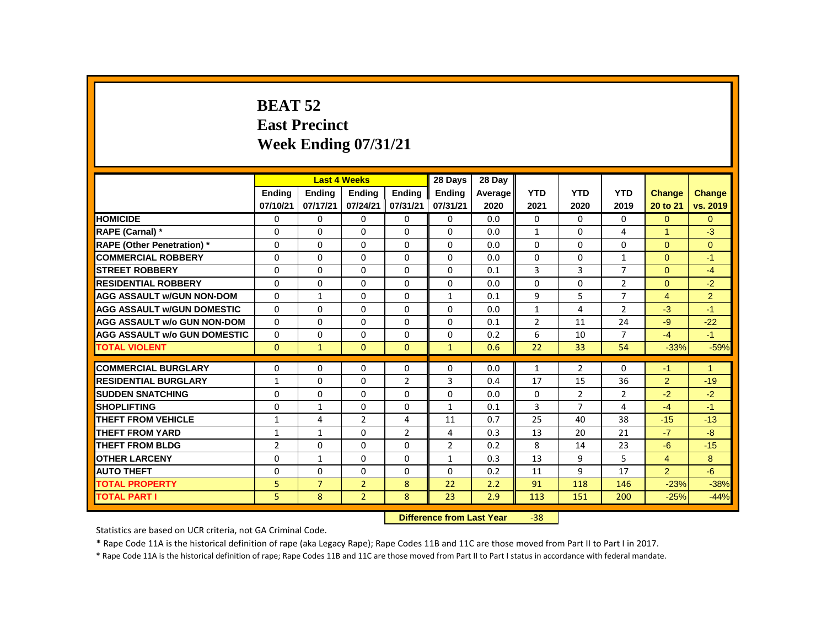# **BEAT 52 East Precinct Week Ending 07/31/21**

|                                     |                |                | <b>Last 4 Weeks</b> |                | 28 Days                   | 28 Day  |                |                |                |                |                |
|-------------------------------------|----------------|----------------|---------------------|----------------|---------------------------|---------|----------------|----------------|----------------|----------------|----------------|
|                                     | <b>Endina</b>  | <b>Endina</b>  | <b>Endina</b>       | <b>Endina</b>  | <b>Endina</b>             | Average | <b>YTD</b>     | <b>YTD</b>     | <b>YTD</b>     | <b>Change</b>  | <b>Change</b>  |
|                                     | 07/10/21       | 07/17/21       | 07/24/21            | 07/31/21       | 07/31/21                  | 2020    | 2021           | 2020           | 2019           | 20 to 21       | vs. 2019       |
| <b>HOMICIDE</b>                     | 0              | 0              | 0                   | $\Omega$       | $\mathbf{0}$              | 0.0     | $\mathbf{0}$   | $\Omega$       | 0              | $\overline{0}$ | $\overline{0}$ |
| RAPE (Carnal) *                     | 0              | $\Omega$       | $\Omega$            | $\Omega$       | $\Omega$                  | 0.0     | $\mathbf{1}$   | 0              | 4              | 1              | $-3$           |
| <b>RAPE (Other Penetration)*</b>    | 0              | 0              | 0                   | $\mathbf{0}$   | $\Omega$                  | 0.0     | $\Omega$       | 0              | 0              | $\Omega$       | $\overline{0}$ |
| <b>COMMERCIAL ROBBERY</b>           | $\Omega$       | $\mathbf{0}$   | $\Omega$            | $\mathbf{0}$   | $\mathbf{0}$              | 0.0     | $\Omega$       | $\Omega$       | $\mathbf{1}$   | $\Omega$       | $-1$           |
| <b>STREET ROBBERY</b>               | $\Omega$       | $\Omega$       | $\Omega$            | $\Omega$       | $\Omega$                  | 0.1     | 3              | $\overline{3}$ | $\overline{7}$ | $\Omega$       | $-4$           |
| <b>RESIDENTIAL ROBBERY</b>          | 0              | 0              | $\Omega$            | $\mathbf{0}$   | $\Omega$                  | 0.0     | $\Omega$       | 0              | $\overline{2}$ | $\overline{0}$ | $-2$           |
| <b>AGG ASSAULT w/GUN NON-DOM</b>    | 0              | $\mathbf{1}$   | 0                   | $\mathbf{0}$   | $\mathbf{1}$              | 0.1     | 9              | 5              | 7              | 4              | $\overline{2}$ |
| <b>AGG ASSAULT W/GUN DOMESTIC</b>   | $\Omega$       | 0              | 0                   | $\mathbf{0}$   | 0                         | 0.0     | $\mathbf{1}$   | 4              | 2              | $-3$           | $-1$           |
| <b>AGG ASSAULT w/o GUN NON-DOM</b>  | $\Omega$       | $\Omega$       | $\Omega$            | $\Omega$       | 0                         | 0.1     | $\overline{2}$ | 11             | 24             | $-9$           | $-22$          |
| <b>AGG ASSAULT w/o GUN DOMESTIC</b> | $\Omega$       | 0              | $\Omega$            | 0              | $\Omega$                  | 0.2     | 6              | 10             | $\overline{7}$ | $-4$           | $-1$           |
| <b>TOTAL VIOLENT</b>                | $\mathbf{0}$   | $\mathbf{1}$   | $\mathbf{0}$        | $\mathbf{0}$   | $\mathbf{1}$              | 0.6     | 22             | 33             | 54             | $-33%$         | $-59%$         |
| <b>COMMERCIAL BURGLARY</b>          | 0              | $\Omega$       | $\Omega$            | 0              | $\Omega$                  | 0.0     | $\mathbf{1}$   | $\overline{2}$ | $\Omega$       | $-1$           | $\mathbf{1}$   |
| <b>RESIDENTIAL BURGLARY</b>         | 1              | $\Omega$       | $\Omega$            | $\overline{2}$ | 3                         | 0.4     | 17             | 15             | 36             | 2              | $-19$          |
| <b>SUDDEN SNATCHING</b>             | 0              | 0              | 0                   | $\mathbf{0}$   | $\Omega$                  | 0.0     | $\mathbf{0}$   | $\overline{2}$ | $\overline{2}$ | $-2$           | $-2$           |
| <b>SHOPLIFTING</b>                  | 0              | $\mathbf{1}$   | 0                   | $\mathbf{0}$   | $\mathbf{1}$              | 0.1     | 3              | $\overline{7}$ | 4              | $-4$           | $-1$           |
| <b>THEFT FROM VEHICLE</b>           | $\mathbf{1}$   | 4              | $\overline{2}$      | 4              | 11                        | 0.7     | 25             | 40             | 38             | $-15$          | $-13$          |
| <b>THEFT FROM YARD</b>              | $\mathbf{1}$   | $\mathbf{1}$   | $\Omega$            | $\overline{2}$ | 4                         | 0.3     | 13             | 20             | 21             | $-7$           | $-8$           |
| <b>THEFT FROM BLDG</b>              | $\overline{2}$ | $\Omega$       | $\Omega$            | $\Omega$       | $\overline{2}$            | 0.2     | 8              | 14             | 23             | $-6$           | $-15$          |
| <b>OTHER LARCENY</b>                | $\Omega$       | $\mathbf{1}$   | $\Omega$            | $\Omega$       | $\mathbf{1}$              | 0.3     | 13             | 9              | 5              | $\overline{4}$ | 8              |
| <b>AUTO THEFT</b>                   | 0              | $\mathbf{0}$   | $\Omega$            | $\mathbf{0}$   | $\mathbf{0}$              | 0.2     | 11             | 9              | 17             | $\overline{2}$ | $-6$           |
| <b>TOTAL PROPERTY</b>               | 5              | $\overline{7}$ | $\overline{2}$      | 8              | 22                        | 2.2     | 91             | 118            | 146            | $-23%$         | $-38%$         |
| <b>TOTAL PART I</b>                 | 5              | 8              | $\overline{2}$      | 8              | 23                        | 2.9     | 113            | 151            | 200            | $-25%$         | $-44%$         |
|                                     |                |                |                     |                | Difference from Loot Vear |         | oc             |                |                |                |                |

**Difference from Last Year** -38

Statistics are based on UCR criteria, not GA Criminal Code.

\* Rape Code 11A is the historical definition of rape (aka Legacy Rape); Rape Codes 11B and 11C are those moved from Part II to Part I in 2017.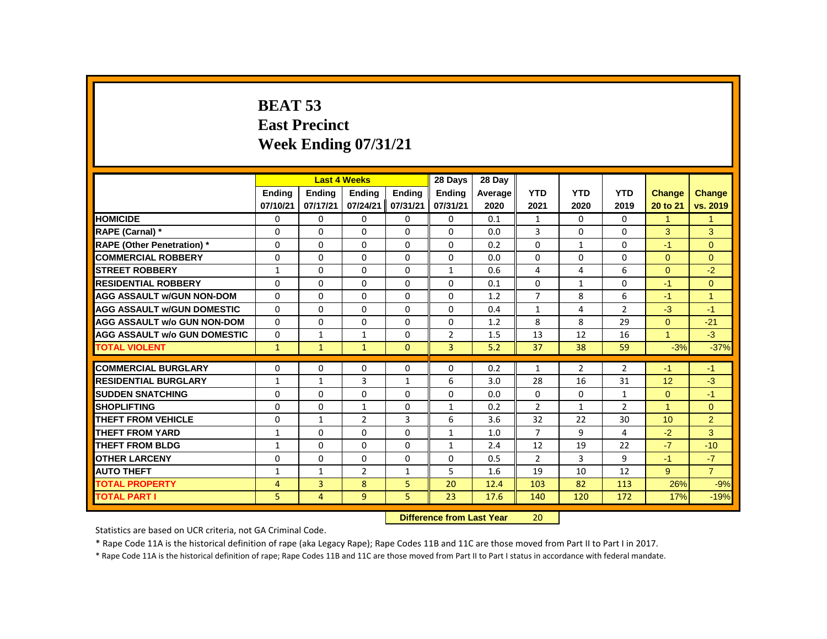# **BEAT 53 East Precinct Week Ending 07/31/21**

|                                     |                |                | <b>Last 4 Weeks</b>              |               | 28 Days        | 28 Dav  |                |                |                |                  |                      |
|-------------------------------------|----------------|----------------|----------------------------------|---------------|----------------|---------|----------------|----------------|----------------|------------------|----------------------|
|                                     | <b>Ending</b>  | Ending         | <b>Ending</b>                    | <b>Ending</b> | <b>Ending</b>  | Average | <b>YTD</b>     | <b>YTD</b>     | <b>YTD</b>     | <b>Change</b>    | <b>Change</b>        |
|                                     | 07/10/21       | 07/17/21       | 07/24/21                         | 07/31/21      | 07/31/21       | 2020    | 2021           | 2020           | 2019           | 20 to 21         | vs. 2019             |
| <b>HOMICIDE</b>                     | 0              | $\Omega$       | $\Omega$                         | 0             | 0              | 0.1     | 1              | 0              | 0              | 1                | $\blacktriangleleft$ |
| <b>RAPE (Carnal) *</b>              | $\Omega$       | $\Omega$       | $\Omega$                         | $\Omega$      | $\Omega$       | 0.0     | 3              | $\Omega$       | $\Omega$       | 3                | 3                    |
| <b>RAPE (Other Penetration)</b> *   | $\mathbf{0}$   | $\Omega$       | $\Omega$                         | $\Omega$      | $\Omega$       | 0.2     | $\Omega$       | $\mathbf{1}$   | $\Omega$       | $-1$             | $\overline{0}$       |
| <b>COMMERCIAL ROBBERY</b>           | $\Omega$       | $\Omega$       | $\Omega$                         | $\Omega$      | $\Omega$       | 0.0     | $\Omega$       | $\Omega$       | $\Omega$       | $\Omega$         | $\Omega$             |
| <b>ISTREET ROBBERY</b>              | $\mathbf{1}$   | 0              | 0                                | 0             | 1              | 0.6     | 4              | 4              | 6              | $\Omega$         | $-2$                 |
| <b>RESIDENTIAL ROBBERY</b>          | $\Omega$       | $\Omega$       | $\Omega$                         | $\Omega$      | 0              | 0.1     | $\Omega$       | $\mathbf{1}$   | $\Omega$       | $-1$             | $\overline{0}$       |
| <b>AGG ASSAULT W/GUN NON-DOM</b>    | $\mathbf{0}$   | $\Omega$       | $\Omega$                         | $\Omega$      | $\Omega$       | 1.2     | $\overline{7}$ | 8              | 6              | $-1$             | $\overline{1}$       |
| <b>AGG ASSAULT W/GUN DOMESTIC</b>   | $\Omega$       | $\Omega$       | $\Omega$                         | $\Omega$      | $\Omega$       | 0.4     | $\mathbf{1}$   | 4              | $\overline{2}$ | $-3$             | $-1$                 |
| <b>AGG ASSAULT w/o GUN NON-DOM</b>  | $\Omega$       | $\Omega$       | $\Omega$                         | $\Omega$      | $\Omega$       | 1.2     | 8              | 8              | 29             | $\Omega$         | $-21$                |
| <b>AGG ASSAULT w/o GUN DOMESTIC</b> | $\Omega$       | $\mathbf{1}$   | $\mathbf{1}$                     | $\Omega$      | $\overline{2}$ | 1.5     | 13             | 12             | 16             | $\mathbf{1}$     | $-3$                 |
| <b>TOTAL VIOLENT</b>                | $\mathbf{1}$   | $\mathbf{1}$   | $\mathbf{1}$                     | $\mathbf{0}$  | $\overline{3}$ | 5.2     | 37             | 38             | 59             | $-3%$            | $-37%$               |
| <b>COMMERCIAL BURGLARY</b>          | $\Omega$       | 0              | $\Omega$                         | $\Omega$      | $\Omega$       | 0.2     | 1              | $\overline{2}$ | $\overline{2}$ | $-1$             | $-1$                 |
| <b>RESIDENTIAL BURGLARY</b>         | $\mathbf{1}$   | $\mathbf{1}$   | 3                                | $\mathbf{1}$  | 6              | 3.0     | 28             | 16             | 31             | 12               | $-3$                 |
| <b>SUDDEN SNATCHING</b>             | $\Omega$       | 0              | $\Omega$                         | $\Omega$      | $\Omega$       | 0.0     | $\Omega$       | $\Omega$       | $\mathbf{1}$   | $\Omega$         | $-1$                 |
| <b>SHOPLIFTING</b>                  | $\Omega$       | $\Omega$       | $\mathbf{1}$                     | $\Omega$      | $\mathbf{1}$   | 0.2     | $\overline{2}$ | $\mathbf{1}$   | $\overline{2}$ | $\mathbf{1}$     | $\overline{0}$       |
| <b>THEFT FROM VEHICLE</b>           | $\Omega$       | $\mathbf{1}$   | $\overline{2}$                   | 3             | 6              | 3.6     | 32             | 22             | 30             | 10 <sup>10</sup> | 2                    |
| <b>THEFT FROM YARD</b>              | $\mathbf{1}$   | $\Omega$       | $\Omega$                         | $\Omega$      | $\mathbf{1}$   | 1.0     | $\overline{7}$ | 9              | 4              | $-2$             | $\overline{3}$       |
| <b>THEFT FROM BLDG</b>              | $\mathbf{1}$   | $\Omega$       | $\Omega$                         | $\Omega$      | $\mathbf{1}$   | 2.4     | 12             | 19             | 22             | $-7$             | $-10$                |
| <b>OTHER LARCENY</b>                | 0              | 0              | 0                                | $\mathbf 0$   | $\mathbf 0$    | 0.5     | $\overline{2}$ | 3              | 9              | $-1$             | $-7$                 |
| <b>AUTO THEFT</b>                   | $\mathbf{1}$   | $\mathbf{1}$   | $\overline{2}$                   | 1             | 5              | 1.6     | 19             | 10             | 12             | $9^{\circ}$      | $\overline{7}$       |
| <b>TOTAL PROPERTY</b>               | $\overline{4}$ | 3              | 8                                | 5             | 20             | 12.4    | 103            | 82             | 113            | 26%              | $-9%$                |
| <b>TOTAL PART I</b>                 | 5.             | $\overline{4}$ | 9                                | 5             | 23             | 17.6    | 140            | 120            | 172            | 17%              | $-19%$               |
|                                     |                |                | <b>Difference from Last Year</b> |               | 20             |         |                |                |                |                  |                      |

Statistics are based on UCR criteria, not GA Criminal Code.

\* Rape Code 11A is the historical definition of rape (aka Legacy Rape); Rape Codes 11B and 11C are those moved from Part II to Part I in 2017.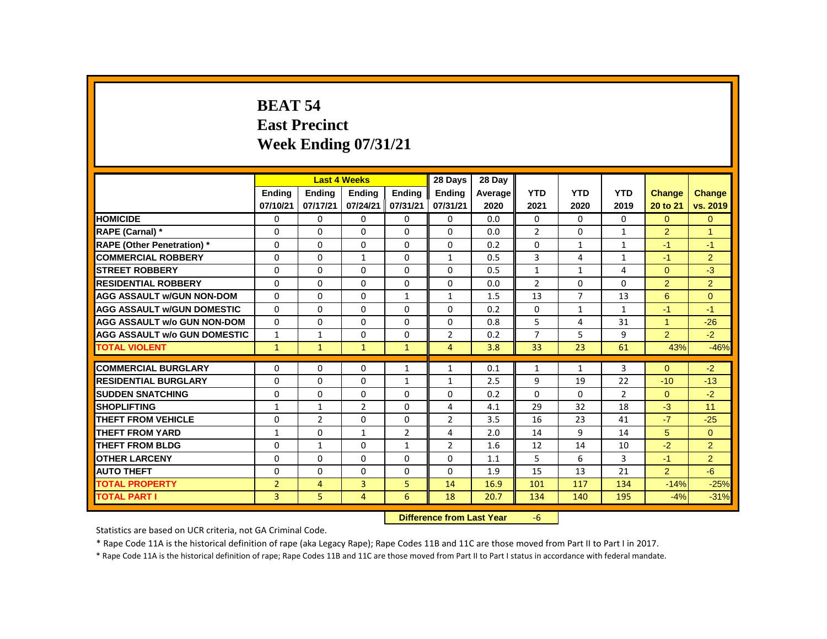# **BEAT 54 East Precinct Week Ending 07/31/21**

|                                     |                |                | <b>Last 4 Weeks</b> |                | 28 Days                   | 28 Day  |                |                |                |                |                |
|-------------------------------------|----------------|----------------|---------------------|----------------|---------------------------|---------|----------------|----------------|----------------|----------------|----------------|
|                                     | <b>Endina</b>  | <b>Endina</b>  | <b>Endina</b>       | <b>Endina</b>  | <b>Endina</b>             | Average | <b>YTD</b>     | <b>YTD</b>     | <b>YTD</b>     | Change         | <b>Change</b>  |
|                                     | 07/10/21       | 07/17/21       | 07/24/21            | 07/31/21       | 07/31/21                  | 2020    | 2021           | 2020           | 2019           | 20 to 21       | vs. 2019       |
| <b>HOMICIDE</b>                     | 0              | $\Omega$       | 0                   | 0              | 0                         | 0.0     | $\Omega$       | $\Omega$       | 0              | $\Omega$       | $\overline{0}$ |
| RAPE (Carnal) *                     | 0              | 0              | $\Omega$            | 0              | $\Omega$                  | 0.0     | $\overline{2}$ | 0              | 1              | $\overline{2}$ | 1              |
| <b>RAPE (Other Penetration) *</b>   | $\mathbf{0}$   | $\Omega$       | $\Omega$            | $\Omega$       | $\Omega$                  | 0.2     | $\Omega$       | $\mathbf{1}$   | $\mathbf{1}$   | $-1$           | $-1$           |
| <b>COMMERCIAL ROBBERY</b>           | $\Omega$       | $\Omega$       | $\mathbf{1}$        | $\Omega$       | $\mathbf{1}$              | 0.5     | 3              | 4              | $\mathbf{1}$   | $-1$           | $\overline{2}$ |
| <b>STREET ROBBERY</b>               | 0              | 0              | $\Omega$            | 0              | $\Omega$                  | 0.5     | $\mathbf{1}$   | $\mathbf{1}$   | 4              | $\Omega$       | $-3$           |
| <b>RESIDENTIAL ROBBERY</b>          | 0              | 0              | 0                   | 0              | 0                         | 0.0     | $\overline{2}$ | 0              | 0              | $\overline{2}$ | $\overline{2}$ |
| <b>AGG ASSAULT W/GUN NON-DOM</b>    | $\mathbf{0}$   | 0              | $\Omega$            | $\mathbf{1}$   | $\mathbf{1}$              | 1.5     | 13             | $\overline{7}$ | 13             | 6              | $\overline{0}$ |
| <b>AGG ASSAULT W/GUN DOMESTIC</b>   | $\Omega$       | 0              | $\Omega$            | 0              | 0                         | 0.2     | 0              | $\mathbf{1}$   | $\mathbf{1}$   | $-1$           | $-1$           |
| <b>AGG ASSAULT w/o GUN NON-DOM</b>  | $\Omega$       | $\Omega$       | $\Omega$            | $\Omega$       | $\Omega$                  | 0.8     | 5              | 4              | 31             | $\mathbf{1}$   | $-26$          |
| <b>AGG ASSAULT w/o GUN DOMESTIC</b> | $\mathbf{1}$   | 1              | $\Omega$            | $\Omega$       | $\overline{2}$            | 0.2     | $\overline{7}$ | 5              | 9              | $\overline{2}$ | $-2$           |
| <b>TOTAL VIOLENT</b>                | $\mathbf{1}$   | $\mathbf{1}$   | $\mathbf{1}$        | $\mathbf{1}$   | 4                         | 3.8     | 33             | 23             | 61             | 43%            | $-46%$         |
| <b>COMMERCIAL BURGLARY</b>          | 0              | 0              | 0                   | $\mathbf{1}$   | $\mathbf{1}$              | 0.1     | $\mathbf{1}$   | $\mathbf{1}$   | $\overline{3}$ | $\Omega$       | $-2$           |
| <b>RESIDENTIAL BURGLARY</b>         | 0              | 0              | $\Omega$            | $\mathbf{1}$   | 1                         | 2.5     | 9              | 19             | 22             | $-10$          | $-13$          |
| <b>SUDDEN SNATCHING</b>             | 0              | 0              | 0                   | 0              | 0                         | 0.2     | $\Omega$       | 0              | $\overline{2}$ | $\mathbf{0}$   | $-2$           |
| <b>SHOPLIFTING</b>                  | 1              | $\mathbf{1}$   | $\overline{2}$      | $\Omega$       | 4                         | 4.1     | 29             | 32             | 18             | $-3$           | 11             |
| <b>THEFT FROM VEHICLE</b>           | 0              | $\overline{2}$ | $\Omega$            | $\mathbf 0$    | $\overline{2}$            | 3.5     | 16             | 23             | 41             | $-7$           | $-25$          |
| <b>THEFT FROM YARD</b>              | $\mathbf{1}$   | $\Omega$       | $\mathbf{1}$        | $\overline{2}$ | 4                         | 2.0     | 14             | 9              | 14             | 5              | $\Omega$       |
| <b>THEFT FROM BLDG</b>              | 0              | 1              | $\Omega$            | $\mathbf{1}$   | $\overline{2}$            | 1.6     | 12             | 14             | 10             | $-2$           | $\overline{2}$ |
| <b>OTHER LARCENY</b>                | $\mathbf{0}$   | $\Omega$       | $\Omega$            | $\Omega$       | $\Omega$                  | 1.1     | 5              | 6              | 3              | $-1$           | $\overline{2}$ |
| <b>AUTO THEFT</b>                   | 0              | $\Omega$       | $\Omega$            | $\mathbf 0$    | $\Omega$                  | 1.9     | 15             | 13             | 21             | 2              | $-6$           |
| <b>TOTAL PROPERTY</b>               | $\overline{2}$ | $\overline{4}$ | 3                   | 5              | 14                        | 16.9    | 101            | 117            | 134            | $-14%$         | $-25%$         |
| <b>TOTAL PART I</b>                 | 3              | 5              | 4                   | 6              | 18                        | 20.7    | 134            | 140            | 195            | $-4%$          | $-31%$         |
|                                     |                |                |                     |                | Difference from Loot Voor |         | $\epsilon$     |                |                |                |                |

**Difference from Last Year** -6

Statistics are based on UCR criteria, not GA Criminal Code.

\* Rape Code 11A is the historical definition of rape (aka Legacy Rape); Rape Codes 11B and 11C are those moved from Part II to Part I in 2017.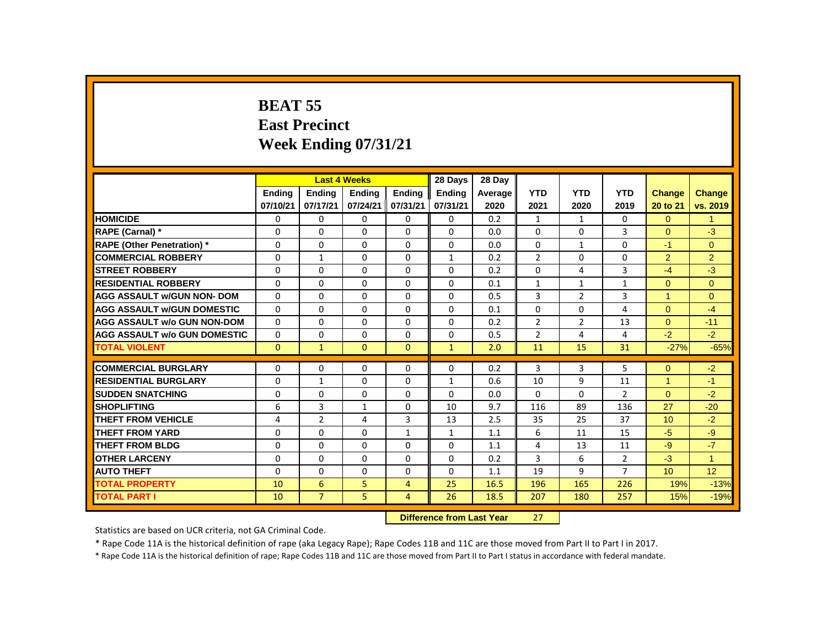# **BEAT 55 East Precinct Week Ending 07/31/21**

|                                     |               |                | <b>Last 4 Weeks</b> |                | 28 Days                   | 28 Dav  |                |                |                |                      |                |
|-------------------------------------|---------------|----------------|---------------------|----------------|---------------------------|---------|----------------|----------------|----------------|----------------------|----------------|
|                                     | <b>Ending</b> | <b>Ending</b>  | <b>Ending</b>       | <b>Ending</b>  | <b>Ending</b>             | Average | <b>YTD</b>     | <b>YTD</b>     | <b>YTD</b>     | <b>Change</b>        | <b>Change</b>  |
|                                     | 07/10/21      | 07/17/21       | 07/24/21            | 07/31/21       | 07/31/21                  | 2020    | 2021           | 2020           | 2019           | 20 to 21             | vs. 2019       |
| <b>HOMICIDE</b>                     | 0             | $\Omega$       | $\Omega$            | $\Omega$       | $\mathbf 0$               | 0.2     | $\mathbf{1}$   | 1              | $\Omega$       | $\Omega$             | $\mathbf{1}$   |
| <b>RAPE (Carnal) *</b>              | $\Omega$      | $\Omega$       | $\Omega$            | $\Omega$       | $\Omega$                  | 0.0     | $\Omega$       | $\Omega$       | 3              | $\Omega$             | $-3$           |
| <b>RAPE (Other Penetration) *</b>   | $\Omega$      | $\Omega$       | $\Omega$            | $\Omega$       | $\Omega$                  | 0.0     | $\Omega$       | $\mathbf{1}$   | $\Omega$       | $-1$                 | $\Omega$       |
| <b>COMMERCIAL ROBBERY</b>           | $\Omega$      | $\mathbf{1}$   | $\Omega$            | $\Omega$       | $\mathbf{1}$              | 0.2     | $\overline{2}$ | $\Omega$       | $\Omega$       | $\overline{2}$       | $\overline{2}$ |
| <b>STREET ROBBERY</b>               | $\Omega$      | $\Omega$       | $\Omega$            | $\Omega$       | $\Omega$                  | 0.2     | $\Omega$       | 4              | $\overline{3}$ | $-4$                 | $-3$           |
| <b>RESIDENTIAL ROBBERY</b>          | $\Omega$      | $\Omega$       | $\Omega$            | $\Omega$       | $\Omega$                  | 0.1     | $\mathbf{1}$   | $\mathbf{1}$   | $\mathbf{1}$   | $\Omega$             | $\Omega$       |
| <b>AGG ASSAULT w/GUN NON- DOM</b>   | $\Omega$      | $\Omega$       | $\Omega$            | $\Omega$       | $\Omega$                  | 0.5     | 3              | $\overline{2}$ | $\overline{3}$ | 1                    | $\Omega$       |
| <b>AGG ASSAULT W/GUN DOMESTIC</b>   | $\Omega$      | $\Omega$       | 0                   | $\Omega$       | $\Omega$                  | 0.1     | $\Omega$       | $\Omega$       | 4              | $\Omega$             | $-4$           |
| <b>AGG ASSAULT w/o GUN NON-DOM</b>  | $\Omega$      | $\Omega$       | $\Omega$            | $\Omega$       | $\Omega$                  | 0.2     | $\overline{2}$ | $\overline{2}$ | 13             | $\Omega$             | $-11$          |
| <b>AGG ASSAULT W/o GUN DOMESTIC</b> | 0             | $\Omega$       | $\Omega$            | 0              | $\Omega$                  | 0.5     | $\overline{2}$ | 4              | 4              | $-2$                 | $-2$           |
| <b>TOTAL VIOLENT</b>                | $\Omega$      | $\mathbf{1}$   | $\Omega$            | $\Omega$       | $\mathbf{1}$              | 2.0     | 11             | 15             | 31             | $-27%$               | $-65%$         |
| <b>COMMERCIAL BURGLARY</b>          | $\Omega$      | $\Omega$       | $\Omega$            | 0              | $\Omega$                  | 0.2     | 3              | 3              | 5              | $\Omega$             | $-2$           |
| <b>RESIDENTIAL BURGLARY</b>         | $\Omega$      | $\mathbf{1}$   | $\Omega$            | $\Omega$       | $\mathbf{1}$              | 0.6     | 10             | 9              | 11             | $\blacktriangleleft$ | $-1$           |
| <b>SUDDEN SNATCHING</b>             | $\Omega$      | $\Omega$       | $\Omega$            | $\Omega$       | 0                         | 0.0     | $\Omega$       | $\Omega$       | $\overline{2}$ | $\Omega$             | $-2$           |
| <b>SHOPLIFTING</b>                  | 6             | 3              | $\mathbf{1}$        | $\Omega$       | 10                        | 9.7     | 116            | 89             | 136            | 27                   | $-20$          |
| <b>THEFT FROM VEHICLE</b>           | 4             | $\overline{2}$ | 4                   | 3              | 13                        | 2.5     | 35             | 25             | 37             | 10                   | $-2$           |
| <b>THEFT FROM YARD</b>              | 0             | $\Omega$       | 0                   | $\mathbf{1}$   | $\mathbf{1}$              | 1.1     | 6              | 11             | 15             | $-5$                 | $-9$           |
| <b>THEFT FROM BLDG</b>              | $\Omega$      | $\Omega$       | $\Omega$            | $\Omega$       | $\Omega$                  | 1.1     | 4              | 13             | 11             | $-9$                 | $-7$           |
| <b>OTHER LARCENY</b>                | $\Omega$      | $\Omega$       | $\Omega$            | $\Omega$       | $\Omega$                  | 0.2     | 3              | 6              | $\overline{2}$ | $-3$                 | $\overline{1}$ |
| <b>AUTO THEFT</b>                   | $\mathbf{0}$  | $\Omega$       | $\Omega$            | $\Omega$       | $\Omega$                  | 1.1     | 19             | 9              | $\overline{7}$ | 10 <sup>10</sup>     | 12             |
| <b>TOTAL PROPERTY</b>               | 10            | 6              | 5                   | 4              | 25                        | 16.5    | 196            | 165            | 226            | 19%                  | $-13%$         |
| <b>TOTAL PART I</b>                 | 10            | $\overline{7}$ | 5                   | $\overline{4}$ | 26                        | 18.5    | 207            | 180            | 257            | 15%                  | $-19%$         |
|                                     |               |                |                     |                | Difference from Last Year |         | 27             |                |                |                      |                |

 **Difference from Last Year** 27

Statistics are based on UCR criteria, not GA Criminal Code.

\* Rape Code 11A is the historical definition of rape (aka Legacy Rape); Rape Codes 11B and 11C are those moved from Part II to Part I in 2017.